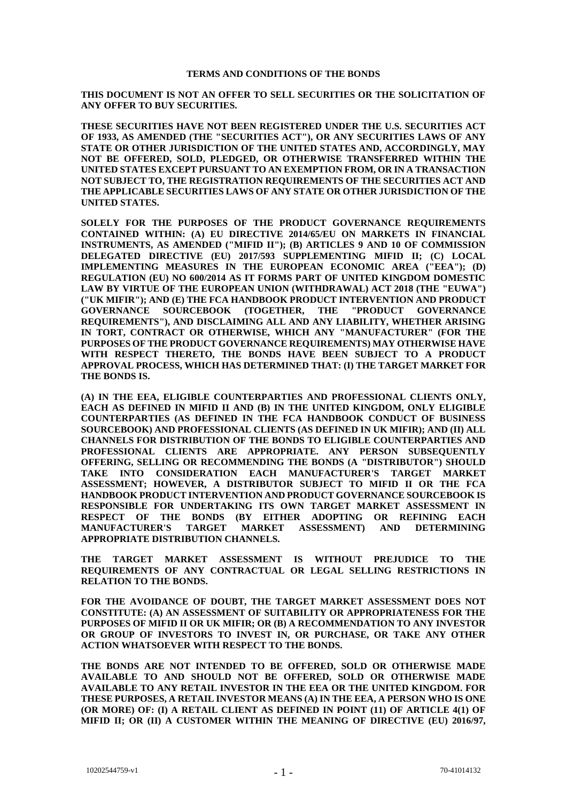# **TERMS AND CONDITIONS OF THE BONDS**

**THIS DOCUMENT IS NOT AN OFFER TO SELL SECURITIES OR THE SOLICITATION OF ANY OFFER TO BUY SECURITIES.**

**THESE SECURITIES HAVE NOT BEEN REGISTERED UNDER THE U.S. SECURITIES ACT OF 1933, AS AMENDED (THE "SECURITIES ACT"), OR ANY SECURITIES LAWS OF ANY STATE OR OTHER JURISDICTION OF THE UNITED STATES AND, ACCORDINGLY, MAY NOT BE OFFERED, SOLD, PLEDGED, OR OTHERWISE TRANSFERRED WITHIN THE UNITED STATES EXCEPT PURSUANT TO AN EXEMPTION FROM, OR IN A TRANSACTION NOT SUBJECT TO, THE REGISTRATION REQUIREMENTS OF THE SECURITIES ACT AND THE APPLICABLE SECURITIES LAWS OF ANY STATE OR OTHER JURISDICTION OF THE UNITED STATES.**

**SOLELY FOR THE PURPOSES OF THE PRODUCT GOVERNANCE REQUIREMENTS CONTAINED WITHIN: (A) EU DIRECTIVE 2014/65/EU ON MARKETS IN FINANCIAL INSTRUMENTS, AS AMENDED ("MIFID II"); (B) ARTICLES 9 AND 10 OF COMMISSION DELEGATED DIRECTIVE (EU) 2017/593 SUPPLEMENTING MIFID II; (C) LOCAL IMPLEMENTING MEASURES IN THE EUROPEAN ECONOMIC AREA ("EEA"); (D) REGULATION (EU) NO 600/2014 AS IT FORMS PART OF UNITED KINGDOM DOMESTIC LAW BY VIRTUE OF THE EUROPEAN UNION (WITHDRAWAL) ACT 2018 (THE "EUWA") ("UK MIFIR"); AND (E) THE FCA HANDBOOK PRODUCT INTERVENTION AND PRODUCT GOVERNANCE SOURCEBOOK (TOGETHER, THE "PRODUCT GOVERNANCE REQUIREMENTS"), AND DISCLAIMING ALL AND ANY LIABILITY, WHETHER ARISING IN TORT, CONTRACT OR OTHERWISE, WHICH ANY "MANUFACTURER" (FOR THE PURPOSES OF THE PRODUCT GOVERNANCE REQUIREMENTS) MAY OTHERWISE HAVE WITH RESPECT THERETO, THE BONDS HAVE BEEN SUBJECT TO A PRODUCT APPROVAL PROCESS, WHICH HAS DETERMINED THAT: (I) THE TARGET MARKET FOR THE BONDS IS.**

**(A) IN THE EEA, ELIGIBLE COUNTERPARTIES AND PROFESSIONAL CLIENTS ONLY, EACH AS DEFINED IN MIFID II AND (B) IN THE UNITED KINGDOM, ONLY ELIGIBLE COUNTERPARTIES (AS DEFINED IN THE FCA HANDBOOK CONDUCT OF BUSINESS SOURCEBOOK) AND PROFESSIONAL CLIENTS (AS DEFINED IN UK MIFIR); AND (II) ALL CHANNELS FOR DISTRIBUTION OF THE BONDS TO ELIGIBLE COUNTERPARTIES AND PROFESSIONAL CLIENTS ARE APPROPRIATE. ANY PERSON SUBSEQUENTLY OFFERING, SELLING OR RECOMMENDING THE BONDS (A "DISTRIBUTOR") SHOULD TAKE INTO CONSIDERATION EACH MANUFACTURER'S TARGET MARKET ASSESSMENT; HOWEVER, A DISTRIBUTOR SUBJECT TO MIFID II OR THE FCA HANDBOOK PRODUCT INTERVENTION AND PRODUCT GOVERNANCE SOURCEBOOK IS RESPONSIBLE FOR UNDERTAKING ITS OWN TARGET MARKET ASSESSMENT IN RESPECT OF THE BONDS (BY EITHER ADOPTING OR REFINING EACH MANUFACTURER'S TARGET MARKET ASSESSMENT) AND DETERMINING APPROPRIATE DISTRIBUTION CHANNELS.**

**THE TARGET MARKET ASSESSMENT IS WITHOUT PREJUDICE TO THE REQUIREMENTS OF ANY CONTRACTUAL OR LEGAL SELLING RESTRICTIONS IN RELATION TO THE BONDS.**

**FOR THE AVOIDANCE OF DOUBT, THE TARGET MARKET ASSESSMENT DOES NOT CONSTITUTE: (A) AN ASSESSMENT OF SUITABILITY OR APPROPRIATENESS FOR THE PURPOSES OF MIFID II OR UK MIFIR; OR (B) A RECOMMENDATION TO ANY INVESTOR OR GROUP OF INVESTORS TO INVEST IN, OR PURCHASE, OR TAKE ANY OTHER ACTION WHATSOEVER WITH RESPECT TO THE BONDS.**

**THE BONDS ARE NOT INTENDED TO BE OFFERED, SOLD OR OTHERWISE MADE AVAILABLE TO AND SHOULD NOT BE OFFERED, SOLD OR OTHERWISE MADE AVAILABLE TO ANY RETAIL INVESTOR IN THE EEA OR THE UNITED KINGDOM. FOR THESE PURPOSES, A RETAIL INVESTOR MEANS (A) IN THE EEA, A PERSON WHO IS ONE (OR MORE) OF: (I) A RETAIL CLIENT AS DEFINED IN POINT (11) OF ARTICLE 4(1) OF MIFID II; OR (II) A CUSTOMER WITHIN THE MEANING OF DIRECTIVE (EU) 2016/97,**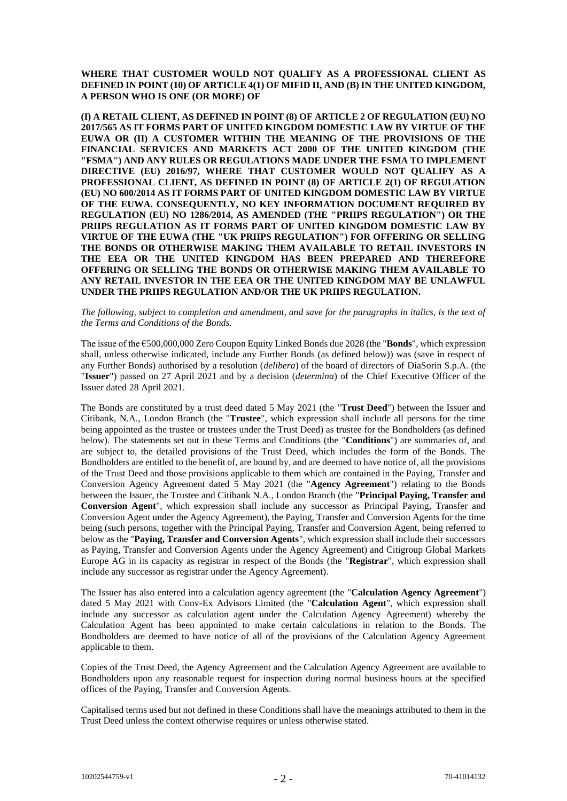**WHERE THAT CUSTOMER WOULD NOT QUALIFY AS A PROFESSIONAL CLIENT AS DEFINED IN POINT (10) OF ARTICLE 4(1) OF MIFID II, AND (B) IN THE UNITED KINGDOM, A PERSON WHO IS ONE (OR MORE) OF**

**(I) A RETAIL CLIENT, AS DEFINED IN POINT (8) OF ARTICLE 2 OF REGULATION (EU) NO 2017/565 AS IT FORMS PART OF UNITED KINGDOM DOMESTIC LAW BY VIRTUE OF THE EUWA OR (II) A CUSTOMER WITHIN THE MEANING OF THE PROVISIONS OF THE FINANCIAL SERVICES AND MARKETS ACT 2000 OF THE UNITED KINGDOM (THE "FSMA") AND ANY RULES OR REGULATIONS MADE UNDER THE FSMA TO IMPLEMENT DIRECTIVE (EU) 2016/97, WHERE THAT CUSTOMER WOULD NOT QUALIFY AS A PROFESSIONAL CLIENT, AS DEFINED IN POINT (8) OF ARTICLE 2(1) OF REGULATION (EU) NO 600/2014 AS IT FORMS PART OF UNITED KINGDOM DOMESTIC LAW BY VIRTUE OF THE EUWA. CONSEQUENTLY, NO KEY INFORMATION DOCUMENT REQUIRED BY REGULATION (EU) NO 1286/2014, AS AMENDED (THE "PRIIPS REGULATION") OR THE PRIIPS REGULATION AS IT FORMS PART OF UNITED KINGDOM DOMESTIC LAW BY VIRTUE OF THE EUWA (THE "UK PRIIPS REGULATION") FOR OFFERING OR SELLING THE BONDS OR OTHERWISE MAKING THEM AVAILABLE TO RETAIL INVESTORS IN THE EEA OR THE UNITED KINGDOM HAS BEEN PREPARED AND THEREFORE OFFERING OR SELLING THE BONDS OR OTHERWISE MAKING THEM AVAILABLE TO ANY RETAIL INVESTOR IN THE EEA OR THE UNITED KINGDOM MAY BE UNLAWFUL UNDER THE PRIIPS REGULATION AND/OR THE UK PRIIPS REGULATION.**

*The following, subject to completion and amendment, and save for the paragraphs in italics, is the text of the Terms and Conditions of the Bonds.*

The issue of the €500,000,000 Zero Coupon Equity Linked Bonds due 2028 (the "**Bonds**", which expression shall, unless otherwise indicated, include any Further Bonds (as defined below)) was (save in respect of any Further Bonds) authorised by a resolution (*delibera*) of the board of directors of DiaSorin S.p.A. (the "**Issuer**") passed on 27 April 2021 and by a decision (*determina*) of the Chief Executive Officer of the Issuer dated 28 April 2021.

The Bonds are constituted by a trust deed dated 5 May 2021 (the "**Trust Deed**") between the Issuer and Citibank, N.A., London Branch (the "**Trustee**", which expression shall include all persons for the time being appointed as the trustee or trustees under the Trust Deed) as trustee for the Bondholders (as defined below). The statements set out in these Terms and Conditions (the "**Conditions**") are summaries of, and are subject to, the detailed provisions of the Trust Deed, which includes the form of the Bonds. The Bondholders are entitled to the benefit of, are bound by, and are deemed to have notice of, all the provisions of the Trust Deed and those provisions applicable to them which are contained in the Paying, Transfer and Conversion Agency Agreement dated 5 May 2021 (the "**Agency Agreement**") relating to the Bonds between the Issuer, the Trustee and Citibank N.A., London Branch (the "**Principal Paying, Transfer and Conversion Agent**", which expression shall include any successor as Principal Paying, Transfer and Conversion Agent under the Agency Agreement), the Paying, Transfer and Conversion Agents for the time being (such persons, together with the Principal Paying, Transfer and Conversion Agent, being referred to below as the "**Paying, Transfer and Conversion Agents**", which expression shall include their successors as Paying, Transfer and Conversion Agents under the Agency Agreement) and Citigroup Global Markets Europe AG in its capacity as registrar in respect of the Bonds (the "**Registrar**", which expression shall include any successor as registrar under the Agency Agreement).

The Issuer has also entered into a calculation agency agreement (the "**Calculation Agency Agreement**") dated 5 May 2021 with Conv-Ex Advisors Limited (the "**Calculation Agent**", which expression shall include any successor as calculation agent under the Calculation Agency Agreement) whereby the Calculation Agent has been appointed to make certain calculations in relation to the Bonds. The Bondholders are deemed to have notice of all of the provisions of the Calculation Agency Agreement applicable to them.

Copies of the Trust Deed, the Agency Agreement and the Calculation Agency Agreement are available to Bondholders upon any reasonable request for inspection during normal business hours at the specified offices of the Paying, Transfer and Conversion Agents.

Capitalised terms used but not defined in these Conditions shall have the meanings attributed to them in the Trust Deed unless the context otherwise requires or unless otherwise stated.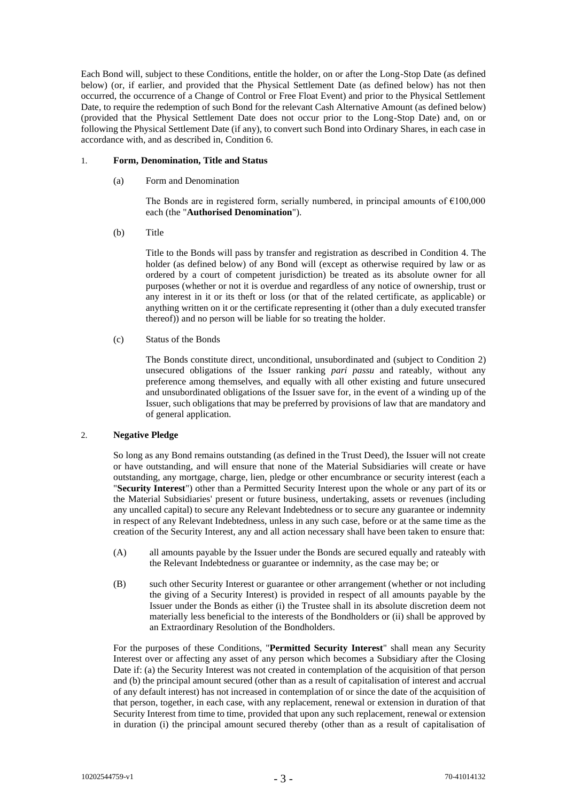Each Bond will, subject to these Conditions, entitle the holder, on or after the Long-Stop Date (as defined below) (or, if earlier, and provided that the Physical Settlement Date (as defined below) has not then occurred, the occurrence of a Change of Control or Free Float Event) and prior to the Physical Settlement Date, to require the redemption of such Bond for the relevant Cash Alternative Amount (as defined below) (provided that the Physical Settlement Date does not occur prior to the Long-Stop Date) and, on or following the Physical Settlement Date (if any), to convert such Bond into Ordinary Shares, in each case in accordance with, and as described in, Condition [6.](#page-18-0)

# 1. **Form, Denomination, Title and Status**

(a) Form and Denomination

The Bonds are in registered form, serially numbered, in principal amounts of  $£100,000$ each (the "**Authorised Denomination**").

(b) Title

Title to the Bonds will pass by transfer and registration as described in Condition [4.](#page-17-0) The holder (as defined below) of any Bond will (except as otherwise required by law or as ordered by a court of competent jurisdiction) be treated as its absolute owner for all purposes (whether or not it is overdue and regardless of any notice of ownership, trust or any interest in it or its theft or loss (or that of the related certificate, as applicable) or anything written on it or the certificate representing it (other than a duly executed transfer thereof)) and no person will be liable for so treating the holder.

(c) Status of the Bonds

The Bonds constitute direct, unconditional, unsubordinated and (subject to Condition [2\)](#page-2-0) unsecured obligations of the Issuer ranking *pari passu* and rateably, without any preference among themselves, and equally with all other existing and future unsecured and unsubordinated obligations of the Issuer save for, in the event of a winding up of the Issuer, such obligations that may be preferred by provisions of law that are mandatory and of general application.

# <span id="page-2-0"></span>2. **Negative Pledge**

So long as any Bond remains outstanding (as defined in the Trust Deed), the Issuer will not create or have outstanding, and will ensure that none of the Material Subsidiaries will create or have outstanding, any mortgage, charge, lien, pledge or other encumbrance or security interest (each a "**Security Interest**") other than a Permitted Security Interest upon the whole or any part of its or the Material Subsidiaries' present or future business, undertaking, assets or revenues (including any uncalled capital) to secure any Relevant Indebtedness or to secure any guarantee or indemnity in respect of any Relevant Indebtedness, unless in any such case, before or at the same time as the creation of the Security Interest, any and all action necessary shall have been taken to ensure that:

- (A) all amounts payable by the Issuer under the Bonds are secured equally and rateably with the Relevant Indebtedness or guarantee or indemnity, as the case may be; or
- (B) such other Security Interest or guarantee or other arrangement (whether or not including the giving of a Security Interest) is provided in respect of all amounts payable by the Issuer under the Bonds as either (i) the Trustee shall in its absolute discretion deem not materially less beneficial to the interests of the Bondholders or (ii) shall be approved by an Extraordinary Resolution of the Bondholders.

For the purposes of these Conditions, "**Permitted Security Interest**" shall mean any Security Interest over or affecting any asset of any person which becomes a Subsidiary after the Closing Date if: (a) the Security Interest was not created in contemplation of the acquisition of that person and (b) the principal amount secured (other than as a result of capitalisation of interest and accrual of any default interest) has not increased in contemplation of or since the date of the acquisition of that person, together, in each case, with any replacement, renewal or extension in duration of that Security Interest from time to time, provided that upon any such replacement, renewal or extension in duration (i) the principal amount secured thereby (other than as a result of capitalisation of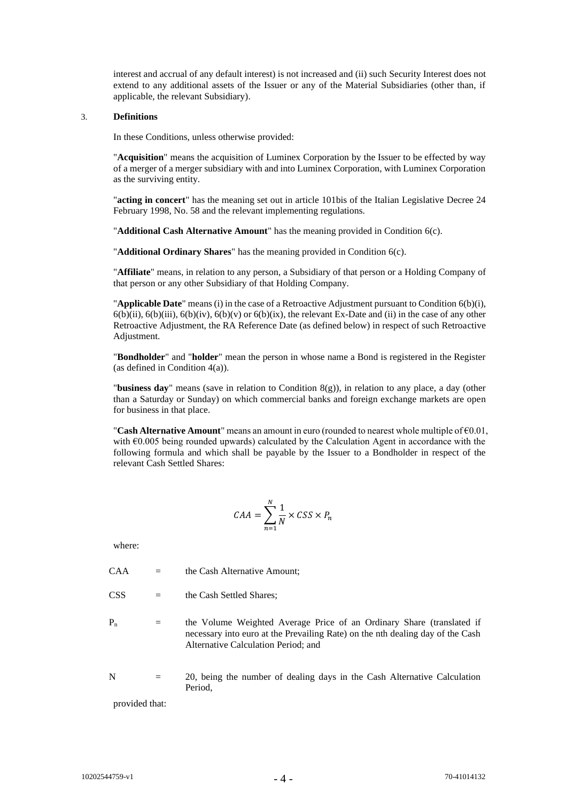interest and accrual of any default interest) is not increased and (ii) such Security Interest does not extend to any additional assets of the Issuer or any of the Material Subsidiaries (other than, if applicable, the relevant Subsidiary).

# 3. **Definitions**

In these Conditions, unless otherwise provided:

"**Acquisition**" means the acquisition of Luminex Corporation by the Issuer to be effected by way of a merger of a merger subsidiary with and into Luminex Corporation, with Luminex Corporation as the surviving entity.

"**acting in concert**" has the meaning set out in article 101bis of the Italian Legislative Decree 24 February 1998, No. 58 and the relevant implementing regulations.

"**Additional Cash Alternative Amount**" has the meaning provided in Condition [6\(c\).](#page-31-0)

"**Additional Ordinary Shares**" has the meaning provided in Condition [6\(c\).](#page-31-0)

"**Affiliate**" means, in relation to any person, a Subsidiary of that person or a Holding Company of that person or any other Subsidiary of that Holding Company.

"**Applicable Date**" means (i) in the case of a Retroactive Adjustment pursuant to Condition 6(b)(i),  $6(b)(ii)$ ,  $6(b)(iii)$ ,  $6(b)(iv)$ ,  $6(b)(v)$  or  $6(b)(ix)$ , the relevant Ex-Date and (ii) in the case of any other Retroactive Adjustment, the RA Reference Date (as defined below) in respect of such Retroactive Adjustment.

"**Bondholder**" and "**holder**" mean the person in whose name a Bond is registered in the Register (as defined in Condition [4\(a\)\)](#page-17-1).

"**business day**" means (save in relation to Condition [8\(g\)\)](#page-41-0), in relation to any place, a day (other than a Saturday or Sunday) on which commercial banks and foreign exchange markets are open for business in that place.

"**Cash Alternative Amount**" means an amount in euro (rounded to nearest whole multiple of €0.01, with  $E0.005$  being rounded upwards) calculated by the Calculation Agent in accordance with the following formula and which shall be payable by the Issuer to a Bondholder in respect of the relevant Cash Settled Shares:

$$
CAA = \sum_{n=1}^{N} \frac{1}{N} \times CSS \times P_n
$$

where:

 $CAA =$  the Cash Alternative Amount:

 $CSS = the Cash Settled Shares;$ 

- $P_n$  = the Volume Weighted Average Price of an Ordinary Share (translated if necessary into euro at the Prevailing Rate) on the nth dealing day of the Cash Alternative Calculation Period; and
- $N = 20$ , being the number of dealing days in the Cash Alternative Calculation Period,

provided that: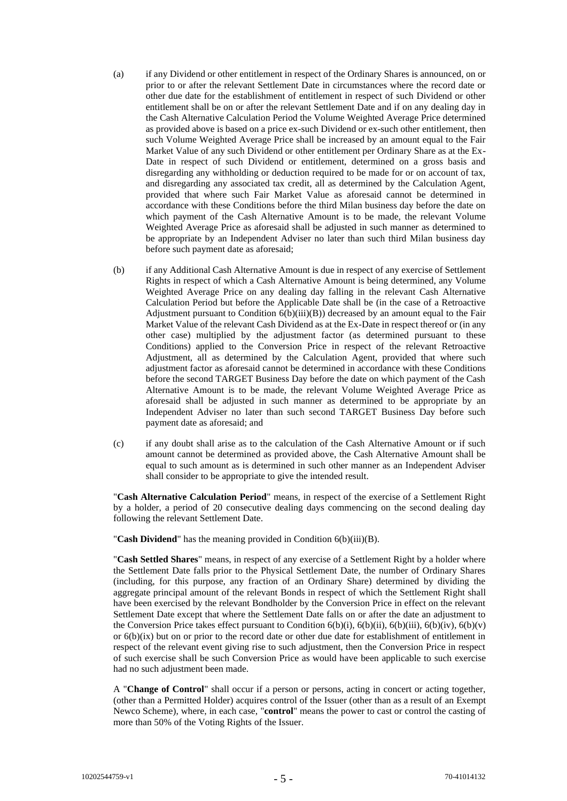- (a) if any Dividend or other entitlement in respect of the Ordinary Shares is announced, on or prior to or after the relevant Settlement Date in circumstances where the record date or other due date for the establishment of entitlement in respect of such Dividend or other entitlement shall be on or after the relevant Settlement Date and if on any dealing day in the Cash Alternative Calculation Period the Volume Weighted Average Price determined as provided above is based on a price ex-such Dividend or ex-such other entitlement, then such Volume Weighted Average Price shall be increased by an amount equal to the Fair Market Value of any such Dividend or other entitlement per Ordinary Share as at the Ex-Date in respect of such Dividend or entitlement, determined on a gross basis and disregarding any withholding or deduction required to be made for or on account of tax, and disregarding any associated tax credit, all as determined by the Calculation Agent, provided that where such Fair Market Value as aforesaid cannot be determined in accordance with these Conditions before the third Milan business day before the date on which payment of the Cash Alternative Amount is to be made, the relevant Volume Weighted Average Price as aforesaid shall be adjusted in such manner as determined to be appropriate by an Independent Adviser no later than such third Milan business day before such payment date as aforesaid;
- (b) if any Additional Cash Alternative Amount is due in respect of any exercise of Settlement Rights in respect of which a Cash Alternative Amount is being determined, any Volume Weighted Average Price on any dealing day falling in the relevant Cash Alternative Calculation Period but before the Applicable Date shall be (in the case of a Retroactive Adjustment pursuant to Condition  $6(b)(iii)(B)$ ) decreased by an amount equal to the Fair Market Value of the relevant Cash Dividend as at the Ex-Date in respect thereof or (in any other case) multiplied by the adjustment factor (as determined pursuant to these Conditions) applied to the Conversion Price in respect of the relevant Retroactive Adjustment, all as determined by the Calculation Agent, provided that where such adjustment factor as aforesaid cannot be determined in accordance with these Conditions before the second TARGET Business Day before the date on which payment of the Cash Alternative Amount is to be made, the relevant Volume Weighted Average Price as aforesaid shall be adjusted in such manner as determined to be appropriate by an Independent Adviser no later than such second TARGET Business Day before such payment date as aforesaid; and
- (c) if any doubt shall arise as to the calculation of the Cash Alternative Amount or if such amount cannot be determined as provided above, the Cash Alternative Amount shall be equal to such amount as is determined in such other manner as an Independent Adviser shall consider to be appropriate to give the intended result.

"**Cash Alternative Calculation Period**" means, in respect of the exercise of a Settlement Right by a holder, a period of 20 consecutive dealing days commencing on the second dealing day following the relevant Settlement Date.

"**Cash Dividend**" has the meaning provided in Condition [6\(b\)\(iii\)\(B\).](#page-22-0)

"**Cash Settled Shares**" means, in respect of any exercise of a Settlement Right by a holder where the Settlement Date falls prior to the Physical Settlement Date, the number of Ordinary Shares (including, for this purpose, any fraction of an Ordinary Share) determined by dividing the aggregate principal amount of the relevant Bonds in respect of which the Settlement Right shall have been exercised by the relevant Bondholder by the Conversion Price in effect on the relevant Settlement Date except that where the Settlement Date falls on or after the date an adjustment to the Conversion Price takes effect pursuant to Condition  $6(b)(i)$ ,  $6(b)(ii)$ ,  $6(b)(iii)$ ,  $6(b)(iv)$ ,  $6(b)(v)$ or [6\(b\)\(ix\)](#page-28-0) but on or prior to the record date or other due date for establishment of entitlement in respect of the relevant event giving rise to such adjustment, then the Conversion Price in respect of such exercise shall be such Conversion Price as would have been applicable to such exercise had no such adjustment been made.

A "**Change of Control**" shall occur if a person or persons, acting in concert or acting together, (other than a Permitted Holder) acquires control of the Issuer (other than as a result of an Exempt Newco Scheme), where, in each case, "**control**" means the power to cast or control the casting of more than 50% of the Voting Rights of the Issuer.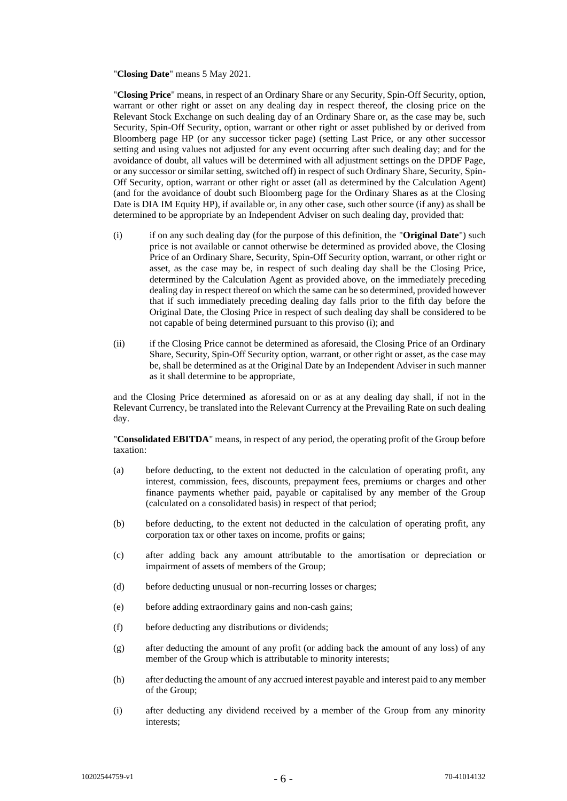"**Closing Date**" means 5 May 2021.

"**Closing Price**" means, in respect of an Ordinary Share or any Security, Spin-Off Security, option, warrant or other right or asset on any dealing day in respect thereof, the closing price on the Relevant Stock Exchange on such dealing day of an Ordinary Share or, as the case may be, such Security, Spin-Off Security, option, warrant or other right or asset published by or derived from Bloomberg page HP (or any successor ticker page) (setting Last Price, or any other successor setting and using values not adjusted for any event occurring after such dealing day; and for the avoidance of doubt, all values will be determined with all adjustment settings on the DPDF Page, or any successor or similar setting, switched off) in respect of such Ordinary Share, Security, Spin-Off Security, option, warrant or other right or asset (all as determined by the Calculation Agent) (and for the avoidance of doubt such Bloomberg page for the Ordinary Shares as at the Closing Date is DIA IM Equity HP), if available or, in any other case, such other source (if any) as shall be determined to be appropriate by an Independent Adviser on such dealing day, provided that:

- (i) if on any such dealing day (for the purpose of this definition, the "**Original Date**") such price is not available or cannot otherwise be determined as provided above, the Closing Price of an Ordinary Share, Security, Spin-Off Security option, warrant, or other right or asset, as the case may be, in respect of such dealing day shall be the Closing Price, determined by the Calculation Agent as provided above, on the immediately preceding dealing day in respect thereof on which the same can be so determined, provided however that if such immediately preceding dealing day falls prior to the fifth day before the Original Date, the Closing Price in respect of such dealing day shall be considered to be not capable of being determined pursuant to this proviso (i); and
- (ii) if the Closing Price cannot be determined as aforesaid, the Closing Price of an Ordinary Share, Security, Spin-Off Security option, warrant, or other right or asset, as the case may be, shall be determined as at the Original Date by an Independent Adviser in such manner as it shall determine to be appropriate,

and the Closing Price determined as aforesaid on or as at any dealing day shall, if not in the Relevant Currency, be translated into the Relevant Currency at the Prevailing Rate on such dealing day.

"**Consolidated EBITDA**" means, in respect of any period, the operating profit of the Group before taxation:

- (a) before deducting, to the extent not deducted in the calculation of operating profit, any interest, commission, fees, discounts, prepayment fees, premiums or charges and other finance payments whether paid, payable or capitalised by any member of the Group (calculated on a consolidated basis) in respect of that period;
- (b) before deducting, to the extent not deducted in the calculation of operating profit, any corporation tax or other taxes on income, profits or gains;
- (c) after adding back any amount attributable to the amortisation or depreciation or impairment of assets of members of the Group;
- (d) before deducting unusual or non-recurring losses or charges;
- (e) before adding extraordinary gains and non-cash gains;
- (f) before deducting any distributions or dividends;
- (g) after deducting the amount of any profit (or adding back the amount of any loss) of any member of the Group which is attributable to minority interests;
- (h) after deducting the amount of any accrued interest payable and interest paid to any member of the Group;
- (i) after deducting any dividend received by a member of the Group from any minority interests;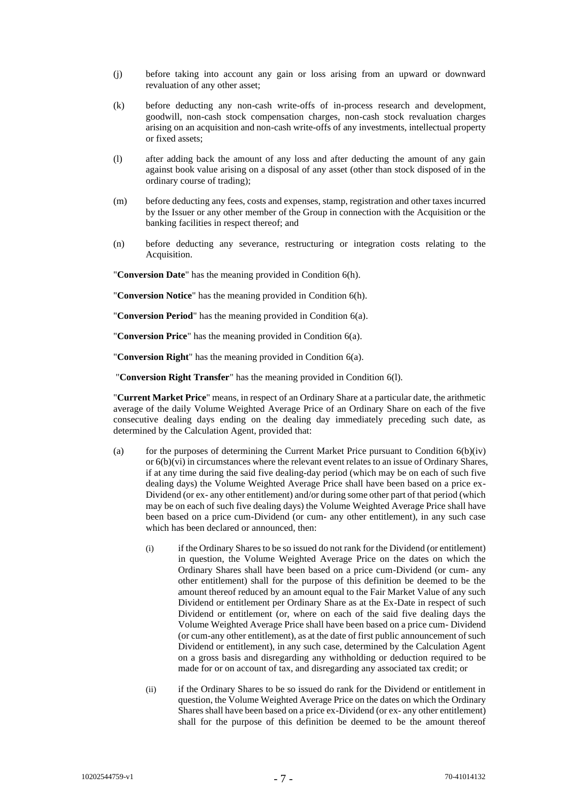- (j) before taking into account any gain or loss arising from an upward or downward revaluation of any other asset;
- (k) before deducting any non-cash write-offs of in-process research and development, goodwill, non-cash stock compensation charges, non-cash stock revaluation charges arising on an acquisition and non-cash write-offs of any investments, intellectual property or fixed assets;
- (l) after adding back the amount of any loss and after deducting the amount of any gain against book value arising on a disposal of any asset (other than stock disposed of in the ordinary course of trading);
- (m) before deducting any fees, costs and expenses, stamp, registration and other taxes incurred by the Issuer or any other member of the Group in connection with the Acquisition or the banking facilities in respect thereof; and
- (n) before deducting any severance, restructuring or integration costs relating to the Acquisition.

"**Conversion Date**" has the meaning provided in Condition [6\(h\).](#page-34-0)

"**Conversion Notice**" has the meaning provided in Conditio[n 6\(h\).](#page-34-0) 

"**Conversion Period**" has the meaning provided in Conditio[n 6\(a\).](#page-18-1)

"**Conversion Price**" has the meaning provided in Conditio[n 6\(a\).](#page-18-1)

"**Conversion Right**" has the meaning provided in Condition [6\(a\).](#page-18-1)

"**Conversion Right Transfer**" has the meaning provided in Condition [6\(l\).](#page-36-0)

"**Current Market Price**" means, in respect of an Ordinary Share at a particular date, the arithmetic average of the daily Volume Weighted Average Price of an Ordinary Share on each of the five consecutive dealing days ending on the dealing day immediately preceding such date, as determined by the Calculation Agent, provided that:

- (a) for the purposes of determining the Current Market Price pursuant to Condition  $6(b)(iv)$ or  $6(b)(vi)$  in circumstances where the relevant event relates to an issue of Ordinary Shares, if at any time during the said five dealing-day period (which may be on each of such five dealing days) the Volume Weighted Average Price shall have been based on a price ex-Dividend (or ex- any other entitlement) and/or during some other part of that period (which may be on each of such five dealing days) the Volume Weighted Average Price shall have been based on a price cum-Dividend (or cum- any other entitlement), in any such case which has been declared or announced, then:
	- (i) if the Ordinary Shares to be so issued do not rank for the Dividend (or entitlement) in question, the Volume Weighted Average Price on the dates on which the Ordinary Shares shall have been based on a price cum-Dividend (or cum- any other entitlement) shall for the purpose of this definition be deemed to be the amount thereof reduced by an amount equal to the Fair Market Value of any such Dividend or entitlement per Ordinary Share as at the Ex-Date in respect of such Dividend or entitlement (or, where on each of the said five dealing days the Volume Weighted Average Price shall have been based on a price cum- Dividend (or cum-any other entitlement), as at the date of first public announcement of such Dividend or entitlement), in any such case, determined by the Calculation Agent on a gross basis and disregarding any withholding or deduction required to be made for or on account of tax, and disregarding any associated tax credit; or
	- (ii) if the Ordinary Shares to be so issued do rank for the Dividend or entitlement in question, the Volume Weighted Average Price on the dates on which the Ordinary Shares shall have been based on a price ex-Dividend (or ex- any other entitlement) shall for the purpose of this definition be deemed to be the amount thereof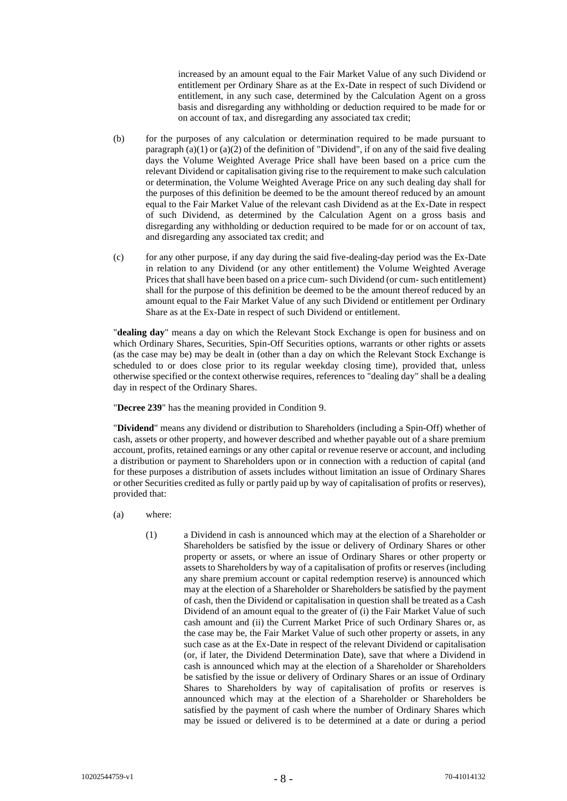increased by an amount equal to the Fair Market Value of any such Dividend or entitlement per Ordinary Share as at the Ex-Date in respect of such Dividend or entitlement, in any such case, determined by the Calculation Agent on a gross basis and disregarding any withholding or deduction required to be made for or on account of tax, and disregarding any associated tax credit;

- (b) for the purposes of any calculation or determination required to be made pursuant to paragraph  $(a)(1)$  or  $(a)(2)$  of the definition of "Dividend", if on any of the said five dealing days the Volume Weighted Average Price shall have been based on a price cum the relevant Dividend or capitalisation giving rise to the requirement to make such calculation or determination, the Volume Weighted Average Price on any such dealing day shall for the purposes of this definition be deemed to be the amount thereof reduced by an amount equal to the Fair Market Value of the relevant cash Dividend as at the Ex-Date in respect of such Dividend, as determined by the Calculation Agent on a gross basis and disregarding any withholding or deduction required to be made for or on account of tax, and disregarding any associated tax credit; and
- (c) for any other purpose, if any day during the said five-dealing-day period was the Ex-Date in relation to any Dividend (or any other entitlement) the Volume Weighted Average Prices that shall have been based on a price cum- such Dividend (or cum- such entitlement) shall for the purpose of this definition be deemed to be the amount thereof reduced by an amount equal to the Fair Market Value of any such Dividend or entitlement per Ordinary Share as at the Ex-Date in respect of such Dividend or entitlement.

"**dealing day**" means a day on which the Relevant Stock Exchange is open for business and on which Ordinary Shares, Securities, Spin-Off Securities options, warrants or other rights or assets (as the case may be) may be dealt in (other than a day on which the Relevant Stock Exchange is scheduled to or does close prior to its regular weekday closing time), provided that, unless otherwise specified or the context otherwise requires, references to "dealing day" shall be a dealing day in respect of the Ordinary Shares.

"**Decree 239**" has the meaning provided in Condition [9.](#page-42-0)

"**Dividend**" means any dividend or distribution to Shareholders (including a Spin-Off) whether of cash, assets or other property, and however described and whether payable out of a share premium account, profits, retained earnings or any other capital or revenue reserve or account, and including a distribution or payment to Shareholders upon or in connection with a reduction of capital (and for these purposes a distribution of assets includes without limitation an issue of Ordinary Shares or other Securities credited as fully or partly paid up by way of capitalisation of profits or reserves), provided that:

- <span id="page-7-0"></span>(a) where:
	- (1) a Dividend in cash is announced which may at the election of a Shareholder or Shareholders be satisfied by the issue or delivery of Ordinary Shares or other property or assets, or where an issue of Ordinary Shares or other property or assets to Shareholders by way of a capitalisation of profits or reserves (including any share premium account or capital redemption reserve) is announced which may at the election of a Shareholder or Shareholders be satisfied by the payment of cash, then the Dividend or capitalisation in question shall be treated as a Cash Dividend of an amount equal to the greater of (i) the Fair Market Value of such cash amount and (ii) the Current Market Price of such Ordinary Shares or, as the case may be, the Fair Market Value of such other property or assets, in any such case as at the Ex-Date in respect of the relevant Dividend or capitalisation (or, if later, the Dividend Determination Date), save that where a Dividend in cash is announced which may at the election of a Shareholder or Shareholders be satisfied by the issue or delivery of Ordinary Shares or an issue of Ordinary Shares to Shareholders by way of capitalisation of profits or reserves is announced which may at the election of a Shareholder or Shareholders be satisfied by the payment of cash where the number of Ordinary Shares which may be issued or delivered is to be determined at a date or during a period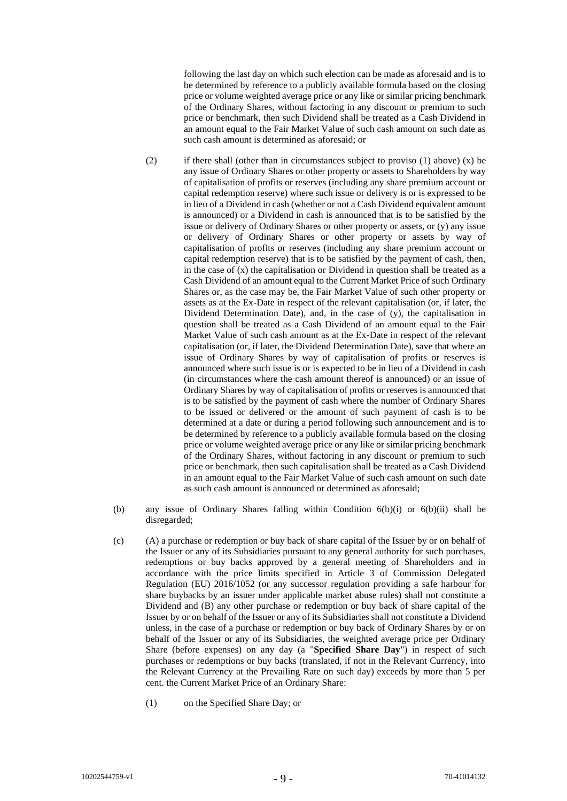following the last day on which such election can be made as aforesaid and is to be determined by reference to a publicly available formula based on the closing price or volume weighted average price or any like or similar pricing benchmark of the Ordinary Shares, without factoring in any discount or premium to such price or benchmark, then such Dividend shall be treated as a Cash Dividend in an amount equal to the Fair Market Value of such cash amount on such date as such cash amount is determined as aforesaid; or

- (2) if there shall (other than in circumstances subject to proviso (1) above)  $(x)$  be any issue of Ordinary Shares or other property or assets to Shareholders by way of capitalisation of profits or reserves (including any share premium account or capital redemption reserve) where such issue or delivery is or is expressed to be in lieu of a Dividend in cash (whether or not a Cash Dividend equivalent amount is announced) or a Dividend in cash is announced that is to be satisfied by the issue or delivery of Ordinary Shares or other property or assets, or (y) any issue or delivery of Ordinary Shares or other property or assets by way of capitalisation of profits or reserves (including any share premium account or capital redemption reserve) that is to be satisfied by the payment of cash, then, in the case of  $(x)$  the capitalisation or Dividend in question shall be treated as a Cash Dividend of an amount equal to the Current Market Price of such Ordinary Shares or, as the case may be, the Fair Market Value of such other property or assets as at the Ex-Date in respect of the relevant capitalisation (or, if later, the Dividend Determination Date), and, in the case of (y), the capitalisation in question shall be treated as a Cash Dividend of an amount equal to the Fair Market Value of such cash amount as at the Ex-Date in respect of the relevant capitalisation (or, if later, the Dividend Determination Date), save that where an issue of Ordinary Shares by way of capitalisation of profits or reserves is announced where such issue is or is expected to be in lieu of a Dividend in cash (in circumstances where the cash amount thereof is announced) or an issue of Ordinary Shares by way of capitalisation of profits or reserves is announced that is to be satisfied by the payment of cash where the number of Ordinary Shares to be issued or delivered or the amount of such payment of cash is to be determined at a date or during a period following such announcement and is to be determined by reference to a publicly available formula based on the closing price or volume weighted average price or any like or similar pricing benchmark of the Ordinary Shares, without factoring in any discount or premium to such price or benchmark, then such capitalisation shall be treated as a Cash Dividend in an amount equal to the Fair Market Value of such cash amount on such date as such cash amount is announced or determined as aforesaid;
- (b) any issue of Ordinary Shares falling within Condition [6\(b\)\(i\)](#page-20-0) or [6\(b\)\(ii\)](#page-21-0) shall be disregarded;
- <span id="page-8-0"></span>(c) (A) a purchase or redemption or buy back of share capital of the Issuer by or on behalf of the Issuer or any of its Subsidiaries pursuant to any general authority for such purchases, redemptions or buy backs approved by a general meeting of Shareholders and in accordance with the price limits specified in Article 3 of Commission Delegated Regulation (EU) 2016/1052 (or any successor regulation providing a safe harbour for share buybacks by an issuer under applicable market abuse rules) shall not constitute a Dividend and (B) any other purchase or redemption or buy back of share capital of the Issuer by or on behalf of the Issuer or any of its Subsidiaries shall not constitute a Dividend unless, in the case of a purchase or redemption or buy back of Ordinary Shares by or on behalf of the Issuer or any of its Subsidiaries, the weighted average price per Ordinary Share (before expenses) on any day (a "**Specified Share Day**") in respect of such purchases or redemptions or buy backs (translated, if not in the Relevant Currency, into the Relevant Currency at the Prevailing Rate on such day) exceeds by more than 5 per cent. the Current Market Price of an Ordinary Share:
	- (1) on the Specified Share Day; or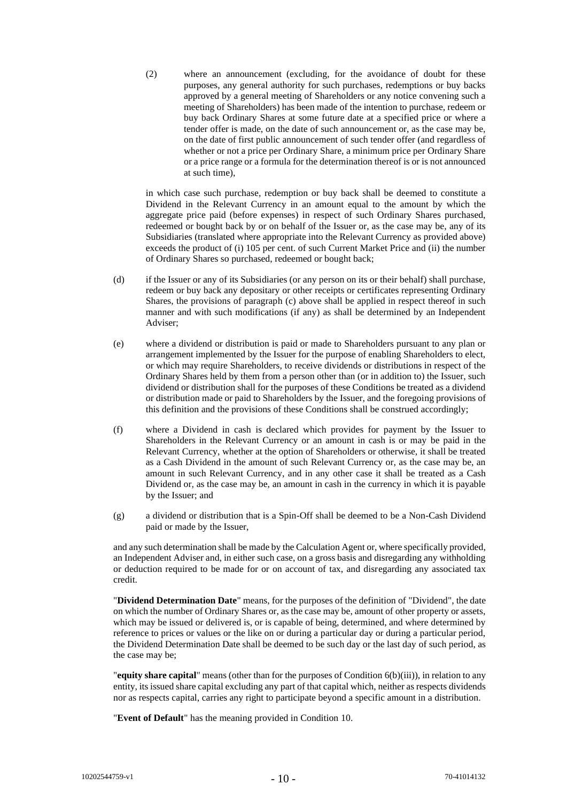(2) where an announcement (excluding, for the avoidance of doubt for these purposes, any general authority for such purchases, redemptions or buy backs approved by a general meeting of Shareholders or any notice convening such a meeting of Shareholders) has been made of the intention to purchase, redeem or buy back Ordinary Shares at some future date at a specified price or where a tender offer is made, on the date of such announcement or, as the case may be, on the date of first public announcement of such tender offer (and regardless of whether or not a price per Ordinary Share, a minimum price per Ordinary Share or a price range or a formula for the determination thereof is or is not announced at such time),

in which case such purchase, redemption or buy back shall be deemed to constitute a Dividend in the Relevant Currency in an amount equal to the amount by which the aggregate price paid (before expenses) in respect of such Ordinary Shares purchased, redeemed or bought back by or on behalf of the Issuer or, as the case may be, any of its Subsidiaries (translated where appropriate into the Relevant Currency as provided above) exceeds the product of (i) 105 per cent. of such Current Market Price and (ii) the number of Ordinary Shares so purchased, redeemed or bought back;

- (d) if the Issuer or any of its Subsidiaries (or any person on its or their behalf) shall purchase, redeem or buy back any depositary or other receipts or certificates representing Ordinary Shares, the provisions of paragraph [\(c\)](#page-8-0) above shall be applied in respect thereof in such manner and with such modifications (if any) as shall be determined by an Independent Adviser;
- (e) where a dividend or distribution is paid or made to Shareholders pursuant to any plan or arrangement implemented by the Issuer for the purpose of enabling Shareholders to elect, or which may require Shareholders, to receive dividends or distributions in respect of the Ordinary Shares held by them from a person other than (or in addition to) the Issuer, such dividend or distribution shall for the purposes of these Conditions be treated as a dividend or distribution made or paid to Shareholders by the Issuer, and the foregoing provisions of this definition and the provisions of these Conditions shall be construed accordingly;
- (f) where a Dividend in cash is declared which provides for payment by the Issuer to Shareholders in the Relevant Currency or an amount in cash is or may be paid in the Relevant Currency, whether at the option of Shareholders or otherwise, it shall be treated as a Cash Dividend in the amount of such Relevant Currency or, as the case may be, an amount in such Relevant Currency, and in any other case it shall be treated as a Cash Dividend or, as the case may be, an amount in cash in the currency in which it is payable by the Issuer; and
- (g) a dividend or distribution that is a Spin-Off shall be deemed to be a Non-Cash Dividend paid or made by the Issuer,

and any such determination shall be made by the Calculation Agent or, where specifically provided, an Independent Adviser and, in either such case, on a gross basis and disregarding any withholding or deduction required to be made for or on account of tax, and disregarding any associated tax credit.

"**Dividend Determination Date**" means, for the purposes of the definition of "Dividend", the date on which the number of Ordinary Shares or, as the case may be, amount of other property or assets, which may be issued or delivered is, or is capable of being, determined, and where determined by reference to prices or values or the like on or during a particular day or during a particular period, the Dividend Determination Date shall be deemed to be such day or the last day of such period, as the case may be;

"**equity share capital**" means (other than for the purposes of Condition [6\(b\)\(iii\)\)](#page-21-1), in relation to any entity, its issued share capital excluding any part of that capital which, neither as respects dividends nor as respects capital, carries any right to participate beyond a specific amount in a distribution.

"**Event of Default**" has the meaning provided in Condition [10.](#page-43-0)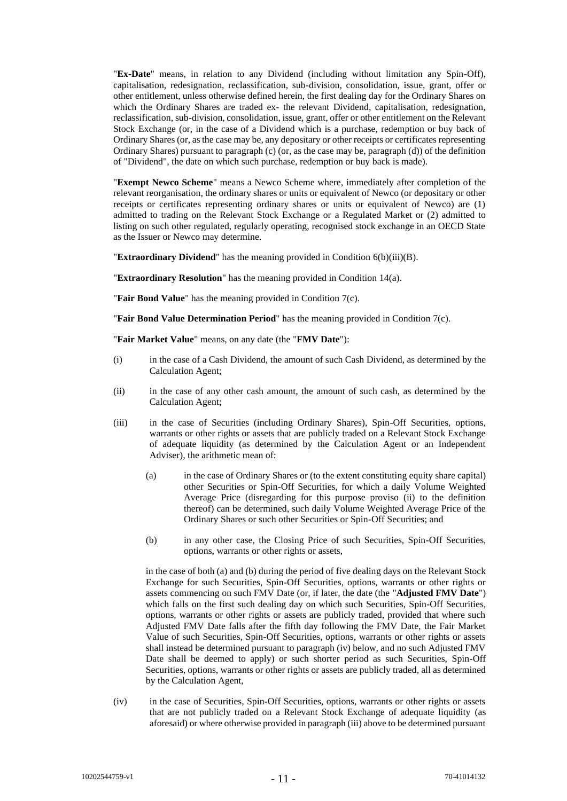"**Ex-Date**" means, in relation to any Dividend (including without limitation any Spin-Off), capitalisation, redesignation, reclassification, sub-division, consolidation, issue, grant, offer or other entitlement, unless otherwise defined herein, the first dealing day for the Ordinary Shares on which the Ordinary Shares are traded ex- the relevant Dividend, capitalisation, redesignation, reclassification, sub-division, consolidation, issue, grant, offer or other entitlement on the Relevant Stock Exchange (or, in the case of a Dividend which is a purchase, redemption or buy back of Ordinary Shares (or, as the case may be, any depositary or other receipts or certificates representing Ordinary Shares) pursuant to paragraph (c) (or, as the case may be, paragraph (d)) of the definition of "Dividend", the date on which such purchase, redemption or buy back is made).

"**Exempt Newco Scheme**" means a Newco Scheme where, immediately after completion of the relevant reorganisation, the ordinary shares or units or equivalent of Newco (or depositary or other receipts or certificates representing ordinary shares or units or equivalent of Newco) are (1) admitted to trading on the Relevant Stock Exchange or a Regulated Market or (2) admitted to listing on such other regulated, regularly operating, recognised stock exchange in an OECD State as the Issuer or Newco may determine.

"**Extraordinary Dividend**" has the meaning provided in Conditio[n 6\(b\)\(iii\)\(B\).](#page-22-0)

"**Extraordinary Resolution**" has the meaning provided in Condition [14\(a\).](#page-50-0)

"**Fair Bond Value**" has the meaning provided in Condition [7\(c\).](#page-38-0)

"**Fair Bond Value Determination Period**" has the meaning provided in Conditio[n 7\(c\).](#page-38-0)

"**Fair Market Value**" means, on any date (the "**FMV Date**"):

- (i) in the case of a Cash Dividend, the amount of such Cash Dividend, as determined by the Calculation Agent;
- (ii) in the case of any other cash amount, the amount of such cash, as determined by the Calculation Agent;
- (iii) in the case of Securities (including Ordinary Shares), Spin-Off Securities, options, warrants or other rights or assets that are publicly traded on a Relevant Stock Exchange of adequate liquidity (as determined by the Calculation Agent or an Independent Adviser), the arithmetic mean of:
	- (a) in the case of Ordinary Shares or (to the extent constituting equity share capital) other Securities or Spin-Off Securities, for which a daily Volume Weighted Average Price (disregarding for this purpose proviso (ii) to the definition thereof) can be determined, such daily Volume Weighted Average Price of the Ordinary Shares or such other Securities or Spin-Off Securities; and
	- (b) in any other case, the Closing Price of such Securities, Spin-Off Securities, options, warrants or other rights or assets,

in the case of both (a) and (b) during the period of five dealing days on the Relevant Stock Exchange for such Securities, Spin-Off Securities, options, warrants or other rights or assets commencing on such FMV Date (or, if later, the date (the "**Adjusted FMV Date**") which falls on the first such dealing day on which such Securities, Spin-Off Securities, options, warrants or other rights or assets are publicly traded, provided that where such Adjusted FMV Date falls after the fifth day following the FMV Date, the Fair Market Value of such Securities, Spin-Off Securities, options, warrants or other rights or assets shall instead be determined pursuant to paragraph (iv) below, and no such Adjusted FMV Date shall be deemed to apply) or such shorter period as such Securities, Spin-Off Securities, options, warrants or other rights or assets are publicly traded, all as determined by the Calculation Agent,

(iv) in the case of Securities, Spin-Off Securities, options, warrants or other rights or assets that are not publicly traded on a Relevant Stock Exchange of adequate liquidity (as aforesaid) or where otherwise provided in paragraph (iii) above to be determined pursuant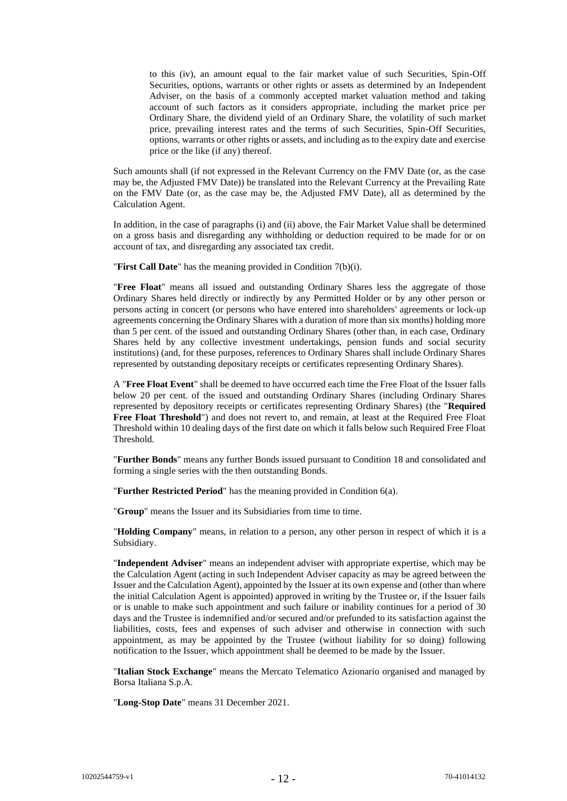to this (iv), an amount equal to the fair market value of such Securities, Spin-Off Securities, options, warrants or other rights or assets as determined by an Independent Adviser, on the basis of a commonly accepted market valuation method and taking account of such factors as it considers appropriate, including the market price per Ordinary Share, the dividend yield of an Ordinary Share, the volatility of such market price, prevailing interest rates and the terms of such Securities, Spin-Off Securities, options, warrants or other rights or assets, and including as to the expiry date and exercise price or the like (if any) thereof.

Such amounts shall (if not expressed in the Relevant Currency on the FMV Date (or, as the case may be, the Adjusted FMV Date)) be translated into the Relevant Currency at the Prevailing Rate on the FMV Date (or, as the case may be, the Adjusted FMV Date), all as determined by the Calculation Agent.

In addition, in the case of paragraphs (i) and (ii) above, the Fair Market Value shall be determined on a gross basis and disregarding any withholding or deduction required to be made for or on account of tax, and disregarding any associated tax credit.

"**First Call Date**" has the meaning provided in Condition [7\(b\)\(i\).](#page-37-0)

"**Free Float**" means all issued and outstanding Ordinary Shares less the aggregate of those Ordinary Shares held directly or indirectly by any Permitted Holder or by any other person or persons acting in concert (or persons who have entered into shareholders' agreements or lock-up agreements concerning the Ordinary Shares with a duration of more than six months) holding more than 5 per cent. of the issued and outstanding Ordinary Shares (other than, in each case, Ordinary Shares held by any collective investment undertakings, pension funds and social security institutions) (and, for these purposes, references to Ordinary Shares shall include Ordinary Shares represented by outstanding depositary receipts or certificates representing Ordinary Shares).

A "**Free Float Event**" shall be deemed to have occurred each time the Free Float of the Issuer falls below 20 per cent. of the issued and outstanding Ordinary Shares (including Ordinary Shares represented by depository receipts or certificates representing Ordinary Shares) (the "**Required Free Float Threshold**") and does not revert to, and remain, at least at the Required Free Float Threshold within 10 dealing days of the first date on which it falls below such Required Free Float Threshold.

"**Further Bonds**" means any further Bonds issued pursuant to Condition [18](#page-54-0) and consolidated and forming a single series with the then outstanding Bonds.

"**Further Restricted Period**" has the meaning provided in Condition [6\(a\).](#page-18-1)

"**Group**" means the Issuer and its Subsidiaries from time to time.

"**Holding Company**" means, in relation to a person, any other person in respect of which it is a Subsidiary.

"**Independent Adviser**" means an independent adviser with appropriate expertise, which may be the Calculation Agent (acting in such Independent Adviser capacity as may be agreed between the Issuer and the Calculation Agent), appointed by the Issuer at its own expense and (other than where the initial Calculation Agent is appointed) approved in writing by the Trustee or, if the Issuer fails or is unable to make such appointment and such failure or inability continues for a period of 30 days and the Trustee is indemnified and/or secured and/or prefunded to its satisfaction against the liabilities, costs, fees and expenses of such adviser and otherwise in connection with such appointment, as may be appointed by the Trustee (without liability for so doing) following notification to the Issuer, which appointment shall be deemed to be made by the Issuer.

"**Italian Stock Exchange**" means the Mercato Telematico Azionario organised and managed by Borsa Italiana S.p.A.

"**Long-Stop Date**" means 31 December 2021.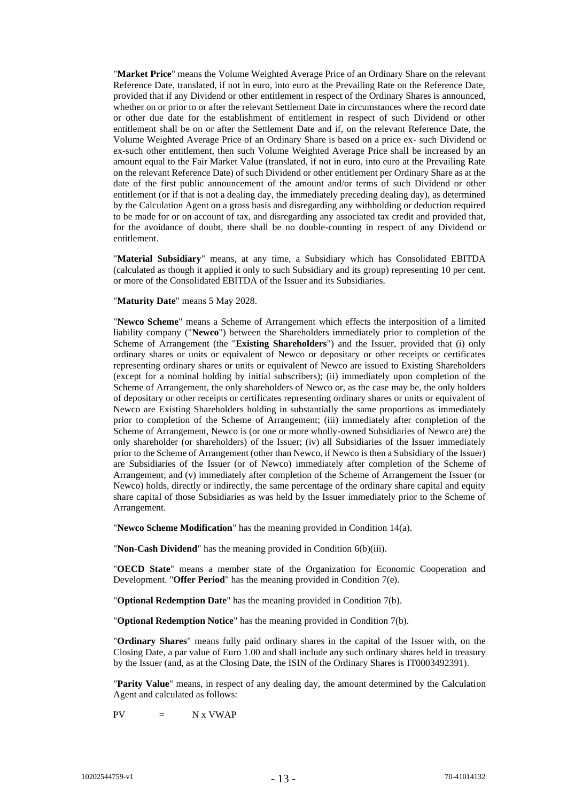"**Market Price**" means the Volume Weighted Average Price of an Ordinary Share on the relevant Reference Date, translated, if not in euro, into euro at the Prevailing Rate on the Reference Date, provided that if any Dividend or other entitlement in respect of the Ordinary Shares is announced, whether on or prior to or after the relevant Settlement Date in circumstances where the record date or other due date for the establishment of entitlement in respect of such Dividend or other entitlement shall be on or after the Settlement Date and if, on the relevant Reference Date, the Volume Weighted Average Price of an Ordinary Share is based on a price ex- such Dividend or ex-such other entitlement, then such Volume Weighted Average Price shall be increased by an amount equal to the Fair Market Value (translated, if not in euro, into euro at the Prevailing Rate on the relevant Reference Date) of such Dividend or other entitlement per Ordinary Share as at the date of the first public announcement of the amount and/or terms of such Dividend or other entitlement (or if that is not a dealing day, the immediately preceding dealing day), as determined by the Calculation Agent on a gross basis and disregarding any withholding or deduction required to be made for or on account of tax, and disregarding any associated tax credit and provided that, for the avoidance of doubt, there shall be no double-counting in respect of any Dividend or entitlement.

"**Material Subsidiary**" means, at any time, a Subsidiary which has Consolidated EBITDA (calculated as though it applied it only to such Subsidiary and its group) representing 10 per cent. or more of the Consolidated EBITDA of the Issuer and its Subsidiaries.

"**Maturity Date**" means 5 May 2028.

"**Newco Scheme**" means a Scheme of Arrangement which effects the interposition of a limited liability company ("**Newco**") between the Shareholders immediately prior to completion of the Scheme of Arrangement (the "**Existing Shareholders**") and the Issuer, provided that (i) only ordinary shares or units or equivalent of Newco or depositary or other receipts or certificates representing ordinary shares or units or equivalent of Newco are issued to Existing Shareholders (except for a nominal holding by initial subscribers); (ii) immediately upon completion of the Scheme of Arrangement, the only shareholders of Newco or, as the case may be, the only holders of depositary or other receipts or certificates representing ordinary shares or units or equivalent of Newco are Existing Shareholders holding in substantially the same proportions as immediately prior to completion of the Scheme of Arrangement; (iii) immediately after completion of the Scheme of Arrangement, Newco is (or one or more wholly-owned Subsidiaries of Newco are) the only shareholder (or shareholders) of the Issuer; (iv) all Subsidiaries of the Issuer immediately prior to the Scheme of Arrangement (other than Newco, if Newco is then a Subsidiary of the Issuer) are Subsidiaries of the Issuer (or of Newco) immediately after completion of the Scheme of Arrangement; and (v) immediately after completion of the Scheme of Arrangement the Issuer (or Newco) holds, directly or indirectly, the same percentage of the ordinary share capital and equity share capital of those Subsidiaries as was held by the Issuer immediately prior to the Scheme of Arrangement.

"**Newco Scheme Modification**" has the meaning provided in Condition [14\(a\).](#page-50-0)

"**Non-Cash Dividend**" has the meaning provided in Condition [6\(b\)\(iii\).](#page-21-1)

"**OECD State**" means a member state of the Organization for Economic Cooperation and Development. "**Offer Period**" has the meaning provided in Condition [7\(e\).](#page-39-0)

"**Optional Redemption Date**" has the meaning provided in Condition [7\(b\).](#page-37-1)

"**Optional Redemption Notice**" has the meaning provided in Condition [7\(b\).](#page-37-1)

"**Ordinary Shares**" means fully paid ordinary shares in the capital of the Issuer with, on the Closing Date, a par value of Euro 1.00 and shall include any such ordinary shares held in treasury by the Issuer (and, as at the Closing Date, the ISIN of the Ordinary Shares is IT0003492391).

"**Parity Value**" means, in respect of any dealing day, the amount determined by the Calculation Agent and calculated as follows:

 $PV = N x VWAP$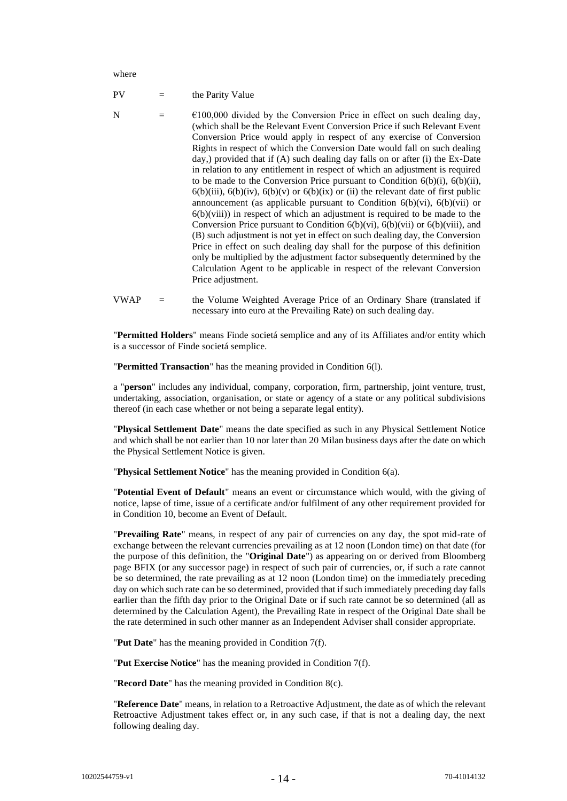where

 $PV =$  the Parity Value

- N  $=$   $\epsilon$ 100,000 divided by the Conversion Price in effect on such dealing day, (which shall be the Relevant Event Conversion Price if such Relevant Event Conversion Price would apply in respect of any exercise of Conversion Rights in respect of which the Conversion Date would fall on such dealing day,) provided that if (A) such dealing day falls on or after (i) the Ex-Date in relation to any entitlement in respect of which an adjustment is required to be made to the Conversion Price pursuant to Condition [6\(b\)\(i\),](#page-20-0) [6\(b\)\(ii\),](#page-21-0)  $6(b)(iii)$ ,  $6(b)(iv)$ ,  $6(b)(v)$  or  $6(b)(ix)$  or (ii) the relevant date of first public announcement (as applicable pursuant to Condition  $6(b)(vi)$ ,  $6(b)(vii)$  or  $6(b)(viii)$  in respect of which an adjustment is required to be made to the Conversion Price pursuant to Condition  $6(b)(vi)$ ,  $6(b)(vii)$  or  $6(b)(viii)$ , and (B) such adjustment is not yet in effect on such dealing day, the Conversion Price in effect on such dealing day shall for the purpose of this definition only be multiplied by the adjustment factor subsequently determined by the Calculation Agent to be applicable in respect of the relevant Conversion Price adjustment.
- VWAP = the Volume Weighted Average Price of an Ordinary Share (translated if necessary into euro at the Prevailing Rate) on such dealing day.

"**Permitted Holders**" means Finde societá semplice and any of its Affiliates and/or entity which is a successor of Finde societá semplice.

"**Permitted Transaction**" has the meaning provided in Condition [6\(l\).](#page-36-0)

a "**person**" includes any individual, company, corporation, firm, partnership, joint venture, trust, undertaking, association, organisation, or state or agency of a state or any political subdivisions thereof (in each case whether or not being a separate legal entity).

"**Physical Settlement Date**" means the date specified as such in any Physical Settlement Notice and which shall be not earlier than 10 nor later than 20 Milan business days after the date on which the Physical Settlement Notice is given.

"**Physical Settlement Notice**" has the meaning provided in Condition [6\(a\).](#page-18-1)

"**Potential Event of Default**" means an event or circumstance which would, with the giving of notice, lapse of time, issue of a certificate and/or fulfilment of any other requirement provided for in Condition [10,](#page-43-0) become an Event of Default.

"**Prevailing Rate**" means, in respect of any pair of currencies on any day, the spot mid-rate of exchange between the relevant currencies prevailing as at 12 noon (London time) on that date (for the purpose of this definition, the "**Original Date**") as appearing on or derived from Bloomberg page BFIX (or any successor page) in respect of such pair of currencies, or, if such a rate cannot be so determined, the rate prevailing as at 12 noon (London time) on the immediately preceding day on which such rate can be so determined, provided that if such immediately preceding day falls earlier than the fifth day prior to the Original Date or if such rate cannot be so determined (all as determined by the Calculation Agent), the Prevailing Rate in respect of the Original Date shall be the rate determined in such other manner as an Independent Adviser shall consider appropriate.

"**Put Date**" has the meaning provided in Conditio[n 7\(f\).](#page-40-0)

"**Put Exercise Notice**" has the meaning provided in Condition [7\(f\).](#page-40-0)

"**Record Date**" has the meaning provided in Conditio[n 8\(c\).](#page-41-1)

"**Reference Date**" means, in relation to a Retroactive Adjustment, the date as of which the relevant Retroactive Adjustment takes effect or, in any such case, if that is not a dealing day, the next following dealing day.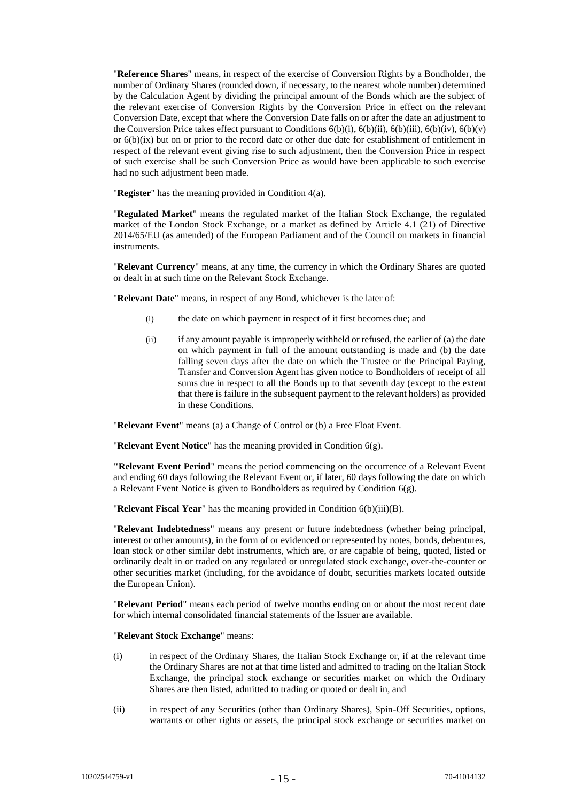"**Reference Shares**" means, in respect of the exercise of Conversion Rights by a Bondholder, the number of Ordinary Shares (rounded down, if necessary, to the nearest whole number) determined by the Calculation Agent by dividing the principal amount of the Bonds which are the subject of the relevant exercise of Conversion Rights by the Conversion Price in effect on the relevant Conversion Date, except that where the Conversion Date falls on or after the date an adjustment to the Conversion Price takes effect pursuant to Conditions  $6(b)(i)$ ,  $6(b)(ii)$ ,  $6(b)(ii)$ ,  $6(b)(iv)$ ,  $6(b)(v)$ or [6\(b\)\(ix\)](#page-28-0) but on or prior to the record date or other due date for establishment of entitlement in respect of the relevant event giving rise to such adjustment, then the Conversion Price in respect of such exercise shall be such Conversion Price as would have been applicable to such exercise had no such adjustment been made.

"**Register**" has the meaning provided in Conditio[n 4\(a\).](#page-17-1)

"**Regulated Market**" means the regulated market of the Italian Stock Exchange, the regulated market of the London Stock Exchange, or a market as defined by Article 4.1 (21) of Directive 2014/65/EU (as amended) of the European Parliament and of the Council on markets in financial instruments.

"**Relevant Currency**" means, at any time, the currency in which the Ordinary Shares are quoted or dealt in at such time on the Relevant Stock Exchange.

"**Relevant Date**" means, in respect of any Bond, whichever is the later of:

- (i) the date on which payment in respect of it first becomes due; and
- $(iii)$  if any amount payable is improperly withheld or refused, the earlier of (a) the date on which payment in full of the amount outstanding is made and (b) the date falling seven days after the date on which the Trustee or the Principal Paying, Transfer and Conversion Agent has given notice to Bondholders of receipt of all sums due in respect to all the Bonds up to that seventh day (except to the extent that there is failure in the subsequent payment to the relevant holders) as provided in these Conditions.

"**Relevant Event**" means (a) a Change of Control or (b) a Free Float Event.

"**Relevant Event Notice**" has the meaning provided in Condition [6\(g\).](#page-33-0)

**"Relevant Event Period**" means the period commencing on the occurrence of a Relevant Event and ending 60 days following the Relevant Event or, if later, 60 days following the date on which a Relevant Event Notice is given to Bondholders as required by Condition [6\(g\).](#page-33-0)

"**Relevant Fiscal Year**" has the meaning provided in Condition [6\(b\)\(iii\)\(B\).](#page-22-0)

"**Relevant Indebtedness**" means any present or future indebtedness (whether being principal, interest or other amounts), in the form of or evidenced or represented by notes, bonds, debentures, loan stock or other similar debt instruments, which are, or are capable of being, quoted, listed or ordinarily dealt in or traded on any regulated or unregulated stock exchange, over-the-counter or other securities market (including, for the avoidance of doubt, securities markets located outside the European Union).

"**Relevant Period**" means each period of twelve months ending on or about the most recent date for which internal consolidated financial statements of the Issuer are available.

"**Relevant Stock Exchange**" means:

- (i) in respect of the Ordinary Shares, the Italian Stock Exchange or, if at the relevant time the Ordinary Shares are not at that time listed and admitted to trading on the Italian Stock Exchange, the principal stock exchange or securities market on which the Ordinary Shares are then listed, admitted to trading or quoted or dealt in, and
- (ii) in respect of any Securities (other than Ordinary Shares), Spin-Off Securities, options, warrants or other rights or assets, the principal stock exchange or securities market on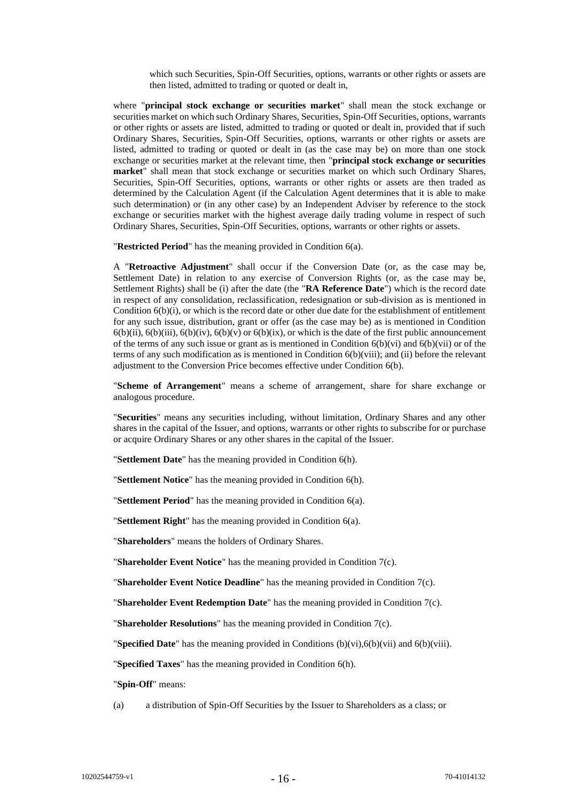which such Securities, Spin-Off Securities, options, warrants or other rights or assets are then listed, admitted to trading or quoted or dealt in,

where "**principal stock exchange or securities market**" shall mean the stock exchange or securities market on which such Ordinary Shares, Securities, Spin-Off Securities, options, warrants or other rights or assets are listed, admitted to trading or quoted or dealt in, provided that if such Ordinary Shares, Securities, Spin-Off Securities, options, warrants or other rights or assets are listed, admitted to trading or quoted or dealt in (as the case may be) on more than one stock exchange or securities market at the relevant time, then "**principal stock exchange or securities market**" shall mean that stock exchange or securities market on which such Ordinary Shares, Securities, Spin-Off Securities, options, warrants or other rights or assets are then traded as determined by the Calculation Agent (if the Calculation Agent determines that it is able to make such determination) or (in any other case) by an Independent Adviser by reference to the stock exchange or securities market with the highest average daily trading volume in respect of such Ordinary Shares, Securities, Spin-Off Securities, options, warrants or other rights or assets.

"**Restricted Period**" has the meaning provided in Conditio[n 6\(a\).](#page-18-1)

A "**Retroactive Adjustment**" shall occur if the Conversion Date (or, as the case may be, Settlement Date) in relation to any exercise of Conversion Rights (or, as the case may be, Settlement Rights) shall be (i) after the date (the "**RA Reference Date**") which is the record date in respect of any consolidation, reclassification, redesignation or sub-division as is mentioned in Conditio[n 6\(b\)\(i\),](#page-20-0) or which is the record date or other due date for the establishment of entitlement for any such issue, distribution, grant or offer (as the case may be) as is mentioned in Condition  $6(b)(ii)$ ,  $6(b)(iii)$ ,  $6(b)(iv)$ ,  $6(b)(v)$  or  $6(b)(ix)$ , or which is the date of the first public announcement of the terms of any such issue or grant as is mentioned in Condition [6\(b\)\(vi\)](#page-25-0) an[d 6\(b\)\(vii\)](#page-26-0) or of the terms of any such modification as is mentioned in Condition [6\(b\)\(viii\);](#page-27-0) and (ii) before the relevant adjustment to the Conversion Price becomes effective under Condition [6\(b\).](#page-20-1)

"**Scheme of Arrangement**" means a scheme of arrangement, share for share exchange or analogous procedure.

"**Securities**" means any securities including, without limitation, Ordinary Shares and any other shares in the capital of the Issuer, and options, warrants or other rights to subscribe for or purchase or acquire Ordinary Shares or any other shares in the capital of the Issuer.

"**Settlement Date**" has the meaning provided in Condition [6\(h\).](#page-34-0)

"**Settlement Notice**" has the meaning provided in Condition [6\(h\).](#page-34-0)

"**Settlement Period**" has the meaning provided in Condition [6\(a\).](#page-18-1)

"**Settlement Right**" has the meaning provided in Condition [6\(a\).](#page-18-1)

"**Shareholders**" means the holders of Ordinary Shares.

"**Shareholder Event Notice**" has the meaning provided in Condition [7\(c\).](#page-38-0)

"**Shareholder Event Notice Deadline**" has the meaning provided in Condition [7\(c\).](#page-38-0)

"**Shareholder Event Redemption Date**" has the meaning provided in Condition [7\(c\).](#page-38-0)

"**Shareholder Resolutions**" has the meaning provided in Condition [7\(c\).](#page-38-0)

"**Specified Date**" has the meaning provided in Conditions [\(b\)](#page-20-1)[\(vi\),](#page-25-0)[6\(b\)\(vii\)](#page-26-0) and [6\(b\)\(viii\).](#page-27-0)

"**Specified Taxes**" has the meaning provided in Condition [6\(h\).](#page-34-0)

"**Spin-Off**" means:

(a) a distribution of Spin-Off Securities by the Issuer to Shareholders as a class; or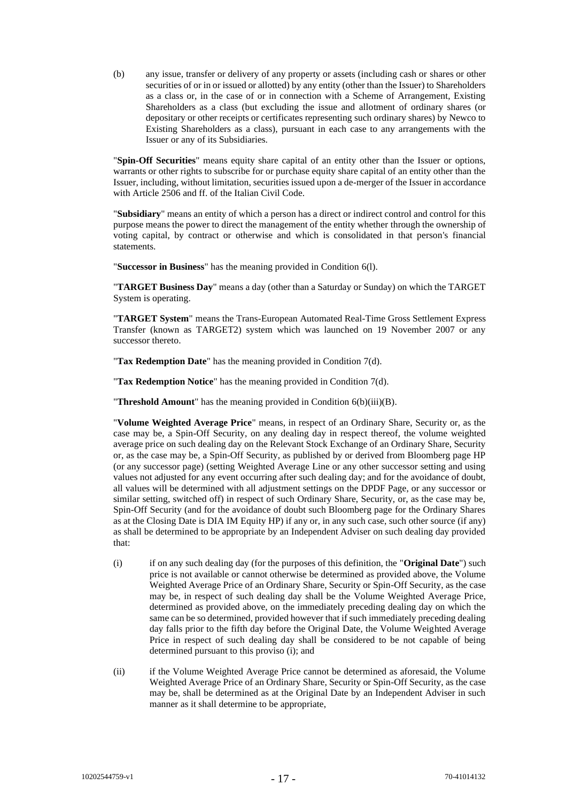(b) any issue, transfer or delivery of any property or assets (including cash or shares or other securities of or in or issued or allotted) by any entity (other than the Issuer) to Shareholders as a class or, in the case of or in connection with a Scheme of Arrangement, Existing Shareholders as a class (but excluding the issue and allotment of ordinary shares (or depositary or other receipts or certificates representing such ordinary shares) by Newco to Existing Shareholders as a class), pursuant in each case to any arrangements with the Issuer or any of its Subsidiaries.

"**Spin-Off Securities**" means equity share capital of an entity other than the Issuer or options, warrants or other rights to subscribe for or purchase equity share capital of an entity other than the Issuer, including, without limitation, securities issued upon a de-merger of the Issuer in accordance with Article 2506 and ff. of the Italian Civil Code.

"**Subsidiary**" means an entity of which a person has a direct or indirect control and control for this purpose means the power to direct the management of the entity whether through the ownership of voting capital, by contract or otherwise and which is consolidated in that person's financial statements.

"**Successor in Business**" has the meaning provided in Conditio[n 6\(l\).](#page-36-0)

"**TARGET Business Day**" means a day (other than a Saturday or Sunday) on which the TARGET System is operating.

"**TARGET System**" means the Trans-European Automated Real-Time Gross Settlement Express Transfer (known as TARGET2) system which was launched on 19 November 2007 or any successor thereto.

"**Tax Redemption Date**" has the meaning provided in Condition [7\(d\).](#page-38-1)

"**Tax Redemption Notice**" has the meaning provided in Condition [7\(d\).](#page-38-1)

"**Threshold Amount**" has the meaning provided in Condition [6\(b\)\(iii\)\(B\).](#page-22-0)

"**Volume Weighted Average Price**" means, in respect of an Ordinary Share, Security or, as the case may be, a Spin-Off Security, on any dealing day in respect thereof, the volume weighted average price on such dealing day on the Relevant Stock Exchange of an Ordinary Share, Security or, as the case may be, a Spin-Off Security, as published by or derived from Bloomberg page HP (or any successor page) (setting Weighted Average Line or any other successor setting and using values not adjusted for any event occurring after such dealing day; and for the avoidance of doubt, all values will be determined with all adjustment settings on the DPDF Page, or any successor or similar setting, switched off) in respect of such Ordinary Share, Security, or, as the case may be, Spin-Off Security (and for the avoidance of doubt such Bloomberg page for the Ordinary Shares as at the Closing Date is DIA IM Equity HP) if any or, in any such case, such other source (if any) as shall be determined to be appropriate by an Independent Adviser on such dealing day provided that:

- (i) if on any such dealing day (for the purposes of this definition, the "**Original Date**") such price is not available or cannot otherwise be determined as provided above, the Volume Weighted Average Price of an Ordinary Share, Security or Spin-Off Security, as the case may be, in respect of such dealing day shall be the Volume Weighted Average Price, determined as provided above, on the immediately preceding dealing day on which the same can be so determined, provided however that if such immediately preceding dealing day falls prior to the fifth day before the Original Date, the Volume Weighted Average Price in respect of such dealing day shall be considered to be not capable of being determined pursuant to this proviso (i); and
- (ii) if the Volume Weighted Average Price cannot be determined as aforesaid, the Volume Weighted Average Price of an Ordinary Share, Security or Spin-Off Security, as the case may be, shall be determined as at the Original Date by an Independent Adviser in such manner as it shall determine to be appropriate,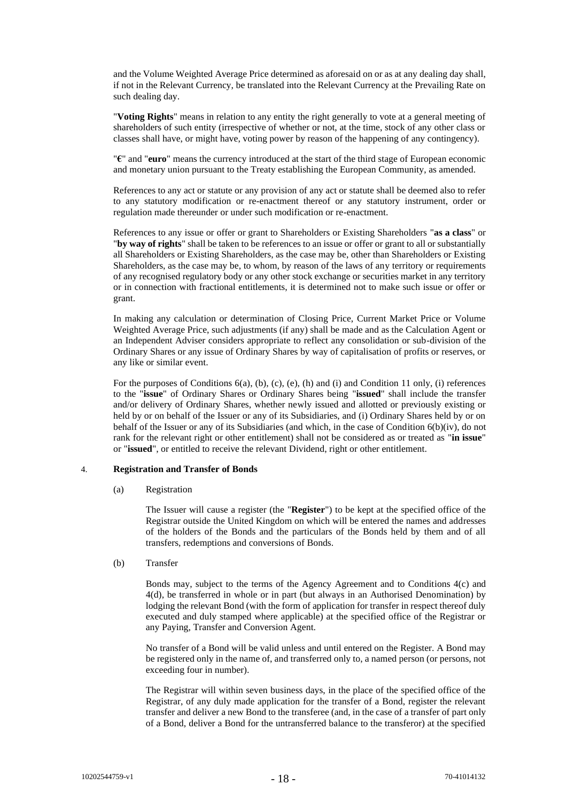and the Volume Weighted Average Price determined as aforesaid on or as at any dealing day shall, if not in the Relevant Currency, be translated into the Relevant Currency at the Prevailing Rate on such dealing day.

"**Voting Rights**" means in relation to any entity the right generally to vote at a general meeting of shareholders of such entity (irrespective of whether or not, at the time, stock of any other class or classes shall have, or might have, voting power by reason of the happening of any contingency).

"**€**" and "**euro**" means the currency introduced at the start of the third stage of European economic and monetary union pursuant to the Treaty establishing the European Community, as amended.

References to any act or statute or any provision of any act or statute shall be deemed also to refer to any statutory modification or re-enactment thereof or any statutory instrument, order or regulation made thereunder or under such modification or re-enactment.

References to any issue or offer or grant to Shareholders or Existing Shareholders "**as a class**" or "**by way of rights**" shall be taken to be references to an issue or offer or grant to all or substantially all Shareholders or Existing Shareholders, as the case may be, other than Shareholders or Existing Shareholders, as the case may be, to whom, by reason of the laws of any territory or requirements of any recognised regulatory body or any other stock exchange or securities market in any territory or in connection with fractional entitlements, it is determined not to make such issue or offer or grant.

In making any calculation or determination of Closing Price, Current Market Price or Volume Weighted Average Price, such adjustments (if any) shall be made and as the Calculation Agent or an Independent Adviser considers appropriate to reflect any consolidation or sub-division of the Ordinary Shares or any issue of Ordinary Shares by way of capitalisation of profits or reserves, or any like or similar event.

For the purposes of Conditions [6\(a\),](#page-18-1) [\(b\),](#page-20-1) [\(c\),](#page-31-0) [\(e\),](#page-32-0) [\(h\)](#page-34-0) and [\(i\)](#page-35-0) and Condition [11](#page-44-0) only, (i) references to the "**issue**" of Ordinary Shares or Ordinary Shares being "**issued**" shall include the transfer and/or delivery of Ordinary Shares, whether newly issued and allotted or previously existing or held by or on behalf of the Issuer or any of its Subsidiaries, and (i) Ordinary Shares held by or on behalf of the Issuer or any of its Subsidiaries (and which, in the case of Condition [6\(b\)\(iv\),](#page-23-0) do not rank for the relevant right or other entitlement) shall not be considered as or treated as "**in issue**" or "**issued**", or entitled to receive the relevant Dividend, right or other entitlement.

# <span id="page-17-1"></span><span id="page-17-0"></span>4. **Registration and Transfer of Bonds**

(a) Registration

The Issuer will cause a register (the "**Register**") to be kept at the specified office of the Registrar outside the United Kingdom on which will be entered the names and addresses of the holders of the Bonds and the particulars of the Bonds held by them and of all transfers, redemptions and conversions of Bonds.

(b) Transfer

Bonds may, subject to the terms of the Agency Agreement and to Conditions [4\(c\)](#page-18-2) and [4\(d\),](#page-18-3) be transferred in whole or in part (but always in an Authorised Denomination) by lodging the relevant Bond (with the form of application for transfer in respect thereof duly executed and duly stamped where applicable) at the specified office of the Registrar or any Paying, Transfer and Conversion Agent.

No transfer of a Bond will be valid unless and until entered on the Register. A Bond may be registered only in the name of, and transferred only to, a named person (or persons, not exceeding four in number).

The Registrar will within seven business days, in the place of the specified office of the Registrar, of any duly made application for the transfer of a Bond, register the relevant transfer and deliver a new Bond to the transferee (and, in the case of a transfer of part only of a Bond, deliver a Bond for the untransferred balance to the transferor) at the specified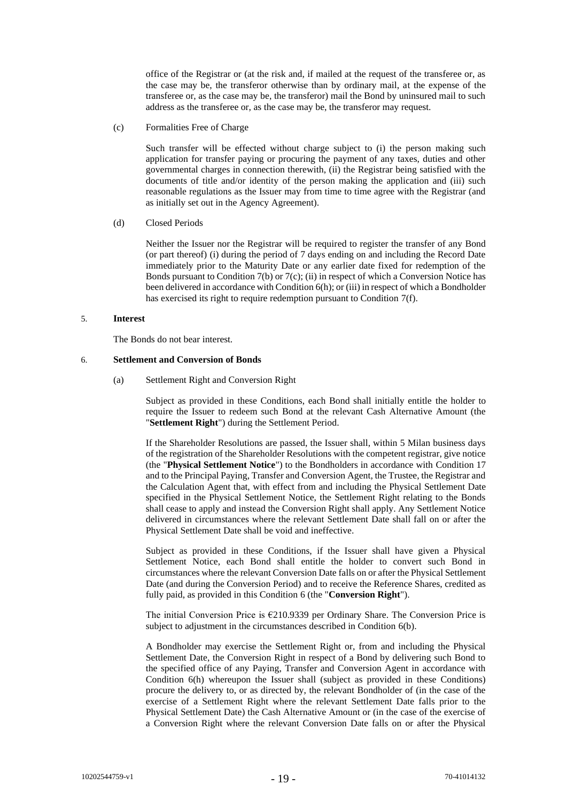office of the Registrar or (at the risk and, if mailed at the request of the transferee or, as the case may be, the transferor otherwise than by ordinary mail, at the expense of the transferee or, as the case may be, the transferor) mail the Bond by uninsured mail to such address as the transferee or, as the case may be, the transferor may request.

<span id="page-18-2"></span>(c) Formalities Free of Charge

Such transfer will be effected without charge subject to (i) the person making such application for transfer paying or procuring the payment of any taxes, duties and other governmental charges in connection therewith, (ii) the Registrar being satisfied with the documents of title and/or identity of the person making the application and (iii) such reasonable regulations as the Issuer may from time to time agree with the Registrar (and as initially set out in the Agency Agreement).

# <span id="page-18-3"></span>(d) Closed Periods

Neither the Issuer nor the Registrar will be required to register the transfer of any Bond (or part thereof) (i) during the period of 7 days ending on and including the Record Date immediately prior to the Maturity Date or any earlier date fixed for redemption of the Bonds pursuant to Condition [7\(b\)](#page-37-1) o[r 7\(c\);](#page-38-0) (ii) in respect of which a Conversion Notice has been delivered in accordance with Conditio[n 6\(h\);](#page-34-0) or (iii) in respect of which a Bondholder has exercised its right to require redemption pursuant to Condition [7\(f\).](#page-40-0)

# 5. **Interest**

The Bonds do not bear interest.

# <span id="page-18-1"></span><span id="page-18-0"></span>6. **Settlement and Conversion of Bonds**

(a) Settlement Right and Conversion Right

Subject as provided in these Conditions, each Bond shall initially entitle the holder to require the Issuer to redeem such Bond at the relevant Cash Alternative Amount (the "**Settlement Right**") during the Settlement Period.

If the Shareholder Resolutions are passed, the Issuer shall, within 5 Milan business days of the registration of the Shareholder Resolutions with the competent registrar, give notice (the "**Physical Settlement Notice**") to the Bondholders in accordance with Condition [17](#page-53-0) and to the Principal Paying, Transfer and Conversion Agent, the Trustee, the Registrar and the Calculation Agent that, with effect from and including the Physical Settlement Date specified in the Physical Settlement Notice, the Settlement Right relating to the Bonds shall cease to apply and instead the Conversion Right shall apply. Any Settlement Notice delivered in circumstances where the relevant Settlement Date shall fall on or after the Physical Settlement Date shall be void and ineffective.

Subject as provided in these Conditions, if the Issuer shall have given a Physical Settlement Notice, each Bond shall entitle the holder to convert such Bond in circumstances where the relevant Conversion Date falls on or after the Physical Settlement Date (and during the Conversion Period) and to receive the Reference Shares, credited as fully paid, as provided in this Condition [6](#page-18-0) (the "**Conversion Right**").

The initial Conversion Price is  $E$ 210.9339 per Ordinary Share. The Conversion Price is subject to adjustment in the circumstances described in Condition [6\(b\).](#page-20-1)

A Bondholder may exercise the Settlement Right or, from and including the Physical Settlement Date, the Conversion Right in respect of a Bond by delivering such Bond to the specified office of any Paying, Transfer and Conversion Agent in accordance with Condition [6\(h\)](#page-34-0) whereupon the Issuer shall (subject as provided in these Conditions) procure the delivery to, or as directed by, the relevant Bondholder of (in the case of the exercise of a Settlement Right where the relevant Settlement Date falls prior to the Physical Settlement Date) the Cash Alternative Amount or (in the case of the exercise of a Conversion Right where the relevant Conversion Date falls on or after the Physical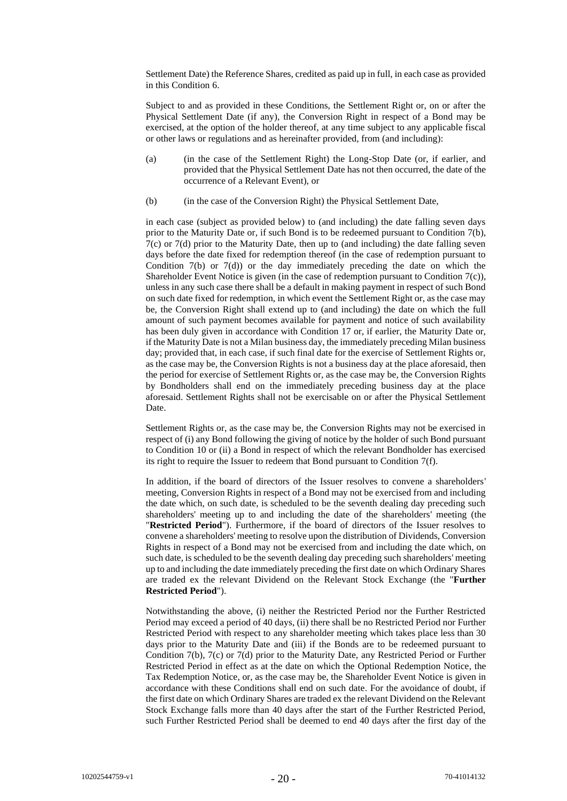Settlement Date) the Reference Shares, credited as paid up in full, in each case as provided in this Condition [6.](#page-18-0)

Subject to and as provided in these Conditions, the Settlement Right or, on or after the Physical Settlement Date (if any), the Conversion Right in respect of a Bond may be exercised, at the option of the holder thereof, at any time subject to any applicable fiscal or other laws or regulations and as hereinafter provided, from (and including):

- (a) (in the case of the Settlement Right) the Long-Stop Date (or, if earlier, and provided that the Physical Settlement Date has not then occurred, the date of the occurrence of a Relevant Event), or
- (b) (in the case of the Conversion Right) the Physical Settlement Date,

in each case (subject as provided below) to (and including) the date falling seven days prior to the Maturity Date or, if such Bond is to be redeemed pursuant to Condition [7\(b\),](#page-37-1) [7\(c\)](#page-38-0) or [7\(d\)](#page-38-1) prior to the Maturity Date, then up to (and including) the date falling seven days before the date fixed for redemption thereof (in the case of redemption pursuant to Condition  $7(b)$  or  $7(d)$ ) or the day immediately preceding the date on which the Shareholder Event Notice is given (in the case of redemption pursuant to Condition [7\(c\)\)](#page-38-0), unless in any such case there shall be a default in making payment in respect of such Bond on such date fixed for redemption, in which event the Settlement Right or, as the case may be, the Conversion Right shall extend up to (and including) the date on which the full amount of such payment becomes available for payment and notice of such availability has been duly given in accordance with Condition [17](#page-53-0) or, if earlier, the Maturity Date or, if the Maturity Date is not a Milan business day, the immediately preceding Milan business day; provided that, in each case, if such final date for the exercise of Settlement Rights or, as the case may be, the Conversion Rights is not a business day at the place aforesaid, then the period for exercise of Settlement Rights or, as the case may be, the Conversion Rights by Bondholders shall end on the immediately preceding business day at the place aforesaid. Settlement Rights shall not be exercisable on or after the Physical Settlement Date.

Settlement Rights or, as the case may be, the Conversion Rights may not be exercised in respect of (i) any Bond following the giving of notice by the holder of such Bond pursuant to Condition [10](#page-43-0) or (ii) a Bond in respect of which the relevant Bondholder has exercised its right to require the Issuer to redeem that Bond pursuant to Condition [7\(f\).](#page-40-0)

In addition, if the board of directors of the Issuer resolves to convene a shareholders' meeting, Conversion Rights in respect of a Bond may not be exercised from and including the date which, on such date, is scheduled to be the seventh dealing day preceding such shareholders' meeting up to and including the date of the shareholders' meeting (the "**Restricted Period**"). Furthermore, if the board of directors of the Issuer resolves to convene a shareholders' meeting to resolve upon the distribution of Dividends, Conversion Rights in respect of a Bond may not be exercised from and including the date which, on such date, is scheduled to be the seventh dealing day preceding such shareholders' meeting up to and including the date immediately preceding the first date on which Ordinary Shares are traded ex the relevant Dividend on the Relevant Stock Exchange (the "**Further Restricted Period**").

Notwithstanding the above, (i) neither the Restricted Period nor the Further Restricted Period may exceed a period of 40 days, (ii) there shall be no Restricted Period nor Further Restricted Period with respect to any shareholder meeting which takes place less than 30 days prior to the Maturity Date and (iii) if the Bonds are to be redeemed pursuant to Condition [7\(b\),](#page-37-1) [7\(c\)](#page-38-0) or [7\(d\)](#page-38-1) prior to the Maturity Date, any Restricted Period or Further Restricted Period in effect as at the date on which the Optional Redemption Notice, the Tax Redemption Notice, or, as the case may be, the Shareholder Event Notice is given in accordance with these Conditions shall end on such date. For the avoidance of doubt, if the first date on which Ordinary Shares are traded ex the relevant Dividend on the Relevant Stock Exchange falls more than 40 days after the start of the Further Restricted Period, such Further Restricted Period shall be deemed to end 40 days after the first day of the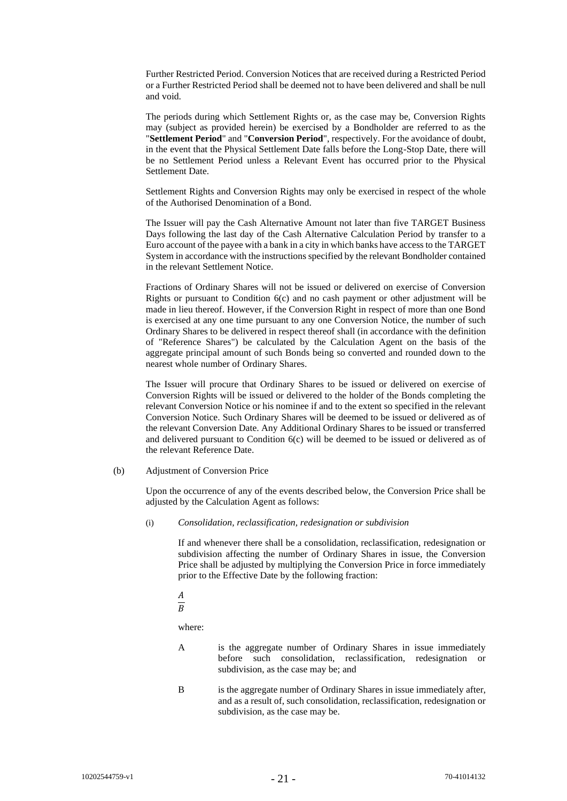Further Restricted Period. Conversion Notices that are received during a Restricted Period or a Further Restricted Period shall be deemed not to have been delivered and shall be null and void.

The periods during which Settlement Rights or, as the case may be, Conversion Rights may (subject as provided herein) be exercised by a Bondholder are referred to as the "**Settlement Period**" and "**Conversion Period**", respectively. For the avoidance of doubt, in the event that the Physical Settlement Date falls before the Long-Stop Date, there will be no Settlement Period unless a Relevant Event has occurred prior to the Physical Settlement Date.

Settlement Rights and Conversion Rights may only be exercised in respect of the whole of the Authorised Denomination of a Bond.

The Issuer will pay the Cash Alternative Amount not later than five TARGET Business Days following the last day of the Cash Alternative Calculation Period by transfer to a Euro account of the payee with a bank in a city in which banks have access to the TARGET System in accordance with the instructions specified by the relevant Bondholder contained in the relevant Settlement Notice.

Fractions of Ordinary Shares will not be issued or delivered on exercise of Conversion Rights or pursuant to Condition [6\(c\)](#page-31-0) and no cash payment or other adjustment will be made in lieu thereof. However, if the Conversion Right in respect of more than one Bond is exercised at any one time pursuant to any one Conversion Notice, the number of such Ordinary Shares to be delivered in respect thereof shall (in accordance with the definition of "Reference Shares") be calculated by the Calculation Agent on the basis of the aggregate principal amount of such Bonds being so converted and rounded down to the nearest whole number of Ordinary Shares.

The Issuer will procure that Ordinary Shares to be issued or delivered on exercise of Conversion Rights will be issued or delivered to the holder of the Bonds completing the relevant Conversion Notice or his nominee if and to the extent so specified in the relevant Conversion Notice. Such Ordinary Shares will be deemed to be issued or delivered as of the relevant Conversion Date. Any Additional Ordinary Shares to be issued or transferred and delivered pursuant to Condition [6\(c\)](#page-31-0) will be deemed to be issued or delivered as of the relevant Reference Date.

<span id="page-20-1"></span><span id="page-20-0"></span>(b) Adjustment of Conversion Price

Upon the occurrence of any of the events described below, the Conversion Price shall be adjusted by the Calculation Agent as follows:

(i) *Consolidation, reclassification, redesignation or subdivision*

If and whenever there shall be a consolidation, reclassification, redesignation or subdivision affecting the number of Ordinary Shares in issue, the Conversion Price shall be adjusted by multiplying the Conversion Price in force immediately prior to the Effective Date by the following fraction:

 $\boldsymbol{A}$ 

 $\overline{B}$ 

where:

- A is the aggregate number of Ordinary Shares in issue immediately before such consolidation, reclassification, redesignation or subdivision, as the case may be; and
- B is the aggregate number of Ordinary Shares in issue immediately after, and as a result of, such consolidation, reclassification, redesignation or subdivision, as the case may be.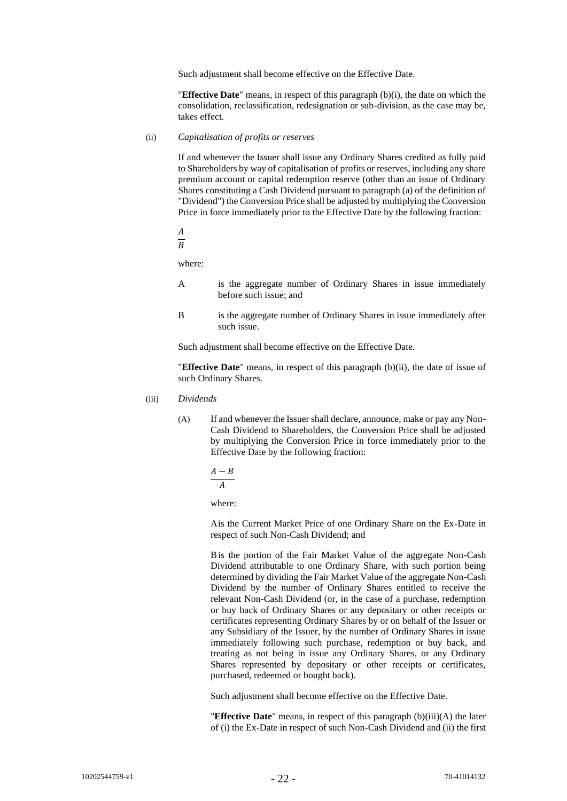Such adjustment shall become effective on the Effective Date.

"**Effective Date**" means, in respect of this paragraph [\(b\)](#page-20-1)[\(i\),](#page-20-0) the date on which the consolidation, reclassification, redesignation or sub-division, as the case may be, takes effect.

#### <span id="page-21-0"></span>(ii) *Capitalisation of profits or reserves*

If and whenever the Issuer shall issue any Ordinary Shares credited as fully paid to Shareholders by way of capitalisation of profits or reserves, including any share premium account or capital redemption reserve (other than an issue of Ordinary Shares constituting a Cash Dividend pursuant to paragraph (a) of the definition of "Dividend") the Conversion Price shall be adjusted by multiplying the Conversion Price in force immediately prior to the Effective Date by the following fraction:

$$
\frac{A}{B}
$$

where:

- A is the aggregate number of Ordinary Shares in issue immediately before such issue; and
- B is the aggregate number of Ordinary Shares in issue immediately after such issue.

Such adjustment shall become effective on the Effective Date.

"**Effective Date**" means, in respect of this paragraph [\(b\)](#page-20-1)[\(ii\),](#page-21-0) the date of issue of such Ordinary Shares.

- <span id="page-21-2"></span><span id="page-21-1"></span>(iii) *Dividends*
	- (A) If and whenever the Issuer shall declare, announce, make or pay any Non-Cash Dividend to Shareholders, the Conversion Price shall be adjusted by multiplying the Conversion Price in force immediately prior to the Effective Date by the following fraction:

$$
\frac{A-B}{A}
$$

$$
\overline{A}
$$

where:

Ais the Current Market Price of one Ordinary Share on the Ex-Date in respect of such Non-Cash Dividend; and

Bis the portion of the Fair Market Value of the aggregate Non-Cash Dividend attributable to one Ordinary Share, with such portion being determined by dividing the Fair Market Value of the aggregate Non-Cash Dividend by the number of Ordinary Shares entitled to receive the relevant Non-Cash Dividend (or, in the case of a purchase, redemption or buy back of Ordinary Shares or any depositary or other receipts or certificates representing Ordinary Shares by or on behalf of the Issuer or any Subsidiary of the Issuer, by the number of Ordinary Shares in issue immediately following such purchase, redemption or buy back, and treating as not being in issue any Ordinary Shares, or any Ordinary Shares represented by depositary or other receipts or certificates, purchased, redeemed or bought back).

Such adjustment shall become effective on the Effective Date.

"**Effective Date**" means, in respect of this paragrap[h \(b\)](#page-20-1)[\(iii\)](#page-21-1)[\(A\)](#page-21-2) the later of (i) the Ex-Date in respect of such Non-Cash Dividend and (ii) the first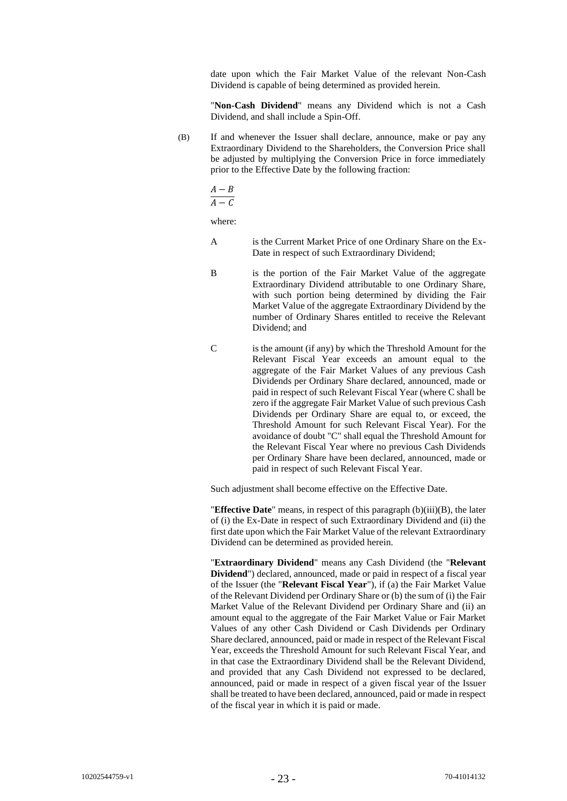date upon which the Fair Market Value of the relevant Non-Cash Dividend is capable of being determined as provided herein.

"**Non-Cash Dividend**" means any Dividend which is not a Cash Dividend, and shall include a Spin-Off.

<span id="page-22-0"></span>(B) If and whenever the Issuer shall declare, announce, make or pay any Extraordinary Dividend to the Shareholders, the Conversion Price shall be adjusted by multiplying the Conversion Price in force immediately prior to the Effective Date by the following fraction:

$$
\frac{A-B}{A-C}
$$

where:

- A is the Current Market Price of one Ordinary Share on the Ex-Date in respect of such Extraordinary Dividend;
- B is the portion of the Fair Market Value of the aggregate Extraordinary Dividend attributable to one Ordinary Share, with such portion being determined by dividing the Fair Market Value of the aggregate Extraordinary Dividend by the number of Ordinary Shares entitled to receive the Relevant Dividend; and
- C is the amount (if any) by which the Threshold Amount for the Relevant Fiscal Year exceeds an amount equal to the aggregate of the Fair Market Values of any previous Cash Dividends per Ordinary Share declared, announced, made or paid in respect of such Relevant Fiscal Year (where C shall be zero if the aggregate Fair Market Value of such previous Cash Dividends per Ordinary Share are equal to, or exceed, the Threshold Amount for such Relevant Fiscal Year). For the avoidance of doubt "C" shall equal the Threshold Amount for the Relevant Fiscal Year where no previous Cash Dividends per Ordinary Share have been declared, announced, made or paid in respect of such Relevant Fiscal Year.

Such adjustment shall become effective on the Effective Date.

"**Effective Date**" means, in respect of this paragraph [\(b\)](#page-20-1)[\(iii\)](#page-21-1)[\(B\),](#page-22-0) the later of (i) the Ex-Date in respect of such Extraordinary Dividend and (ii) the first date upon which the Fair Market Value of the relevant Extraordinary Dividend can be determined as provided herein.

"**Extraordinary Dividend**" means any Cash Dividend (the "**Relevant Dividend**") declared, announced, made or paid in respect of a fiscal year of the Issuer (the "**Relevant Fiscal Year**"), if (a) the Fair Market Value of the Relevant Dividend per Ordinary Share or (b) the sum of (i) the Fair Market Value of the Relevant Dividend per Ordinary Share and (ii) an amount equal to the aggregate of the Fair Market Value or Fair Market Values of any other Cash Dividend or Cash Dividends per Ordinary Share declared, announced, paid or made in respect of the Relevant Fiscal Year, exceeds the Threshold Amount for such Relevant Fiscal Year, and in that case the Extraordinary Dividend shall be the Relevant Dividend, and provided that any Cash Dividend not expressed to be declared, announced, paid or made in respect of a given fiscal year of the Issuer shall be treated to have been declared, announced, paid or made in respect of the fiscal year in which it is paid or made.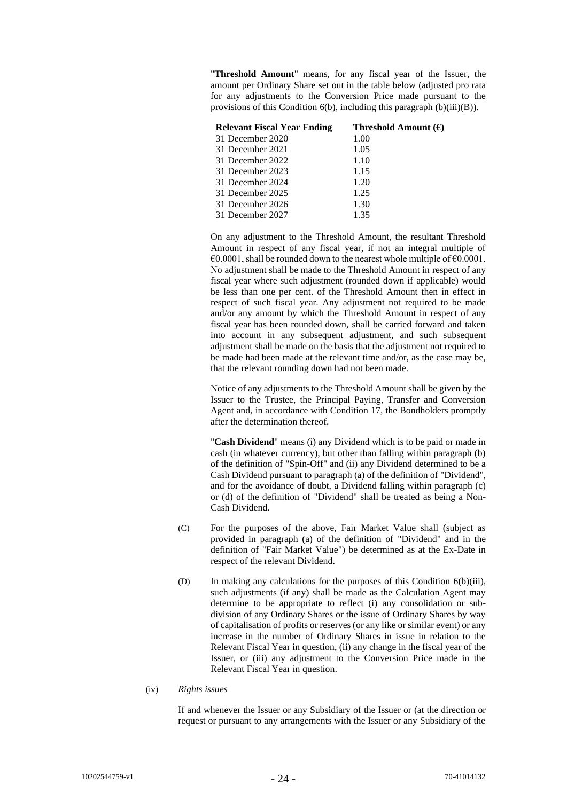"**Threshold Amount**" means, for any fiscal year of the Issuer, the amount per Ordinary Share set out in the table below (adjusted pro rata for any adjustments to the Conversion Price made pursuant to the provisions of this Conditio[n 6\(b\),](#page-20-1) including this paragraph [\(b\)](#page-20-1)[\(iii\)](#page-21-1)[\(B\)\)](#page-22-0).

| Threshold Amount $(\epsilon)$ |
|-------------------------------|
| 1.00                          |
| 1.05                          |
| 1.10                          |
| 1.15                          |
| 1.20                          |
| 1.25                          |
| 1.30                          |
| 1.35                          |
|                               |

On any adjustment to the Threshold Amount, the resultant Threshold Amount in respect of any fiscal year, if not an integral multiple of  $\epsilon$ 0.0001, shall be rounded down to the nearest whole multiple of  $\epsilon$ 0.0001. No adjustment shall be made to the Threshold Amount in respect of any fiscal year where such adjustment (rounded down if applicable) would be less than one per cent. of the Threshold Amount then in effect in respect of such fiscal year. Any adjustment not required to be made and/or any amount by which the Threshold Amount in respect of any fiscal year has been rounded down, shall be carried forward and taken into account in any subsequent adjustment, and such subsequent adjustment shall be made on the basis that the adjustment not required to be made had been made at the relevant time and/or, as the case may be, that the relevant rounding down had not been made.

Notice of any adjustments to the Threshold Amount shall be given by the Issuer to the Trustee, the Principal Paying, Transfer and Conversion Agent and, in accordance with Condition [17,](#page-53-0) the Bondholders promptly after the determination thereof.

"**Cash Dividend**" means (i) any Dividend which is to be paid or made in cash (in whatever currency), but other than falling within paragraph (b) of the definition of "Spin-Off" and (ii) any Dividend determined to be a Cash Dividend pursuant to paragraph (a) of the definition of "Dividend", and for the avoidance of doubt, a Dividend falling within paragraph (c) or (d) of the definition of "Dividend" shall be treated as being a Non-Cash Dividend.

- (C) For the purposes of the above, Fair Market Value shall (subject as provided in paragraph (a) of the definition of "Dividend" and in the definition of "Fair Market Value") be determined as at the Ex-Date in respect of the relevant Dividend.
- (D) In making any calculations for the purposes of this Condition [6\(b\)\(iii\),](#page-21-1) such adjustments (if any) shall be made as the Calculation Agent may determine to be appropriate to reflect (i) any consolidation or subdivision of any Ordinary Shares or the issue of Ordinary Shares by way of capitalisation of profits or reserves (or any like or similar event) or any increase in the number of Ordinary Shares in issue in relation to the Relevant Fiscal Year in question, (ii) any change in the fiscal year of the Issuer, or (iii) any adjustment to the Conversion Price made in the Relevant Fiscal Year in question.
- <span id="page-23-0"></span>(iv) *Rights issues*

If and whenever the Issuer or any Subsidiary of the Issuer or (at the direction or request or pursuant to any arrangements with the Issuer or any Subsidiary of the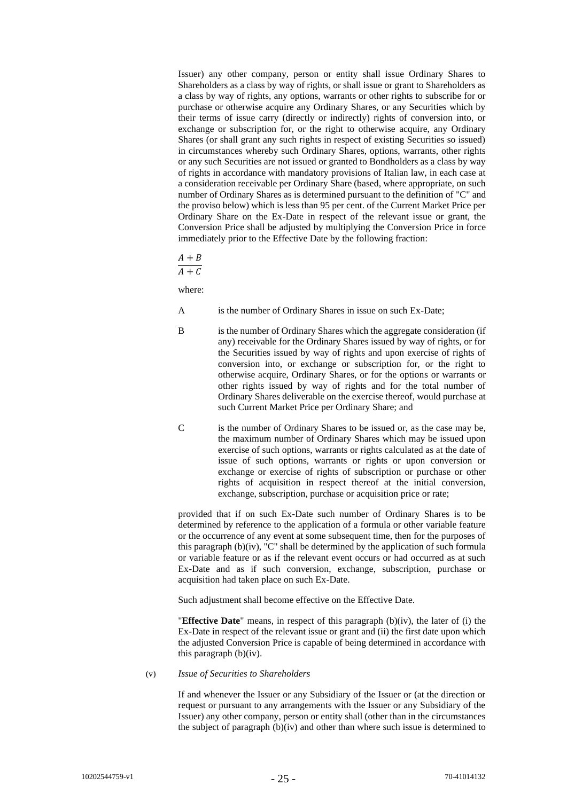Issuer) any other company, person or entity shall issue Ordinary Shares to Shareholders as a class by way of rights, or shall issue or grant to Shareholders as a class by way of rights, any options, warrants or other rights to subscribe for or purchase or otherwise acquire any Ordinary Shares, or any Securities which by their terms of issue carry (directly or indirectly) rights of conversion into, or exchange or subscription for, or the right to otherwise acquire, any Ordinary Shares (or shall grant any such rights in respect of existing Securities so issued) in circumstances whereby such Ordinary Shares, options, warrants, other rights or any such Securities are not issued or granted to Bondholders as a class by way of rights in accordance with mandatory provisions of Italian law, in each case at a consideration receivable per Ordinary Share (based, where appropriate, on such number of Ordinary Shares as is determined pursuant to the definition of "C" and the proviso below) which is less than 95 per cent. of the Current Market Price per Ordinary Share on the Ex-Date in respect of the relevant issue or grant, the Conversion Price shall be adjusted by multiplying the Conversion Price in force immediately prior to the Effective Date by the following fraction:

# $A + B$

 $\overline{A+C}$ 

where:

- A is the number of Ordinary Shares in issue on such Ex-Date;
- B is the number of Ordinary Shares which the aggregate consideration (if any) receivable for the Ordinary Shares issued by way of rights, or for the Securities issued by way of rights and upon exercise of rights of conversion into, or exchange or subscription for, or the right to otherwise acquire, Ordinary Shares, or for the options or warrants or other rights issued by way of rights and for the total number of Ordinary Shares deliverable on the exercise thereof, would purchase at such Current Market Price per Ordinary Share; and
- C is the number of Ordinary Shares to be issued or, as the case may be, the maximum number of Ordinary Shares which may be issued upon exercise of such options, warrants or rights calculated as at the date of issue of such options, warrants or rights or upon conversion or exchange or exercise of rights of subscription or purchase or other rights of acquisition in respect thereof at the initial conversion, exchange, subscription, purchase or acquisition price or rate;

provided that if on such Ex-Date such number of Ordinary Shares is to be determined by reference to the application of a formula or other variable feature or the occurrence of any event at some subsequent time, then for the purposes of this paragraph  $(b)(iv)$ , "C" shall be determined by the application of such formula or variable feature or as if the relevant event occurs or had occurred as at such Ex-Date and as if such conversion, exchange, subscription, purchase or acquisition had taken place on such Ex-Date.

Such adjustment shall become effective on the Effective Date.

"**Effective Date**" means, in respect of this paragraph [\(b\)](#page-20-1)[\(iv\),](#page-23-0) the later of (i) the Ex-Date in respect of the relevant issue or grant and (ii) the first date upon which the adjusted Conversion Price is capable of being determined in accordance with this paragraph [\(b\)](#page-20-1)[\(iv\).](#page-23-0)

<span id="page-24-0"></span>(v) *Issue of Securities to Shareholders*

If and whenever the Issuer or any Subsidiary of the Issuer or (at the direction or request or pursuant to any arrangements with the Issuer or any Subsidiary of the Issuer) any other company, person or entity shall (other than in the circumstances the subject of paragraph [\(b\)](#page-20-1)[\(iv\)](#page-23-0) and other than where such issue is determined to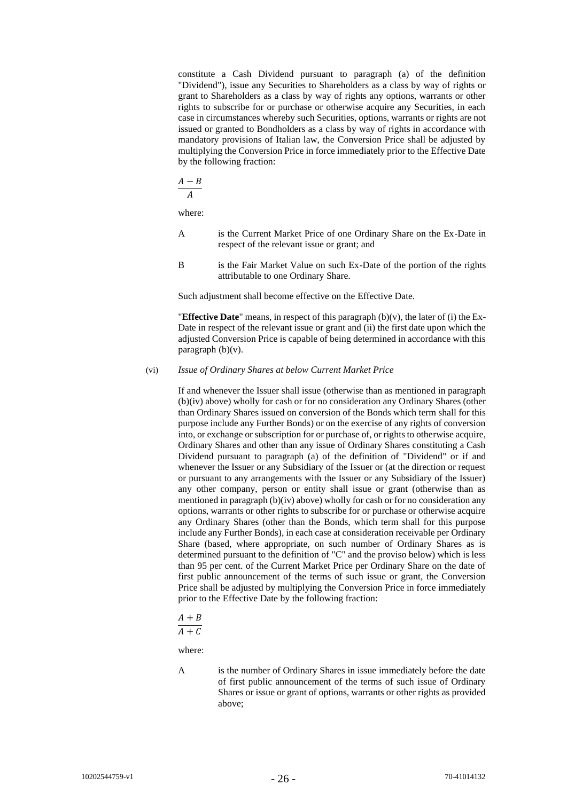constitute a Cash Dividend pursuant to paragraph (a) of the definition "Dividend"), issue any Securities to Shareholders as a class by way of rights or grant to Shareholders as a class by way of rights any options, warrants or other rights to subscribe for or purchase or otherwise acquire any Securities, in each case in circumstances whereby such Securities, options, warrants or rights are not issued or granted to Bondholders as a class by way of rights in accordance with mandatory provisions of Italian law, the Conversion Price shall be adjusted by multiplying the Conversion Price in force immediately prior to the Effective Date by the following fraction:

$$
\underline{A-B}
$$

 $\overline{A}$ 

where:

- A is the Current Market Price of one Ordinary Share on the Ex-Date in respect of the relevant issue or grant; and
- B is the Fair Market Value on such Ex-Date of the portion of the rights attributable to one Ordinary Share.

Such adjustment shall become effective on the Effective Date.

"**Effective Date**" means, in respect of this paragrap[h \(b\)](#page-20-1)[\(v\),](#page-24-0) the later of (i) the Ex-Date in respect of the relevant issue or grant and (ii) the first date upon which the adjusted Conversion Price is capable of being determined in accordance with this paragraph  $(b)(v)$ .

# <span id="page-25-0"></span>(vi) *Issue of Ordinary Shares at below Current Market Price*

If and whenever the Issuer shall issue (otherwise than as mentioned in paragraph [\(b\)](#page-20-1)[\(iv\)](#page-23-0) above) wholly for cash or for no consideration any Ordinary Shares (other than Ordinary Shares issued on conversion of the Bonds which term shall for this purpose include any Further Bonds) or on the exercise of any rights of conversion into, or exchange or subscription for or purchase of, or rights to otherwise acquire, Ordinary Shares and other than any issue of Ordinary Shares constituting a Cash Dividend pursuant to paragraph (a) of the definition of "Dividend" or if and whenever the Issuer or any Subsidiary of the Issuer or (at the direction or request or pursuant to any arrangements with the Issuer or any Subsidiary of the Issuer) any other company, person or entity shall issue or grant (otherwise than as mentioned in paragrap[h \(b\)](#page-20-1)[\(iv\)](#page-23-0) above) wholly for cash or for no consideration any options, warrants or other rights to subscribe for or purchase or otherwise acquire any Ordinary Shares (other than the Bonds, which term shall for this purpose include any Further Bonds), in each case at consideration receivable per Ordinary Share (based, where appropriate, on such number of Ordinary Shares as is determined pursuant to the definition of "C" and the proviso below) which is less than 95 per cent. of the Current Market Price per Ordinary Share on the date of first public announcement of the terms of such issue or grant, the Conversion Price shall be adjusted by multiplying the Conversion Price in force immediately prior to the Effective Date by the following fraction:

$$
\underline{A} + \underline{B}
$$

 $\overline{A+C}$ 

where:

A is the number of Ordinary Shares in issue immediately before the date of first public announcement of the terms of such issue of Ordinary Shares or issue or grant of options, warrants or other rights as provided above;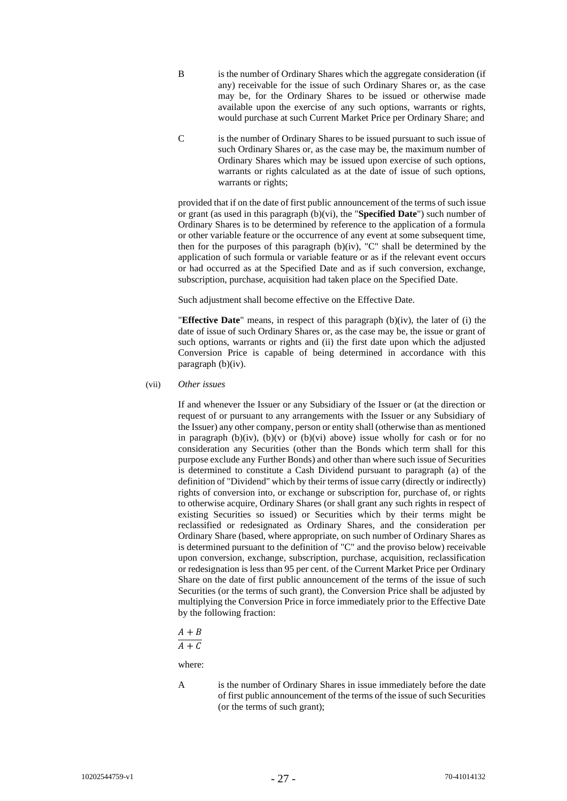- B is the number of Ordinary Shares which the aggregate consideration (if any) receivable for the issue of such Ordinary Shares or, as the case may be, for the Ordinary Shares to be issued or otherwise made available upon the exercise of any such options, warrants or rights, would purchase at such Current Market Price per Ordinary Share; and
- C is the number of Ordinary Shares to be issued pursuant to such issue of such Ordinary Shares or, as the case may be, the maximum number of Ordinary Shares which may be issued upon exercise of such options, warrants or rights calculated as at the date of issue of such options, warrants or rights;

provided that if on the date of first public announcement of the terms of such issue or grant (as used in this paragraph [\(b\)](#page-20-1)[\(vi\),](#page-25-0) the "**Specified Date**") such number of Ordinary Shares is to be determined by reference to the application of a formula or other variable feature or the occurrence of any event at some subsequent time, then for the purposes of this paragraph [\(b\)](#page-20-1)[\(iv\),](#page-23-0) "C" shall be determined by the application of such formula or variable feature or as if the relevant event occurs or had occurred as at the Specified Date and as if such conversion, exchange, subscription, purchase, acquisition had taken place on the Specified Date.

Such adjustment shall become effective on the Effective Date.

"**Effective Date**" means, in respect of this paragraph [\(b\)](#page-20-1)[\(iv\),](#page-23-0) the later of (i) the date of issue of such Ordinary Shares or, as the case may be, the issue or grant of such options, warrants or rights and (ii) the first date upon which the adjusted Conversion Price is capable of being determined in accordance with this paragrap[h \(b\)](#page-20-1)[\(iv\).](#page-23-0)

<span id="page-26-0"></span>(vii) *Other issues*

If and whenever the Issuer or any Subsidiary of the Issuer or (at the direction or request of or pursuant to any arrangements with the Issuer or any Subsidiary of the Issuer) any other company, person or entity shall (otherwise than as mentioned in paragraph [\(b\)](#page-20-1)[\(iv\),](#page-23-0) (b)[\(v\)](#page-24-0) or (b)[\(vi\)](#page-25-0) above) issue wholly for cash or for no consideration any Securities (other than the Bonds which term shall for this purpose exclude any Further Bonds) and other than where such issue of Securities is determined to constitute a Cash Dividend pursuant to paragraph [\(a\)](#page-7-0) of the definition of "Dividend" which by their terms of issue carry (directly or indirectly) rights of conversion into, or exchange or subscription for, purchase of, or rights to otherwise acquire, Ordinary Shares (or shall grant any such rights in respect of existing Securities so issued) or Securities which by their terms might be reclassified or redesignated as Ordinary Shares, and the consideration per Ordinary Share (based, where appropriate, on such number of Ordinary Shares as is determined pursuant to the definition of "C" and the proviso below) receivable upon conversion, exchange, subscription, purchase, acquisition, reclassification or redesignation is less than 95 per cent. of the Current Market Price per Ordinary Share on the date of first public announcement of the terms of the issue of such Securities (or the terms of such grant), the Conversion Price shall be adjusted by multiplying the Conversion Price in force immediately prior to the Effective Date by the following fraction:

$$
\frac{A+B}{A+B}
$$

 $A+C$ 

where:

A is the number of Ordinary Shares in issue immediately before the date of first public announcement of the terms of the issue of such Securities (or the terms of such grant);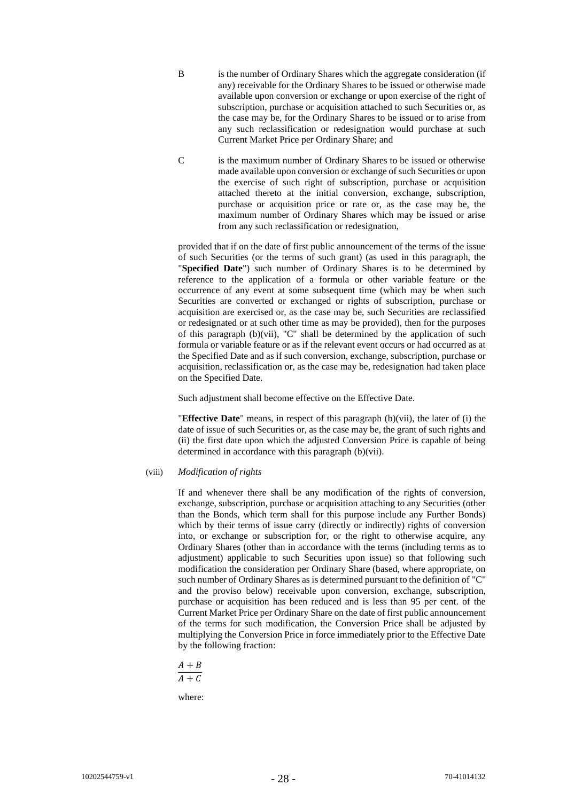- B is the number of Ordinary Shares which the aggregate consideration (if any) receivable for the Ordinary Shares to be issued or otherwise made available upon conversion or exchange or upon exercise of the right of subscription, purchase or acquisition attached to such Securities or, as the case may be, for the Ordinary Shares to be issued or to arise from any such reclassification or redesignation would purchase at such Current Market Price per Ordinary Share; and
- C is the maximum number of Ordinary Shares to be issued or otherwise made available upon conversion or exchange of such Securities or upon the exercise of such right of subscription, purchase or acquisition attached thereto at the initial conversion, exchange, subscription, purchase or acquisition price or rate or, as the case may be, the maximum number of Ordinary Shares which may be issued or arise from any such reclassification or redesignation,

provided that if on the date of first public announcement of the terms of the issue of such Securities (or the terms of such grant) (as used in this paragraph, the "**Specified Date**") such number of Ordinary Shares is to be determined by reference to the application of a formula or other variable feature or the occurrence of any event at some subsequent time (which may be when such Securities are converted or exchanged or rights of subscription, purchase or acquisition are exercised or, as the case may be, such Securities are reclassified or redesignated or at such other time as may be provided), then for the purposes of this paragraph  $(b)(vii)$ , "C" shall be determined by the application of such formula or variable feature or as if the relevant event occurs or had occurred as at the Specified Date and as if such conversion, exchange, subscription, purchase or acquisition, reclassification or, as the case may be, redesignation had taken place on the Specified Date.

Such adjustment shall become effective on the Effective Date.

"**Effective Date**" means, in respect of this paragraph [\(b\)](#page-20-1)[\(vii\),](#page-26-0) the later of (i) the date of issue of such Securities or, as the case may be, the grant of such rights and (ii) the first date upon which the adjusted Conversion Price is capable of being determined in accordance with this paragraph [\(b\)](#page-20-1)[\(vii\).](#page-26-0)

#### <span id="page-27-0"></span>(viii) *Modification of rights*

If and whenever there shall be any modification of the rights of conversion, exchange, subscription, purchase or acquisition attaching to any Securities (other than the Bonds, which term shall for this purpose include any Further Bonds) which by their terms of issue carry (directly or indirectly) rights of conversion into, or exchange or subscription for, or the right to otherwise acquire, any Ordinary Shares (other than in accordance with the terms (including terms as to adjustment) applicable to such Securities upon issue) so that following such modification the consideration per Ordinary Share (based, where appropriate, on such number of Ordinary Shares as is determined pursuant to the definition of "C" and the proviso below) receivable upon conversion, exchange, subscription, purchase or acquisition has been reduced and is less than 95 per cent. of the Current Market Price per Ordinary Share on the date of first public announcement of the terms for such modification, the Conversion Price shall be adjusted by multiplying the Conversion Price in force immediately prior to the Effective Date by the following fraction:

$$
\frac{A+B}{A+C}
$$

where: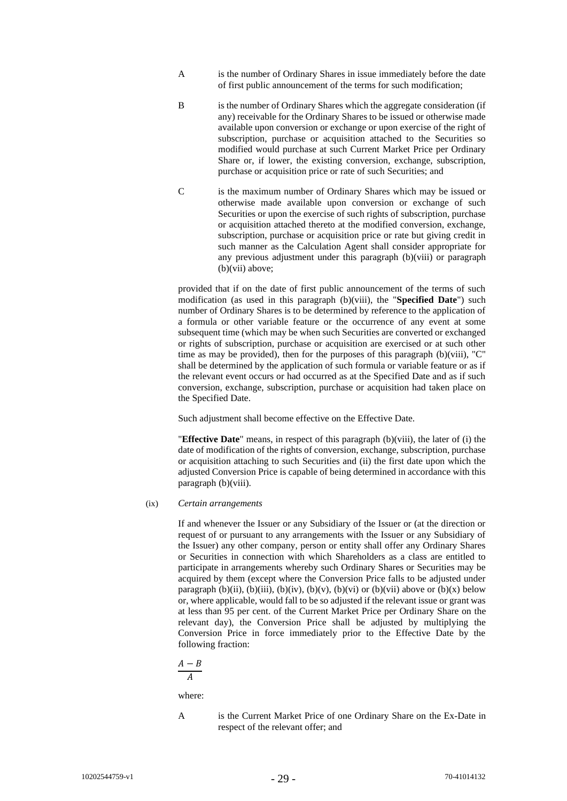- A is the number of Ordinary Shares in issue immediately before the date of first public announcement of the terms for such modification;
- B is the number of Ordinary Shares which the aggregate consideration (if any) receivable for the Ordinary Shares to be issued or otherwise made available upon conversion or exchange or upon exercise of the right of subscription, purchase or acquisition attached to the Securities so modified would purchase at such Current Market Price per Ordinary Share or, if lower, the existing conversion, exchange, subscription, purchase or acquisition price or rate of such Securities; and
- C is the maximum number of Ordinary Shares which may be issued or otherwise made available upon conversion or exchange of such Securities or upon the exercise of such rights of subscription, purchase or acquisition attached thereto at the modified conversion, exchange, subscription, purchase or acquisition price or rate but giving credit in such manner as the Calculation Agent shall consider appropriate for any previous adjustment under this paragraph [\(b\)](#page-20-1)[\(viii\)](#page-27-0) or paragraph [\(b\)](#page-20-1)[\(vii\)](#page-26-0) above;

provided that if on the date of first public announcement of the terms of such modification (as used in this paragraph [\(b\)](#page-20-1)[\(viii\),](#page-27-0) the "**Specified Date**") such number of Ordinary Shares is to be determined by reference to the application of a formula or other variable feature or the occurrence of any event at some subsequent time (which may be when such Securities are converted or exchanged or rights of subscription, purchase or acquisition are exercised or at such other time as may be provided), then for the purposes of this paragraph [\(b\)](#page-20-1)[\(viii\),](#page-27-0) "C" shall be determined by the application of such formula or variable feature or as if the relevant event occurs or had occurred as at the Specified Date and as if such conversion, exchange, subscription, purchase or acquisition had taken place on the Specified Date.

Such adjustment shall become effective on the Effective Date.

"**Effective Date**" means, in respect of this paragraph [\(b\)](#page-20-1)[\(viii\),](#page-27-0) the later of (i) the date of modification of the rights of conversion, exchange, subscription, purchase or acquisition attaching to such Securities and (ii) the first date upon which the adjusted Conversion Price is capable of being determined in accordance with this paragrap[h \(b\)](#page-20-1)[\(viii\).](#page-27-0)

# <span id="page-28-0"></span>(ix) *Certain arrangements*

If and whenever the Issuer or any Subsidiary of the Issuer or (at the direction or request of or pursuant to any arrangements with the Issuer or any Subsidiary of the Issuer) any other company, person or entity shall offer any Ordinary Shares or Securities in connection with which Shareholders as a class are entitled to participate in arrangements whereby such Ordinary Shares or Securities may be acquired by them (except where the Conversion Price falls to be adjusted under paragraph [\(b\)](#page-20-1)[\(ii\),](#page-21-0) (b)[\(iii\),](#page-21-1) (b)[\(iv\),](#page-23-0) (b)[\(v\),](#page-24-0) (b)[\(vi\)](#page-25-0) or (b)[\(vii\)](#page-26-0) above or (b)[\(x\)](#page-29-0) below or, where applicable, would fall to be so adjusted if the relevant issue or grant was at less than 95 per cent. of the Current Market Price per Ordinary Share on the relevant day), the Conversion Price shall be adjusted by multiplying the Conversion Price in force immediately prior to the Effective Date by the following fraction:

$$
\frac{A-B}{A}
$$

where:

- 
- A is the Current Market Price of one Ordinary Share on the Ex-Date in respect of the relevant offer; and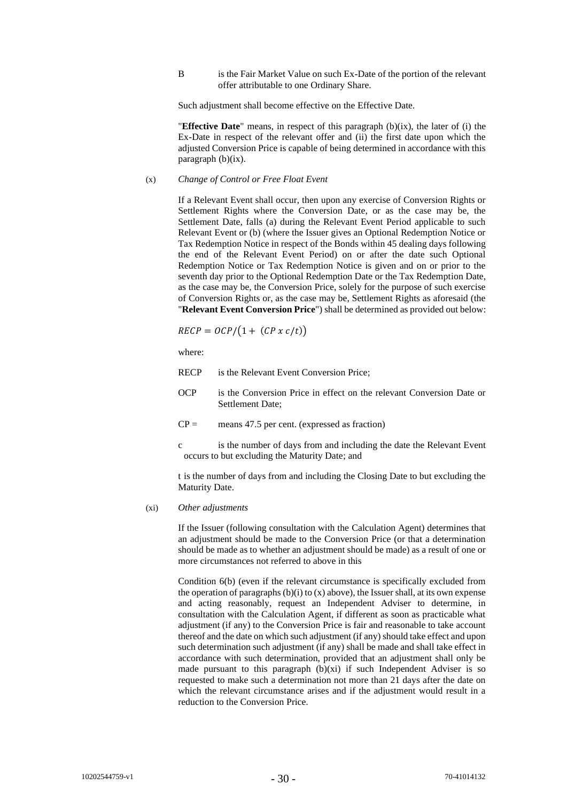B is the Fair Market Value on such Ex-Date of the portion of the relevant offer attributable to one Ordinary Share.

Such adjustment shall become effective on the Effective Date.

"**Effective Date**" means, in respect of this paragraph [\(b\)](#page-20-1)[\(ix\),](#page-28-0) the later of (i) the Ex-Date in respect of the relevant offer and (ii) the first date upon which the adjusted Conversion Price is capable of being determined in accordance with this paragraph  $(b)(ix)$ .

### <span id="page-29-0"></span>(x) *Change of Control or Free Float Event*

If a Relevant Event shall occur, then upon any exercise of Conversion Rights or Settlement Rights where the Conversion Date, or as the case may be, the Settlement Date, falls (a) during the Relevant Event Period applicable to such Relevant Event or (b) (where the Issuer gives an Optional Redemption Notice or Tax Redemption Notice in respect of the Bonds within 45 dealing days following the end of the Relevant Event Period) on or after the date such Optional Redemption Notice or Tax Redemption Notice is given and on or prior to the seventh day prior to the Optional Redemption Date or the Tax Redemption Date, as the case may be, the Conversion Price, solely for the purpose of such exercise of Conversion Rights or, as the case may be, Settlement Rights as aforesaid (the "**Relevant Event Conversion Price**") shall be determined as provided out below:

$$
RECP = OCP/(1 + (CP \times c/t))
$$

where:

RECP is the Relevant Event Conversion Price;

- OCP is the Conversion Price in effect on the relevant Conversion Date or Settlement Date;
- $CP =$  means 47.5 per cent. (expressed as fraction)
- c is the number of days from and including the date the Relevant Event occurs to but excluding the Maturity Date; and

t is the number of days from and including the Closing Date to but excluding the Maturity Date.

# <span id="page-29-1"></span>(xi) *Other adjustments*

If the Issuer (following consultation with the Calculation Agent) determines that an adjustment should be made to the Conversion Price (or that a determination should be made as to whether an adjustment should be made) as a result of one or more circumstances not referred to above in this

Condition [6\(b\)](#page-20-1) (even if the relevant circumstance is specifically excluded from the operation of paragraphs  $(b)(i)$  $(b)(i)$  to  $(x)$  above), the Issuer shall, at its own expense and acting reasonably, request an Independent Adviser to determine, in consultation with the Calculation Agent, if different as soon as practicable what adjustment (if any) to the Conversion Price is fair and reasonable to take account thereof and the date on which such adjustment (if any) should take effect and upon such determination such adjustment (if any) shall be made and shall take effect in accordance with such determination, provided that an adjustment shall only be made pursuant to this paragraph  $(b)(xi)$  $(b)(xi)$  if such Independent Adviser is so requested to make such a determination not more than 21 days after the date on which the relevant circumstance arises and if the adjustment would result in a reduction to the Conversion Price.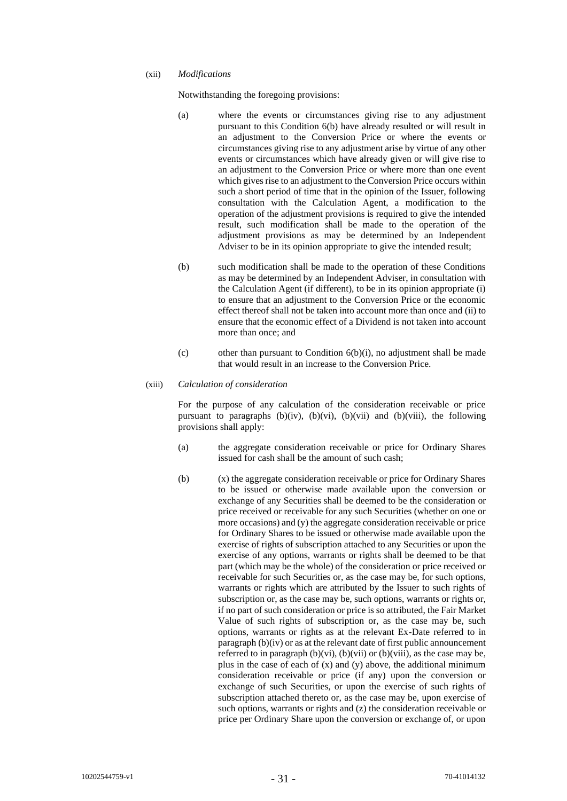#### (xii) *Modifications*

Notwithstanding the foregoing provisions:

- (a) where the events or circumstances giving rise to any adjustment pursuant to this Condition [6\(b\)](#page-20-1) have already resulted or will result in an adjustment to the Conversion Price or where the events or circumstances giving rise to any adjustment arise by virtue of any other events or circumstances which have already given or will give rise to an adjustment to the Conversion Price or where more than one event which gives rise to an adjustment to the Conversion Price occurs within such a short period of time that in the opinion of the Issuer, following consultation with the Calculation Agent, a modification to the operation of the adjustment provisions is required to give the intended result, such modification shall be made to the operation of the adjustment provisions as may be determined by an Independent Adviser to be in its opinion appropriate to give the intended result;
- (b) such modification shall be made to the operation of these Conditions as may be determined by an Independent Adviser, in consultation with the Calculation Agent (if different), to be in its opinion appropriate (i) to ensure that an adjustment to the Conversion Price or the economic effect thereof shall not be taken into account more than once and (ii) to ensure that the economic effect of a Dividend is not taken into account more than once; and
- (c) other than pursuant to Condition  $6(b)(i)$ , no adjustment shall be made that would result in an increase to the Conversion Price.

# (xiii) *Calculation of consideration*

For the purpose of any calculation of the consideration receivable or price pursuant to paragraphs [\(b\)](#page-20-1)[\(iv\),](#page-23-0) (b)[\(vi\),](#page-25-0) (b)[\(vii\)](#page-26-0) and (b)[\(viii\),](#page-27-0) the following provisions shall apply:

- (a) the aggregate consideration receivable or price for Ordinary Shares issued for cash shall be the amount of such cash;
- (b) (x) the aggregate consideration receivable or price for Ordinary Shares to be issued or otherwise made available upon the conversion or exchange of any Securities shall be deemed to be the consideration or price received or receivable for any such Securities (whether on one or more occasions) and (y) the aggregate consideration receivable or price for Ordinary Shares to be issued or otherwise made available upon the exercise of rights of subscription attached to any Securities or upon the exercise of any options, warrants or rights shall be deemed to be that part (which may be the whole) of the consideration or price received or receivable for such Securities or, as the case may be, for such options, warrants or rights which are attributed by the Issuer to such rights of subscription or, as the case may be, such options, warrants or rights or, if no part of such consideration or price is so attributed, the Fair Market Value of such rights of subscription or, as the case may be, such options, warrants or rights as at the relevant Ex-Date referred to in paragrap[h \(b\)](#page-20-1)[\(iv\)](#page-23-0) or as at the relevant date of first public announcement referred to in paragraph  $(b)(vi)$ ,  $(b)(vii)$  $(b)(vii)$  or  $(b)(viii)$ , as the case may be, plus in the case of each of  $(x)$  and  $(y)$  above, the additional minimum consideration receivable or price (if any) upon the conversion or exchange of such Securities, or upon the exercise of such rights of subscription attached thereto or, as the case may be, upon exercise of such options, warrants or rights and (z) the consideration receivable or price per Ordinary Share upon the conversion or exchange of, or upon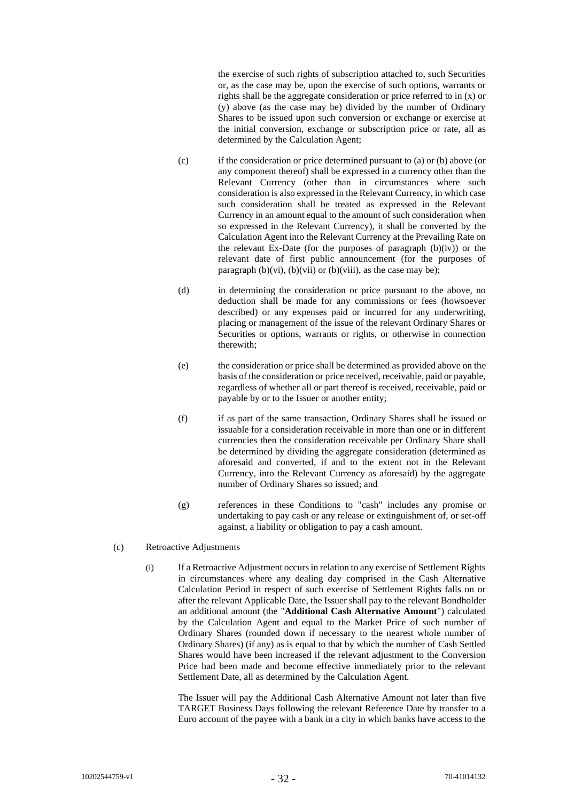the exercise of such rights of subscription attached to, such Securities or, as the case may be, upon the exercise of such options, warrants or rights shall be the aggregate consideration or price referred to in (x) or (y) above (as the case may be) divided by the number of Ordinary Shares to be issued upon such conversion or exchange or exercise at the initial conversion, exchange or subscription price or rate, all as determined by the Calculation Agent;

- (c) if the consideration or price determined pursuant to (a) or (b) above (or any component thereof) shall be expressed in a currency other than the Relevant Currency (other than in circumstances where such consideration is also expressed in the Relevant Currency, in which case such consideration shall be treated as expressed in the Relevant Currency in an amount equal to the amount of such consideration when so expressed in the Relevant Currency), it shall be converted by the Calculation Agent into the Relevant Currency at the Prevailing Rate on the relevant Ex-Date (for the purposes of paragraph  $(b)(iv)$  $(b)(iv)$ ) or the relevant date of first public announcement (for the purposes of paragraph  $(b)(vi)$ ,  $(b)(vii)$  $(b)(vii)$  or  $(b)(viii)$ , as the case may be);
- (d) in determining the consideration or price pursuant to the above, no deduction shall be made for any commissions or fees (howsoever described) or any expenses paid or incurred for any underwriting, placing or management of the issue of the relevant Ordinary Shares or Securities or options, warrants or rights, or otherwise in connection therewith;
- (e) the consideration or price shall be determined as provided above on the basis of the consideration or price received, receivable, paid or payable, regardless of whether all or part thereof is received, receivable, paid or payable by or to the Issuer or another entity;
- (f) if as part of the same transaction, Ordinary Shares shall be issued or issuable for a consideration receivable in more than one or in different currencies then the consideration receivable per Ordinary Share shall be determined by dividing the aggregate consideration (determined as aforesaid and converted, if and to the extent not in the Relevant Currency, into the Relevant Currency as aforesaid) by the aggregate number of Ordinary Shares so issued; and
- (g) references in these Conditions to "cash" includes any promise or undertaking to pay cash or any release or extinguishment of, or set-off against, a liability or obligation to pay a cash amount.

# <span id="page-31-0"></span>(c) Retroactive Adjustments

(i) If a Retroactive Adjustment occurs in relation to any exercise of Settlement Rights in circumstances where any dealing day comprised in the Cash Alternative Calculation Period in respect of such exercise of Settlement Rights falls on or after the relevant Applicable Date, the Issuer shall pay to the relevant Bondholder an additional amount (the "**Additional Cash Alternative Amount**") calculated by the Calculation Agent and equal to the Market Price of such number of Ordinary Shares (rounded down if necessary to the nearest whole number of Ordinary Shares) (if any) as is equal to that by which the number of Cash Settled Shares would have been increased if the relevant adjustment to the Conversion Price had been made and become effective immediately prior to the relevant Settlement Date, all as determined by the Calculation Agent.

The Issuer will pay the Additional Cash Alternative Amount not later than five TARGET Business Days following the relevant Reference Date by transfer to a Euro account of the payee with a bank in a city in which banks have access to the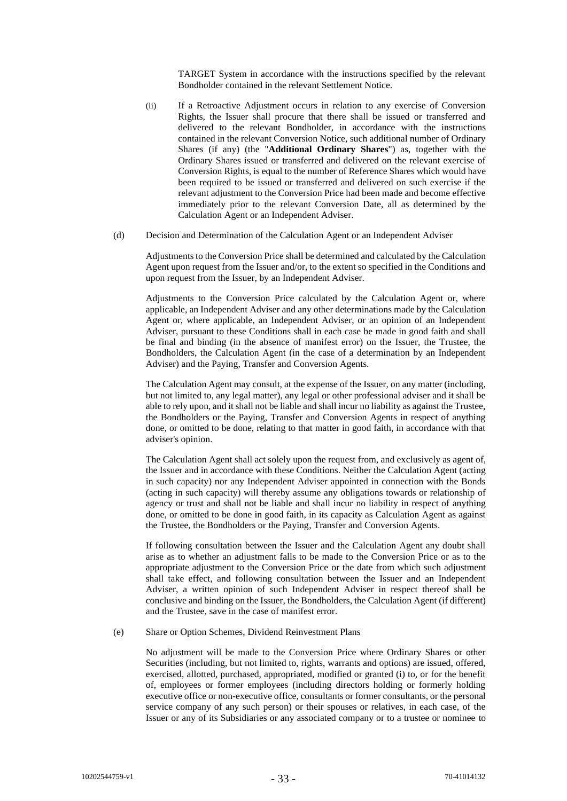TARGET System in accordance with the instructions specified by the relevant Bondholder contained in the relevant Settlement Notice.

- (ii) If a Retroactive Adjustment occurs in relation to any exercise of Conversion Rights, the Issuer shall procure that there shall be issued or transferred and delivered to the relevant Bondholder, in accordance with the instructions contained in the relevant Conversion Notice, such additional number of Ordinary Shares (if any) (the "**Additional Ordinary Shares**") as, together with the Ordinary Shares issued or transferred and delivered on the relevant exercise of Conversion Rights, is equal to the number of Reference Shares which would have been required to be issued or transferred and delivered on such exercise if the relevant adjustment to the Conversion Price had been made and become effective immediately prior to the relevant Conversion Date, all as determined by the Calculation Agent or an Independent Adviser.
- (d) Decision and Determination of the Calculation Agent or an Independent Adviser

Adjustments to the Conversion Price shall be determined and calculated by the Calculation Agent upon request from the Issuer and/or, to the extent so specified in the Conditions and upon request from the Issuer, by an Independent Adviser.

Adjustments to the Conversion Price calculated by the Calculation Agent or, where applicable, an Independent Adviser and any other determinations made by the Calculation Agent or, where applicable, an Independent Adviser, or an opinion of an Independent Adviser, pursuant to these Conditions shall in each case be made in good faith and shall be final and binding (in the absence of manifest error) on the Issuer, the Trustee, the Bondholders, the Calculation Agent (in the case of a determination by an Independent Adviser) and the Paying, Transfer and Conversion Agents.

The Calculation Agent may consult, at the expense of the Issuer, on any matter (including, but not limited to, any legal matter), any legal or other professional adviser and it shall be able to rely upon, and it shall not be liable and shall incur no liability as against the Trustee, the Bondholders or the Paying, Transfer and Conversion Agents in respect of anything done, or omitted to be done, relating to that matter in good faith, in accordance with that adviser's opinion.

The Calculation Agent shall act solely upon the request from, and exclusively as agent of, the Issuer and in accordance with these Conditions. Neither the Calculation Agent (acting in such capacity) nor any Independent Adviser appointed in connection with the Bonds (acting in such capacity) will thereby assume any obligations towards or relationship of agency or trust and shall not be liable and shall incur no liability in respect of anything done, or omitted to be done in good faith, in its capacity as Calculation Agent as against the Trustee, the Bondholders or the Paying, Transfer and Conversion Agents.

If following consultation between the Issuer and the Calculation Agent any doubt shall arise as to whether an adjustment falls to be made to the Conversion Price or as to the appropriate adjustment to the Conversion Price or the date from which such adjustment shall take effect, and following consultation between the Issuer and an Independent Adviser, a written opinion of such Independent Adviser in respect thereof shall be conclusive and binding on the Issuer, the Bondholders, the Calculation Agent (if different) and the Trustee, save in the case of manifest error.

# <span id="page-32-0"></span>(e) Share or Option Schemes, Dividend Reinvestment Plans

No adjustment will be made to the Conversion Price where Ordinary Shares or other Securities (including, but not limited to, rights, warrants and options) are issued, offered, exercised, allotted, purchased, appropriated, modified or granted (i) to, or for the benefit of, employees or former employees (including directors holding or formerly holding executive office or non-executive office, consultants or former consultants, or the personal service company of any such person) or their spouses or relatives, in each case, of the Issuer or any of its Subsidiaries or any associated company or to a trustee or nominee to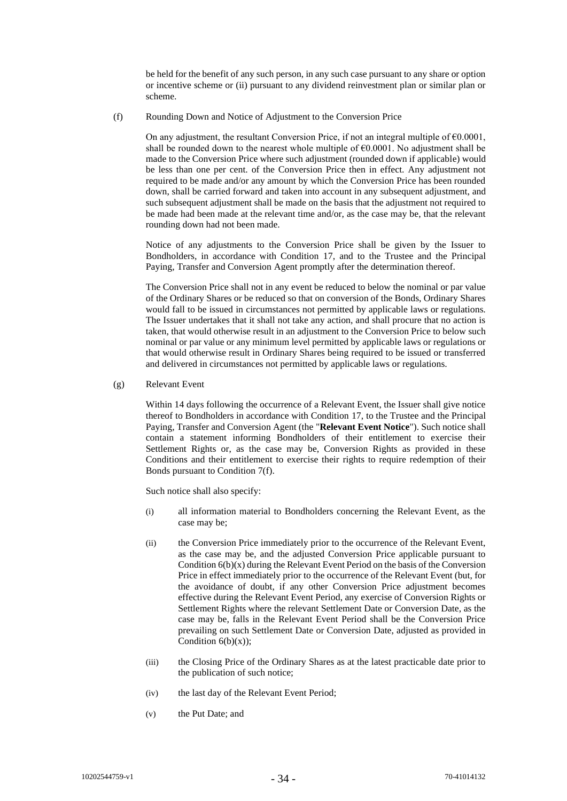be held for the benefit of any such person, in any such case pursuant to any share or option or incentive scheme or (ii) pursuant to any dividend reinvestment plan or similar plan or scheme.

<span id="page-33-1"></span>(f) Rounding Down and Notice of Adjustment to the Conversion Price

On any adjustment, the resultant Conversion Price, if not an integral multiple of €0.0001, shall be rounded down to the nearest whole multiple of  $\epsilon$ 0.0001. No adjustment shall be made to the Conversion Price where such adjustment (rounded down if applicable) would be less than one per cent. of the Conversion Price then in effect. Any adjustment not required to be made and/or any amount by which the Conversion Price has been rounded down, shall be carried forward and taken into account in any subsequent adjustment, and such subsequent adjustment shall be made on the basis that the adjustment not required to be made had been made at the relevant time and/or, as the case may be, that the relevant rounding down had not been made.

Notice of any adjustments to the Conversion Price shall be given by the Issuer to Bondholders, in accordance with Condition [17,](#page-53-0) and to the Trustee and the Principal Paying, Transfer and Conversion Agent promptly after the determination thereof.

The Conversion Price shall not in any event be reduced to below the nominal or par value of the Ordinary Shares or be reduced so that on conversion of the Bonds, Ordinary Shares would fall to be issued in circumstances not permitted by applicable laws or regulations. The Issuer undertakes that it shall not take any action, and shall procure that no action is taken, that would otherwise result in an adjustment to the Conversion Price to below such nominal or par value or any minimum level permitted by applicable laws or regulations or that would otherwise result in Ordinary Shares being required to be issued or transferred and delivered in circumstances not permitted by applicable laws or regulations.

<span id="page-33-0"></span>(g) Relevant Event

Within 14 days following the occurrence of a Relevant Event, the Issuer shall give notice thereof to Bondholders in accordance with Condition [17,](#page-53-0) to the Trustee and the Principal Paying, Transfer and Conversion Agent (the "**Relevant Event Notice**"). Such notice shall contain a statement informing Bondholders of their entitlement to exercise their Settlement Rights or, as the case may be, Conversion Rights as provided in these Conditions and their entitlement to exercise their rights to require redemption of their Bonds pursuant to Condition [7\(f\).](#page-40-0)

Such notice shall also specify:

- (i) all information material to Bondholders concerning the Relevant Event, as the case may be;
- (ii) the Conversion Price immediately prior to the occurrence of the Relevant Event, as the case may be, and the adjusted Conversion Price applicable pursuant to Condition  $6(b)(x)$  during the Relevant Event Period on the basis of the Conversion Price in effect immediately prior to the occurrence of the Relevant Event (but, for the avoidance of doubt, if any other Conversion Price adjustment becomes effective during the Relevant Event Period, any exercise of Conversion Rights or Settlement Rights where the relevant Settlement Date or Conversion Date, as the case may be, falls in the Relevant Event Period shall be the Conversion Price prevailing on such Settlement Date or Conversion Date, adjusted as provided in Condition  $6(b)(x)$ :
- (iii) the Closing Price of the Ordinary Shares as at the latest practicable date prior to the publication of such notice;
- (iv) the last day of the Relevant Event Period;
- (v) the Put Date; and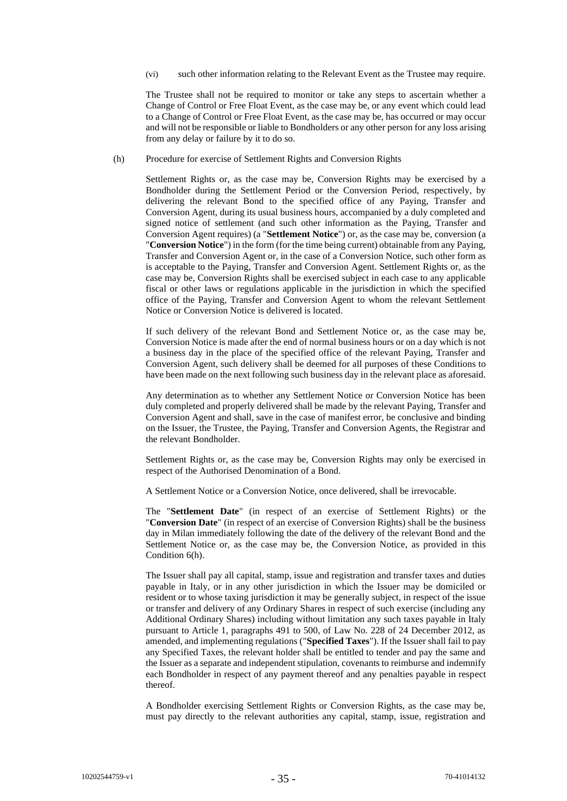(vi) such other information relating to the Relevant Event as the Trustee may require.

The Trustee shall not be required to monitor or take any steps to ascertain whether a Change of Control or Free Float Event, as the case may be, or any event which could lead to a Change of Control or Free Float Event, as the case may be, has occurred or may occur and will not be responsible or liable to Bondholders or any other person for any loss arising from any delay or failure by it to do so.

<span id="page-34-0"></span>(h) Procedure for exercise of Settlement Rights and Conversion Rights

Settlement Rights or, as the case may be, Conversion Rights may be exercised by a Bondholder during the Settlement Period or the Conversion Period, respectively, by delivering the relevant Bond to the specified office of any Paying, Transfer and Conversion Agent, during its usual business hours, accompanied by a duly completed and signed notice of settlement (and such other information as the Paying, Transfer and Conversion Agent requires) (a "**Settlement Notice**") or, as the case may be, conversion (a "**Conversion Notice**") in the form (for the time being current) obtainable from any Paying, Transfer and Conversion Agent or, in the case of a Conversion Notice, such other form as is acceptable to the Paying, Transfer and Conversion Agent. Settlement Rights or, as the case may be, Conversion Rights shall be exercised subject in each case to any applicable fiscal or other laws or regulations applicable in the jurisdiction in which the specified office of the Paying, Transfer and Conversion Agent to whom the relevant Settlement Notice or Conversion Notice is delivered is located.

If such delivery of the relevant Bond and Settlement Notice or, as the case may be, Conversion Notice is made after the end of normal business hours or on a day which is not a business day in the place of the specified office of the relevant Paying, Transfer and Conversion Agent, such delivery shall be deemed for all purposes of these Conditions to have been made on the next following such business day in the relevant place as aforesaid.

Any determination as to whether any Settlement Notice or Conversion Notice has been duly completed and properly delivered shall be made by the relevant Paying, Transfer and Conversion Agent and shall, save in the case of manifest error, be conclusive and binding on the Issuer, the Trustee, the Paying, Transfer and Conversion Agents, the Registrar and the relevant Bondholder.

Settlement Rights or, as the case may be, Conversion Rights may only be exercised in respect of the Authorised Denomination of a Bond.

A Settlement Notice or a Conversion Notice, once delivered, shall be irrevocable.

The "**Settlement Date**" (in respect of an exercise of Settlement Rights) or the "**Conversion Date**" (in respect of an exercise of Conversion Rights) shall be the business day in Milan immediately following the date of the delivery of the relevant Bond and the Settlement Notice or, as the case may be, the Conversion Notice, as provided in this Conditio[n 6\(h\).](#page-34-0)

The Issuer shall pay all capital, stamp, issue and registration and transfer taxes and duties payable in Italy, or in any other jurisdiction in which the Issuer may be domiciled or resident or to whose taxing jurisdiction it may be generally subject, in respect of the issue or transfer and delivery of any Ordinary Shares in respect of such exercise (including any Additional Ordinary Shares) including without limitation any such taxes payable in Italy pursuant to Article 1, paragraphs 491 to 500, of Law No. 228 of 24 December 2012, as amended, and implementing regulations ("**Specified Taxes**"). If the Issuer shall fail to pay any Specified Taxes, the relevant holder shall be entitled to tender and pay the same and the Issuer as a separate and independent stipulation, covenants to reimburse and indemnify each Bondholder in respect of any payment thereof and any penalties payable in respect thereof.

A Bondholder exercising Settlement Rights or Conversion Rights, as the case may be, must pay directly to the relevant authorities any capital, stamp, issue, registration and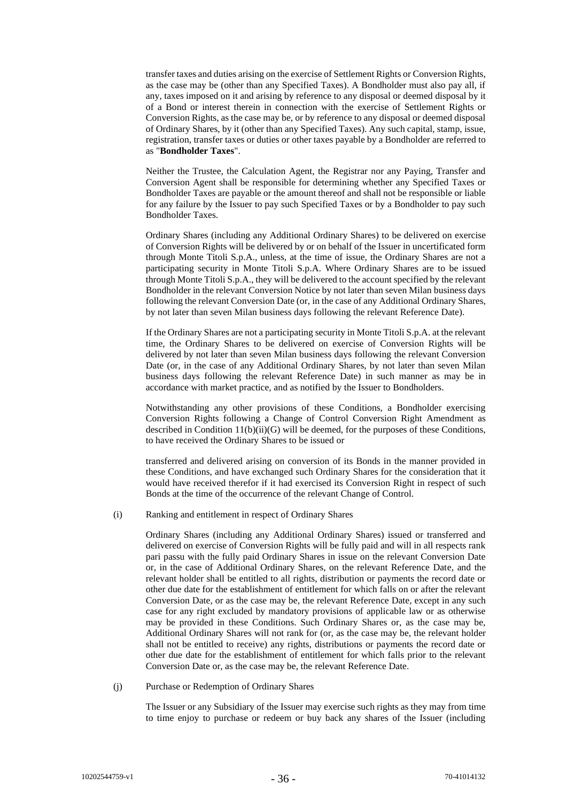transfer taxes and duties arising on the exercise of Settlement Rights or Conversion Rights, as the case may be (other than any Specified Taxes). A Bondholder must also pay all, if any, taxes imposed on it and arising by reference to any disposal or deemed disposal by it of a Bond or interest therein in connection with the exercise of Settlement Rights or Conversion Rights, as the case may be, or by reference to any disposal or deemed disposal of Ordinary Shares, by it (other than any Specified Taxes). Any such capital, stamp, issue, registration, transfer taxes or duties or other taxes payable by a Bondholder are referred to as "**Bondholder Taxes**".

Neither the Trustee, the Calculation Agent, the Registrar nor any Paying, Transfer and Conversion Agent shall be responsible for determining whether any Specified Taxes or Bondholder Taxes are payable or the amount thereof and shall not be responsible or liable for any failure by the Issuer to pay such Specified Taxes or by a Bondholder to pay such Bondholder Taxes.

Ordinary Shares (including any Additional Ordinary Shares) to be delivered on exercise of Conversion Rights will be delivered by or on behalf of the Issuer in uncertificated form through Monte Titoli S.p.A., unless, at the time of issue, the Ordinary Shares are not a participating security in Monte Titoli S.p.A. Where Ordinary Shares are to be issued through Monte Titoli S.p.A., they will be delivered to the account specified by the relevant Bondholder in the relevant Conversion Notice by not later than seven Milan business days following the relevant Conversion Date (or, in the case of any Additional Ordinary Shares, by not later than seven Milan business days following the relevant Reference Date).

If the Ordinary Shares are not a participating security in Monte Titoli S.p.A. at the relevant time, the Ordinary Shares to be delivered on exercise of Conversion Rights will be delivered by not later than seven Milan business days following the relevant Conversion Date (or, in the case of any Additional Ordinary Shares, by not later than seven Milan business days following the relevant Reference Date) in such manner as may be in accordance with market practice, and as notified by the Issuer to Bondholders.

Notwithstanding any other provisions of these Conditions, a Bondholder exercising Conversion Rights following a Change of Control Conversion Right Amendment as described in Condition  $11(b)(ii)(G)$  will be deemed, for the purposes of these Conditions, to have received the Ordinary Shares to be issued or

transferred and delivered arising on conversion of its Bonds in the manner provided in these Conditions, and have exchanged such Ordinary Shares for the consideration that it would have received therefor if it had exercised its Conversion Right in respect of such Bonds at the time of the occurrence of the relevant Change of Control.

<span id="page-35-0"></span>(i) Ranking and entitlement in respect of Ordinary Shares

Ordinary Shares (including any Additional Ordinary Shares) issued or transferred and delivered on exercise of Conversion Rights will be fully paid and will in all respects rank pari passu with the fully paid Ordinary Shares in issue on the relevant Conversion Date or, in the case of Additional Ordinary Shares, on the relevant Reference Date, and the relevant holder shall be entitled to all rights, distribution or payments the record date or other due date for the establishment of entitlement for which falls on or after the relevant Conversion Date, or as the case may be, the relevant Reference Date, except in any such case for any right excluded by mandatory provisions of applicable law or as otherwise may be provided in these Conditions. Such Ordinary Shares or, as the case may be, Additional Ordinary Shares will not rank for (or, as the case may be, the relevant holder shall not be entitled to receive) any rights, distributions or payments the record date or other due date for the establishment of entitlement for which falls prior to the relevant Conversion Date or, as the case may be, the relevant Reference Date.

(j) Purchase or Redemption of Ordinary Shares

The Issuer or any Subsidiary of the Issuer may exercise such rights as they may from time to time enjoy to purchase or redeem or buy back any shares of the Issuer (including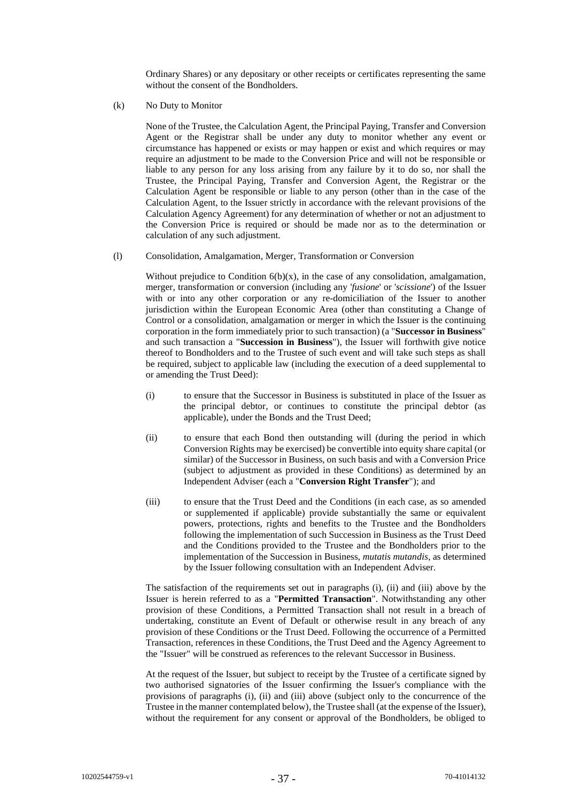Ordinary Shares) or any depositary or other receipts or certificates representing the same without the consent of the Bondholders.

(k) No Duty to Monitor

None of the Trustee, the Calculation Agent, the Principal Paying, Transfer and Conversion Agent or the Registrar shall be under any duty to monitor whether any event or circumstance has happened or exists or may happen or exist and which requires or may require an adjustment to be made to the Conversion Price and will not be responsible or liable to any person for any loss arising from any failure by it to do so, nor shall the Trustee, the Principal Paying, Transfer and Conversion Agent, the Registrar or the Calculation Agent be responsible or liable to any person (other than in the case of the Calculation Agent, to the Issuer strictly in accordance with the relevant provisions of the Calculation Agency Agreement) for any determination of whether or not an adjustment to the Conversion Price is required or should be made nor as to the determination or calculation of any such adjustment.

# <span id="page-36-0"></span>(l) Consolidation, Amalgamation, Merger, Transformation or Conversion

Without prejudice to Condition  $6(b)(x)$ , in the case of any consolidation, amalgamation, merger, transformation or conversion (including any '*fusione*' or '*scissione*') of the Issuer with or into any other corporation or any re-domiciliation of the Issuer to another jurisdiction within the European Economic Area (other than constituting a Change of Control or a consolidation, amalgamation or merger in which the Issuer is the continuing corporation in the form immediately prior to such transaction) (a "**Successor in Business**" and such transaction a "**Succession in Business**"), the Issuer will forthwith give notice thereof to Bondholders and to the Trustee of such event and will take such steps as shall be required, subject to applicable law (including the execution of a deed supplemental to or amending the Trust Deed):

- (i) to ensure that the Successor in Business is substituted in place of the Issuer as the principal debtor, or continues to constitute the principal debtor (as applicable), under the Bonds and the Trust Deed;
- (ii) to ensure that each Bond then outstanding will (during the period in which Conversion Rights may be exercised) be convertible into equity share capital (or similar) of the Successor in Business, on such basis and with a Conversion Price (subject to adjustment as provided in these Conditions) as determined by an Independent Adviser (each a "**Conversion Right Transfer**"); and
- (iii) to ensure that the Trust Deed and the Conditions (in each case, as so amended or supplemented if applicable) provide substantially the same or equivalent powers, protections, rights and benefits to the Trustee and the Bondholders following the implementation of such Succession in Business as the Trust Deed and the Conditions provided to the Trustee and the Bondholders prior to the implementation of the Succession in Business, *mutatis mutandis*, as determined by the Issuer following consultation with an Independent Adviser.

The satisfaction of the requirements set out in paragraphs (i), (ii) and (iii) above by the Issuer is herein referred to as a "**Permitted Transaction**". Notwithstanding any other provision of these Conditions, a Permitted Transaction shall not result in a breach of undertaking, constitute an Event of Default or otherwise result in any breach of any provision of these Conditions or the Trust Deed. Following the occurrence of a Permitted Transaction, references in these Conditions, the Trust Deed and the Agency Agreement to the "Issuer" will be construed as references to the relevant Successor in Business.

At the request of the Issuer, but subject to receipt by the Trustee of a certificate signed by two authorised signatories of the Issuer confirming the Issuer's compliance with the provisions of paragraphs (i), (ii) and (iii) above (subject only to the concurrence of the Trustee in the manner contemplated below), the Trustee shall (at the expense of the Issuer), without the requirement for any consent or approval of the Bondholders, be obliged to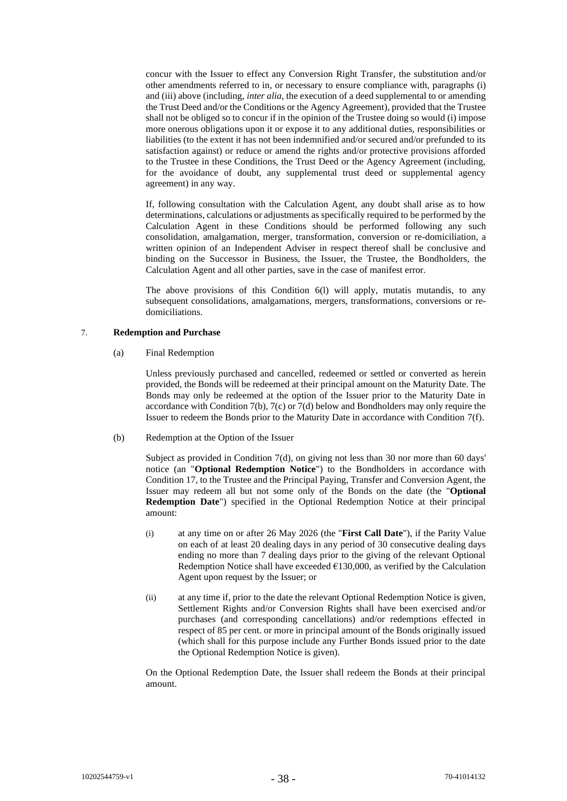concur with the Issuer to effect any Conversion Right Transfer, the substitution and/or other amendments referred to in, or necessary to ensure compliance with, paragraphs (i) and (iii) above (including, *inter alia*, the execution of a deed supplemental to or amending the Trust Deed and/or the Conditions or the Agency Agreement), provided that the Trustee shall not be obliged so to concur if in the opinion of the Trustee doing so would (i) impose more onerous obligations upon it or expose it to any additional duties, responsibilities or liabilities (to the extent it has not been indemnified and/or secured and/or prefunded to its satisfaction against) or reduce or amend the rights and/or protective provisions afforded to the Trustee in these Conditions, the Trust Deed or the Agency Agreement (including, for the avoidance of doubt, any supplemental trust deed or supplemental agency agreement) in any way.

If, following consultation with the Calculation Agent, any doubt shall arise as to how determinations, calculations or adjustments as specifically required to be performed by the Calculation Agent in these Conditions should be performed following any such consolidation, amalgamation, merger, transformation, conversion or re-domiciliation, a written opinion of an Independent Adviser in respect thereof shall be conclusive and binding on the Successor in Business, the Issuer, the Trustee, the Bondholders, the Calculation Agent and all other parties, save in the case of manifest error.

The above provisions of this Condition [6\(l\)](#page-36-0) will apply, mutatis mutandis, to any subsequent consolidations, amalgamations, mergers, transformations, conversions or redomiciliations.

# <span id="page-37-2"></span>7. **Redemption and Purchase**

(a) Final Redemption

Unless previously purchased and cancelled, redeemed or settled or converted as herein provided, the Bonds will be redeemed at their principal amount on the Maturity Date. The Bonds may only be redeemed at the option of the Issuer prior to the Maturity Date in accordance with Conditio[n 7\(b\),](#page-37-1) [7\(c\)](#page-38-0) o[r 7\(d\)](#page-38-1) below and Bondholders may only require the Issuer to redeem the Bonds prior to the Maturity Date in accordance with Condition [7\(f\).](#page-40-0)

<span id="page-37-1"></span>(b) Redemption at the Option of the Issuer

Subject as provided in Condition [7\(d\),](#page-38-1) on giving not less than 30 nor more than 60 days' notice (an "**Optional Redemption Notice**") to the Bondholders in accordance with Conditio[n 17,](#page-53-0) to the Trustee and the Principal Paying, Transfer and Conversion Agent, the Issuer may redeem all but not some only of the Bonds on the date (the "**Optional Redemption Date**") specified in the Optional Redemption Notice at their principal amount:

- <span id="page-37-0"></span>(i) at any time on or after 26 May 2026 (the "**First Call Date**"), if the Parity Value on each of at least 20 dealing days in any period of 30 consecutive dealing days ending no more than 7 dealing days prior to the giving of the relevant Optional Redemption Notice shall have exceeded  $£130,000$ , as verified by the Calculation Agent upon request by the Issuer; or
- (ii) at any time if, prior to the date the relevant Optional Redemption Notice is given, Settlement Rights and/or Conversion Rights shall have been exercised and/or purchases (and corresponding cancellations) and/or redemptions effected in respect of 85 per cent. or more in principal amount of the Bonds originally issued (which shall for this purpose include any Further Bonds issued prior to the date the Optional Redemption Notice is given).

On the Optional Redemption Date, the Issuer shall redeem the Bonds at their principal amount.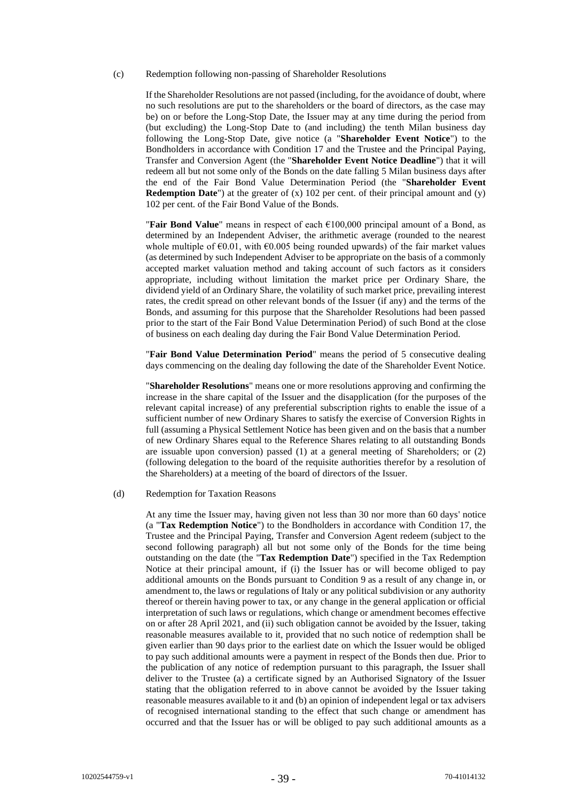#### <span id="page-38-0"></span>(c) Redemption following non-passing of Shareholder Resolutions

If the Shareholder Resolutions are not passed (including, for the avoidance of doubt, where no such resolutions are put to the shareholders or the board of directors, as the case may be) on or before the Long-Stop Date, the Issuer may at any time during the period from (but excluding) the Long-Stop Date to (and including) the tenth Milan business day following the Long-Stop Date, give notice (a "**Shareholder Event Notice**") to the Bondholders in accordance with Condition [17](#page-53-0) and the Trustee and the Principal Paying, Transfer and Conversion Agent (the "**Shareholder Event Notice Deadline**") that it will redeem all but not some only of the Bonds on the date falling 5 Milan business days after the end of the Fair Bond Value Determination Period (the "**Shareholder Event Redemption Date**") at the greater of (x) 102 per cent. of their principal amount and (y) 102 per cent. of the Fair Bond Value of the Bonds.

"**Fair Bond Value**" means in respect of each €100,000 principal amount of a Bond, as determined by an Independent Adviser, the arithmetic average (rounded to the nearest whole multiple of  $\epsilon 0.01$ , with  $\epsilon 0.005$  being rounded upwards) of the fair market values (as determined by such Independent Adviser to be appropriate on the basis of a commonly accepted market valuation method and taking account of such factors as it considers appropriate, including without limitation the market price per Ordinary Share, the dividend yield of an Ordinary Share, the volatility of such market price, prevailing interest rates, the credit spread on other relevant bonds of the Issuer (if any) and the terms of the Bonds, and assuming for this purpose that the Shareholder Resolutions had been passed prior to the start of the Fair Bond Value Determination Period) of such Bond at the close of business on each dealing day during the Fair Bond Value Determination Period.

"**Fair Bond Value Determination Period**" means the period of 5 consecutive dealing days commencing on the dealing day following the date of the Shareholder Event Notice.

"**Shareholder Resolutions**" means one or more resolutions approving and confirming the increase in the share capital of the Issuer and the disapplication (for the purposes of the relevant capital increase) of any preferential subscription rights to enable the issue of a sufficient number of new Ordinary Shares to satisfy the exercise of Conversion Rights in full (assuming a Physical Settlement Notice has been given and on the basis that a number of new Ordinary Shares equal to the Reference Shares relating to all outstanding Bonds are issuable upon conversion) passed (1) at a general meeting of Shareholders; or (2) (following delegation to the board of the requisite authorities therefor by a resolution of the Shareholders) at a meeting of the board of directors of the Issuer.

# <span id="page-38-1"></span>(d) Redemption for Taxation Reasons

At any time the Issuer may, having given not less than 30 nor more than 60 days' notice (a "**Tax Redemption Notice**") to the Bondholders in accordance with Condition [17,](#page-53-0) the Trustee and the Principal Paying, Transfer and Conversion Agent redeem (subject to the second following paragraph) all but not some only of the Bonds for the time being outstanding on the date (the "**Tax Redemption Date**") specified in the Tax Redemption Notice at their principal amount, if (i) the Issuer has or will become obliged to pay additional amounts on the Bonds pursuant to Condition [9](#page-42-0) as a result of any change in, or amendment to, the laws or regulations of Italy or any political subdivision or any authority thereof or therein having power to tax, or any change in the general application or official interpretation of such laws or regulations, which change or amendment becomes effective on or after 28 April 2021, and (ii) such obligation cannot be avoided by the Issuer, taking reasonable measures available to it, provided that no such notice of redemption shall be given earlier than 90 days prior to the earliest date on which the Issuer would be obliged to pay such additional amounts were a payment in respect of the Bonds then due. Prior to the publication of any notice of redemption pursuant to this paragraph, the Issuer shall deliver to the Trustee (a) a certificate signed by an Authorised Signatory of the Issuer stating that the obligation referred to in above cannot be avoided by the Issuer taking reasonable measures available to it and (b) an opinion of independent legal or tax advisers of recognised international standing to the effect that such change or amendment has occurred and that the Issuer has or will be obliged to pay such additional amounts as a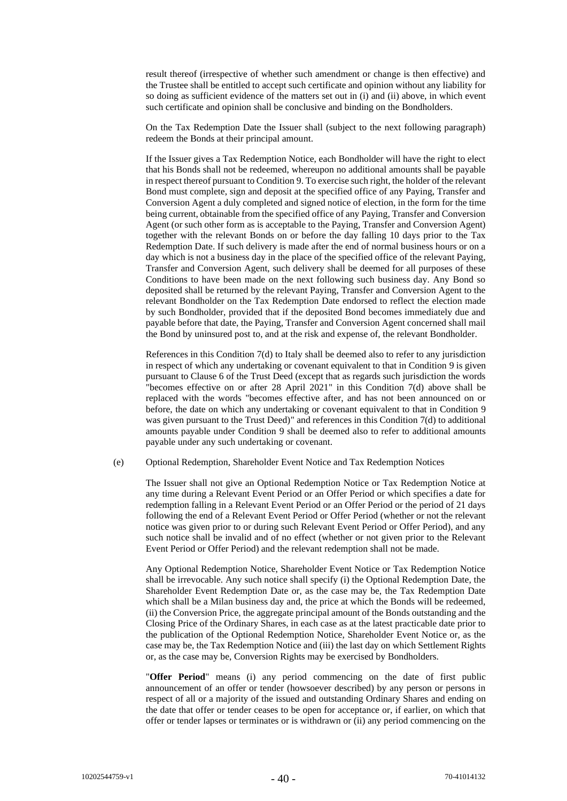result thereof (irrespective of whether such amendment or change is then effective) and the Trustee shall be entitled to accept such certificate and opinion without any liability for so doing as sufficient evidence of the matters set out in (i) and (ii) above, in which event such certificate and opinion shall be conclusive and binding on the Bondholders.

On the Tax Redemption Date the Issuer shall (subject to the next following paragraph) redeem the Bonds at their principal amount.

If the Issuer gives a Tax Redemption Notice, each Bondholder will have the right to elect that his Bonds shall not be redeemed, whereupon no additional amounts shall be payable in respect thereof pursuant to Conditio[n 9.](#page-42-0) To exercise such right, the holder of the relevant Bond must complete, sign and deposit at the specified office of any Paying, Transfer and Conversion Agent a duly completed and signed notice of election, in the form for the time being current, obtainable from the specified office of any Paying, Transfer and Conversion Agent (or such other form as is acceptable to the Paying, Transfer and Conversion Agent) together with the relevant Bonds on or before the day falling 10 days prior to the Tax Redemption Date. If such delivery is made after the end of normal business hours or on a day which is not a business day in the place of the specified office of the relevant Paying, Transfer and Conversion Agent, such delivery shall be deemed for all purposes of these Conditions to have been made on the next following such business day. Any Bond so deposited shall be returned by the relevant Paying, Transfer and Conversion Agent to the relevant Bondholder on the Tax Redemption Date endorsed to reflect the election made by such Bondholder, provided that if the deposited Bond becomes immediately due and payable before that date, the Paying, Transfer and Conversion Agent concerned shall mail the Bond by uninsured post to, and at the risk and expense of, the relevant Bondholder.

References in this Condition [7\(d\)](#page-38-1) to Italy shall be deemed also to refer to any jurisdiction in respect of which any undertaking or covenant equivalent to that in Conditio[n 9](#page-42-0) is given pursuant to Clause 6 of the Trust Deed (except that as regards such jurisdiction the words "becomes effective on or after 28 April 2021" in this Condition [7\(d\)](#page-38-1) above shall be replaced with the words "becomes effective after, and has not been announced on or before, the date on which any undertaking or covenant equivalent to that in Condition [9](#page-42-0) was given pursuant to the Trust Deed)" and references in this Condition [7\(d\)](#page-38-1) to additional amounts payable under Condition [9](#page-42-0) shall be deemed also to refer to additional amounts payable under any such undertaking or covenant.

# <span id="page-39-0"></span>(e) Optional Redemption, Shareholder Event Notice and Tax Redemption Notices

The Issuer shall not give an Optional Redemption Notice or Tax Redemption Notice at any time during a Relevant Event Period or an Offer Period or which specifies a date for redemption falling in a Relevant Event Period or an Offer Period or the period of 21 days following the end of a Relevant Event Period or Offer Period (whether or not the relevant notice was given prior to or during such Relevant Event Period or Offer Period), and any such notice shall be invalid and of no effect (whether or not given prior to the Relevant Event Period or Offer Period) and the relevant redemption shall not be made.

Any Optional Redemption Notice, Shareholder Event Notice or Tax Redemption Notice shall be irrevocable. Any such notice shall specify (i) the Optional Redemption Date, the Shareholder Event Redemption Date or, as the case may be, the Tax Redemption Date which shall be a Milan business day and, the price at which the Bonds will be redeemed, (ii) the Conversion Price, the aggregate principal amount of the Bonds outstanding and the Closing Price of the Ordinary Shares, in each case as at the latest practicable date prior to the publication of the Optional Redemption Notice, Shareholder Event Notice or, as the case may be, the Tax Redemption Notice and (iii) the last day on which Settlement Rights or, as the case may be, Conversion Rights may be exercised by Bondholders.

"**Offer Period**" means (i) any period commencing on the date of first public announcement of an offer or tender (howsoever described) by any person or persons in respect of all or a majority of the issued and outstanding Ordinary Shares and ending on the date that offer or tender ceases to be open for acceptance or, if earlier, on which that offer or tender lapses or terminates or is withdrawn or (ii) any period commencing on the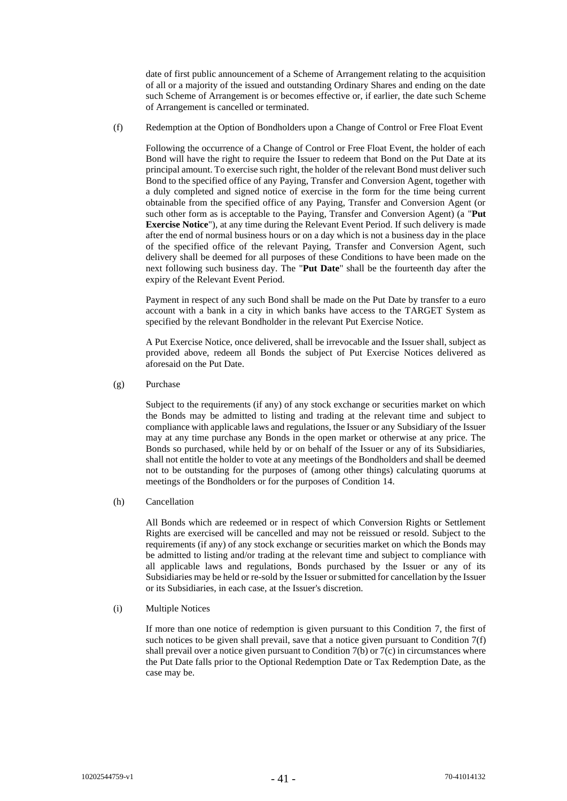date of first public announcement of a Scheme of Arrangement relating to the acquisition of all or a majority of the issued and outstanding Ordinary Shares and ending on the date such Scheme of Arrangement is or becomes effective or, if earlier, the date such Scheme of Arrangement is cancelled or terminated.

<span id="page-40-0"></span>(f) Redemption at the Option of Bondholders upon a Change of Control or Free Float Event

Following the occurrence of a Change of Control or Free Float Event, the holder of each Bond will have the right to require the Issuer to redeem that Bond on the Put Date at its principal amount. To exercise such right, the holder of the relevant Bond must deliver such Bond to the specified office of any Paying, Transfer and Conversion Agent, together with a duly completed and signed notice of exercise in the form for the time being current obtainable from the specified office of any Paying, Transfer and Conversion Agent (or such other form as is acceptable to the Paying, Transfer and Conversion Agent) (a "**Put Exercise Notice**"), at any time during the Relevant Event Period. If such delivery is made after the end of normal business hours or on a day which is not a business day in the place of the specified office of the relevant Paying, Transfer and Conversion Agent, such delivery shall be deemed for all purposes of these Conditions to have been made on the next following such business day. The "**Put Date**" shall be the fourteenth day after the expiry of the Relevant Event Period.

Payment in respect of any such Bond shall be made on the Put Date by transfer to a euro account with a bank in a city in which banks have access to the TARGET System as specified by the relevant Bondholder in the relevant Put Exercise Notice.

A Put Exercise Notice, once delivered, shall be irrevocable and the Issuer shall, subject as provided above, redeem all Bonds the subject of Put Exercise Notices delivered as aforesaid on the Put Date.

(g) Purchase

Subject to the requirements (if any) of any stock exchange or securities market on which the Bonds may be admitted to listing and trading at the relevant time and subject to compliance with applicable laws and regulations, the Issuer or any Subsidiary of the Issuer may at any time purchase any Bonds in the open market or otherwise at any price. The Bonds so purchased, while held by or on behalf of the Issuer or any of its Subsidiaries, shall not entitle the holder to vote at any meetings of the Bondholders and shall be deemed not to be outstanding for the purposes of (among other things) calculating quorums at meetings of the Bondholders or for the purposes of Condition [14.](#page-50-1)

(h) Cancellation

All Bonds which are redeemed or in respect of which Conversion Rights or Settlement Rights are exercised will be cancelled and may not be reissued or resold. Subject to the requirements (if any) of any stock exchange or securities market on which the Bonds may be admitted to listing and/or trading at the relevant time and subject to compliance with all applicable laws and regulations, Bonds purchased by the Issuer or any of its Subsidiaries may be held or re-sold by the Issuer or submitted for cancellation by the Issuer or its Subsidiaries, in each case, at the Issuer's discretion.

(i) Multiple Notices

If more than one notice of redemption is given pursuant to this Condition [7,](#page-37-2) the first of such notices to be given shall prevail, save that a notice given pursuant to Condition [7\(f\)](#page-40-0) shall prevail over a notice given pursuant to Condition [7\(b\)](#page-37-1) or  $\overline{7(c)}$  in circumstances where the Put Date falls prior to the Optional Redemption Date or Tax Redemption Date, as the case may be.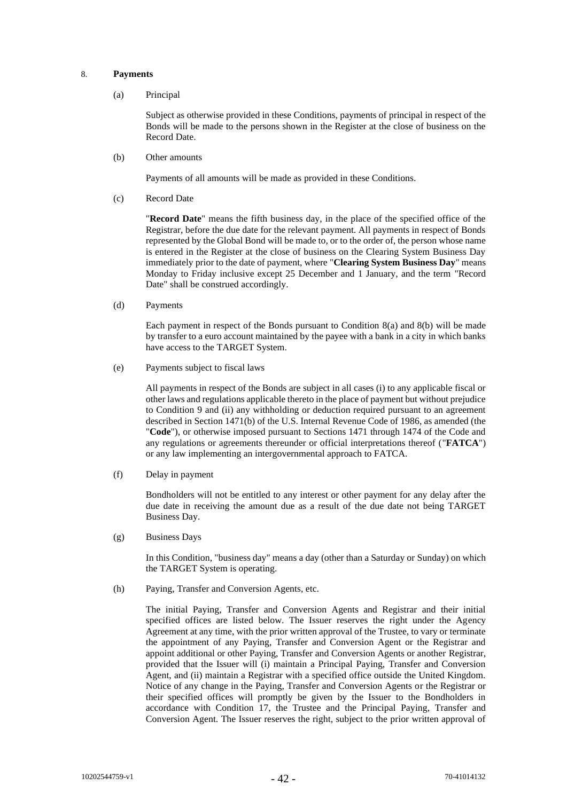# <span id="page-41-2"></span>8. **Payments**

(a) Principal

Subject as otherwise provided in these Conditions, payments of principal in respect of the Bonds will be made to the persons shown in the Register at the close of business on the Record Date.

<span id="page-41-3"></span>(b) Other amounts

Payments of all amounts will be made as provided in these Conditions.

<span id="page-41-1"></span>(c) Record Date

"**Record Date**" means the fifth business day, in the place of the specified office of the Registrar, before the due date for the relevant payment. All payments in respect of Bonds represented by the Global Bond will be made to, or to the order of, the person whose name is entered in the Register at the close of business on the Clearing System Business Day immediately prior to the date of payment, where "**Clearing System Business Day**" means Monday to Friday inclusive except 25 December and 1 January, and the term "Record Date" shall be construed accordingly.

(d) Payments

Each payment in respect of the Bonds pursuant to Condition [8\(a\)](#page-41-2) and [8\(b\)](#page-41-3) will be made by transfer to a euro account maintained by the payee with a bank in a city in which banks have access to the TARGET System.

(e) Payments subject to fiscal laws

All payments in respect of the Bonds are subject in all cases (i) to any applicable fiscal or other laws and regulations applicable thereto in the place of payment but without prejudice to Condition [9](#page-42-0) and (ii) any withholding or deduction required pursuant to an agreement described in Section 1471(b) of the U.S. Internal Revenue Code of 1986, as amended (the "**Code**"), or otherwise imposed pursuant to Sections 1471 through 1474 of the Code and any regulations or agreements thereunder or official interpretations thereof ("**FATCA**") or any law implementing an intergovernmental approach to FATCA.

(f) Delay in payment

Bondholders will not be entitled to any interest or other payment for any delay after the due date in receiving the amount due as a result of the due date not being TARGET Business Day.

<span id="page-41-0"></span>(g) Business Days

In this Condition, "business day" means a day (other than a Saturday or Sunday) on which the TARGET System is operating.

(h) Paying, Transfer and Conversion Agents, etc.

The initial Paying, Transfer and Conversion Agents and Registrar and their initial specified offices are listed below. The Issuer reserves the right under the Agency Agreement at any time, with the prior written approval of the Trustee, to vary or terminate the appointment of any Paying, Transfer and Conversion Agent or the Registrar and appoint additional or other Paying, Transfer and Conversion Agents or another Registrar, provided that the Issuer will (i) maintain a Principal Paying, Transfer and Conversion Agent, and (ii) maintain a Registrar with a specified office outside the United Kingdom. Notice of any change in the Paying, Transfer and Conversion Agents or the Registrar or their specified offices will promptly be given by the Issuer to the Bondholders in accordance with Condition [17,](#page-53-0) the Trustee and the Principal Paying, Transfer and Conversion Agent. The Issuer reserves the right, subject to the prior written approval of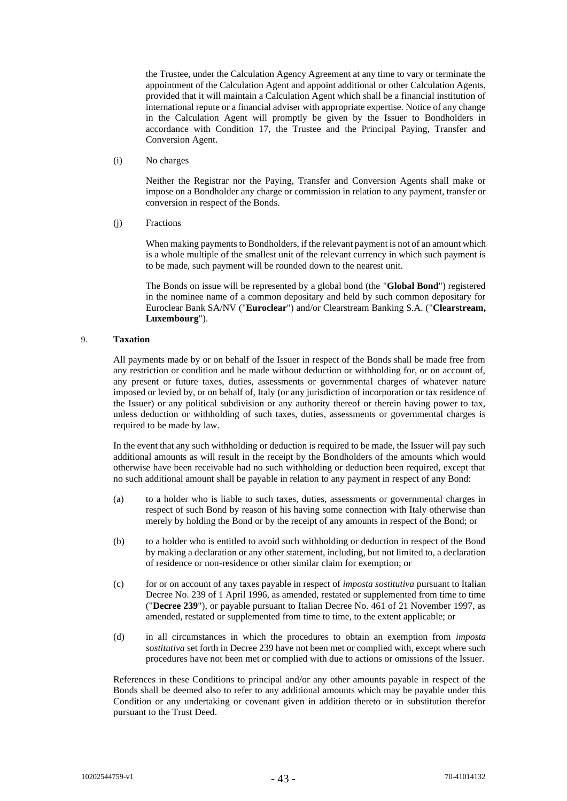the Trustee, under the Calculation Agency Agreement at any time to vary or terminate the appointment of the Calculation Agent and appoint additional or other Calculation Agents, provided that it will maintain a Calculation Agent which shall be a financial institution of international repute or a financial adviser with appropriate expertise. Notice of any change in the Calculation Agent will promptly be given by the Issuer to Bondholders in accordance with Condition [17,](#page-53-0) the Trustee and the Principal Paying, Transfer and Conversion Agent.

(i) No charges

Neither the Registrar nor the Paying, Transfer and Conversion Agents shall make or impose on a Bondholder any charge or commission in relation to any payment, transfer or conversion in respect of the Bonds.

(j) Fractions

When making payments to Bondholders, if the relevant payment is not of an amount which is a whole multiple of the smallest unit of the relevant currency in which such payment is to be made, such payment will be rounded down to the nearest unit.

The Bonds on issue will be represented by a global bond (the "**Global Bond**") registered in the nominee name of a common depositary and held by such common depositary for Euroclear Bank SA/NV ("**Euroclear**") and/or Clearstream Banking S.A. ("**Clearstream, Luxembourg**").

# <span id="page-42-0"></span>9. **Taxation**

All payments made by or on behalf of the Issuer in respect of the Bonds shall be made free from any restriction or condition and be made without deduction or withholding for, or on account of, any present or future taxes, duties, assessments or governmental charges of whatever nature imposed or levied by, or on behalf of, Italy (or any jurisdiction of incorporation or tax residence of the Issuer) or any political subdivision or any authority thereof or therein having power to tax, unless deduction or withholding of such taxes, duties, assessments or governmental charges is required to be made by law.

In the event that any such withholding or deduction is required to be made, the Issuer will pay such additional amounts as will result in the receipt by the Bondholders of the amounts which would otherwise have been receivable had no such withholding or deduction been required, except that no such additional amount shall be payable in relation to any payment in respect of any Bond:

- (a) to a holder who is liable to such taxes, duties, assessments or governmental charges in respect of such Bond by reason of his having some connection with Italy otherwise than merely by holding the Bond or by the receipt of any amounts in respect of the Bond; or
- (b) to a holder who is entitled to avoid such withholding or deduction in respect of the Bond by making a declaration or any other statement, including, but not limited to, a declaration of residence or non-residence or other similar claim for exemption; or
- (c) for or on account of any taxes payable in respect of *imposta sostitutiva* pursuant to Italian Decree No. 239 of 1 April 1996, as amended, restated or supplemented from time to time ("**Decree 239**"), or payable pursuant to Italian Decree No. 461 of 21 November 1997, as amended, restated or supplemented from time to time, to the extent applicable; or
- (d) in all circumstances in which the procedures to obtain an exemption from *imposta sostitutiva* set forth in Decree 239 have not been met or complied with, except where such procedures have not been met or complied with due to actions or omissions of the Issuer.

References in these Conditions to principal and/or any other amounts payable in respect of the Bonds shall be deemed also to refer to any additional amounts which may be payable under this Condition or any undertaking or covenant given in addition thereto or in substitution therefor pursuant to the Trust Deed.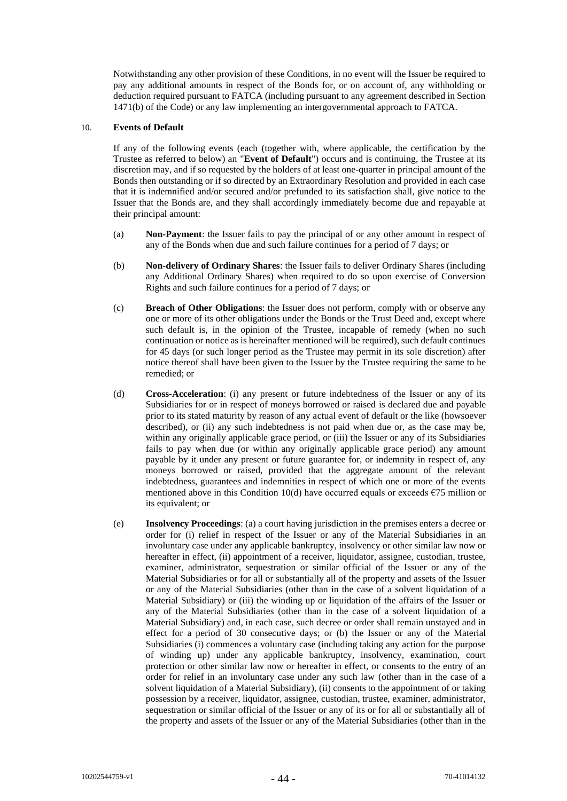Notwithstanding any other provision of these Conditions, in no event will the Issuer be required to pay any additional amounts in respect of the Bonds for, or on account of, any withholding or deduction required pursuant to FATCA (including pursuant to any agreement described in Section 1471(b) of the Code) or any law implementing an intergovernmental approach to FATCA.

# <span id="page-43-0"></span>10. **Events of Default**

If any of the following events (each (together with, where applicable, the certification by the Trustee as referred to below) an "**Event of Default**") occurs and is continuing, the Trustee at its discretion may, and if so requested by the holders of at least one-quarter in principal amount of the Bonds then outstanding or if so directed by an Extraordinary Resolution and provided in each case that it is indemnified and/or secured and/or prefunded to its satisfaction shall, give notice to the Issuer that the Bonds are, and they shall accordingly immediately become due and repayable at their principal amount:

- (a) **Non-Payment**: the Issuer fails to pay the principal of or any other amount in respect of any of the Bonds when due and such failure continues for a period of 7 days; or
- (b) **Non-delivery of Ordinary Shares**: the Issuer fails to deliver Ordinary Shares (including any Additional Ordinary Shares) when required to do so upon exercise of Conversion Rights and such failure continues for a period of 7 days; or
- (c) **Breach of Other Obligations**: the Issuer does not perform, comply with or observe any one or more of its other obligations under the Bonds or the Trust Deed and, except where such default is, in the opinion of the Trustee, incapable of remedy (when no such continuation or notice as is hereinafter mentioned will be required), such default continues for 45 days (or such longer period as the Trustee may permit in its sole discretion) after notice thereof shall have been given to the Issuer by the Trustee requiring the same to be remedied; or
- <span id="page-43-1"></span>(d) **Cross-Acceleration**: (i) any present or future indebtedness of the Issuer or any of its Subsidiaries for or in respect of moneys borrowed or raised is declared due and payable prior to its stated maturity by reason of any actual event of default or the like (howsoever described), or (ii) any such indebtedness is not paid when due or, as the case may be, within any originally applicable grace period, or (iii) the Issuer or any of its Subsidiaries fails to pay when due (or within any originally applicable grace period) any amount payable by it under any present or future guarantee for, or indemnity in respect of, any moneys borrowed or raised, provided that the aggregate amount of the relevant indebtedness, guarantees and indemnities in respect of which one or more of the events mentioned above in this Condition [10\(d\)](#page-43-1) have occurred equals or exceeds  $\epsilon$ 75 million or its equivalent; or
- (e) **Insolvency Proceedings**: (a) a court having jurisdiction in the premises enters a decree or order for (i) relief in respect of the Issuer or any of the Material Subsidiaries in an involuntary case under any applicable bankruptcy, insolvency or other similar law now or hereafter in effect, (ii) appointment of a receiver, liquidator, assignee, custodian, trustee, examiner, administrator, sequestration or similar official of the Issuer or any of the Material Subsidiaries or for all or substantially all of the property and assets of the Issuer or any of the Material Subsidiaries (other than in the case of a solvent liquidation of a Material Subsidiary) or (iii) the winding up or liquidation of the affairs of the Issuer or any of the Material Subsidiaries (other than in the case of a solvent liquidation of a Material Subsidiary) and, in each case, such decree or order shall remain unstayed and in effect for a period of 30 consecutive days; or (b) the Issuer or any of the Material Subsidiaries (i) commences a voluntary case (including taking any action for the purpose of winding up) under any applicable bankruptcy, insolvency, examination, court protection or other similar law now or hereafter in effect, or consents to the entry of an order for relief in an involuntary case under any such law (other than in the case of a solvent liquidation of a Material Subsidiary), (ii) consents to the appointment of or taking possession by a receiver, liquidator, assignee, custodian, trustee, examiner, administrator, sequestration or similar official of the Issuer or any of its or for all or substantially all of the property and assets of the Issuer or any of the Material Subsidiaries (other than in the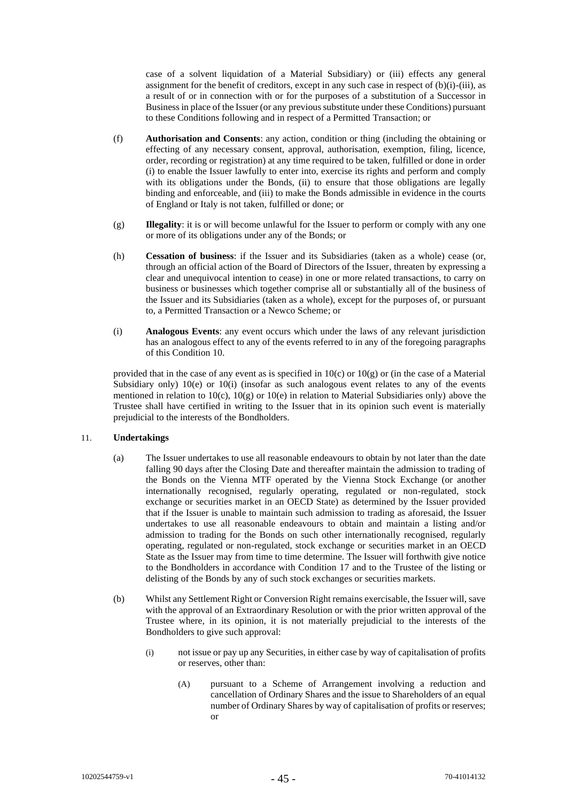case of a solvent liquidation of a Material Subsidiary) or (iii) effects any general assignment for the benefit of creditors, except in any such case in respect of (b)(i)-(iii), as a result of or in connection with or for the purposes of a substitution of a Successor in Business in place of the Issuer (or any previous substitute under these Conditions) pursuant to these Conditions following and in respect of a Permitted Transaction; or

- (f) **Authorisation and Consents**: any action, condition or thing (including the obtaining or effecting of any necessary consent, approval, authorisation, exemption, filing, licence, order, recording or registration) at any time required to be taken, fulfilled or done in order (i) to enable the Issuer lawfully to enter into, exercise its rights and perform and comply with its obligations under the Bonds, (ii) to ensure that those obligations are legally binding and enforceable, and (iii) to make the Bonds admissible in evidence in the courts of England or Italy is not taken, fulfilled or done; or
- (g) **Illegality**: it is or will become unlawful for the Issuer to perform or comply with any one or more of its obligations under any of the Bonds; or
- (h) **Cessation of business**: if the Issuer and its Subsidiaries (taken as a whole) cease (or, through an official action of the Board of Directors of the Issuer, threaten by expressing a clear and unequivocal intention to cease) in one or more related transactions, to carry on business or businesses which together comprise all or substantially all of the business of the Issuer and its Subsidiaries (taken as a whole), except for the purposes of, or pursuant to, a Permitted Transaction or a Newco Scheme; or
- (i) **Analogous Events**: any event occurs which under the laws of any relevant jurisdiction has an analogous effect to any of the events referred to in any of the foregoing paragraphs of this Condition [10.](#page-43-0)

provided that in the case of any event as is specified in  $10(c)$  or  $10(g)$  or (in the case of a Material Subsidiary only) 10(e) or 10(i) (insofar as such analogous event relates to any of the events mentioned in relation to  $10(c)$ ,  $10(g)$  or  $10(e)$  in relation to Material Subsidiaries only) above the Trustee shall have certified in writing to the Issuer that in its opinion such event is materially prejudicial to the interests of the Bondholders.

# <span id="page-44-0"></span>11. **Undertakings**

- (a) The Issuer undertakes to use all reasonable endeavours to obtain by not later than the date falling 90 days after the Closing Date and thereafter maintain the admission to trading of the Bonds on the Vienna MTF operated by the Vienna Stock Exchange (or another internationally recognised, regularly operating, regulated or non-regulated, stock exchange or securities market in an OECD State) as determined by the Issuer provided that if the Issuer is unable to maintain such admission to trading as aforesaid, the Issuer undertakes to use all reasonable endeavours to obtain and maintain a listing and/or admission to trading for the Bonds on such other internationally recognised, regularly operating, regulated or non-regulated, stock exchange or securities market in an OECD State as the Issuer may from time to time determine. The Issuer will forthwith give notice to the Bondholders in accordance with Condition [17](#page-53-0) and to the Trustee of the listing or delisting of the Bonds by any of such stock exchanges or securities markets.
- <span id="page-44-2"></span><span id="page-44-1"></span>(b) Whilst any Settlement Right or Conversion Right remains exercisable, the Issuer will, save with the approval of an Extraordinary Resolution or with the prior written approval of the Trustee where, in its opinion, it is not materially prejudicial to the interests of the Bondholders to give such approval:
	- (i) not issue or pay up any Securities, in either case by way of capitalisation of profits or reserves, other than:
		- (A) pursuant to a Scheme of Arrangement involving a reduction and cancellation of Ordinary Shares and the issue to Shareholders of an equal number of Ordinary Shares by way of capitalisation of profits or reserves; or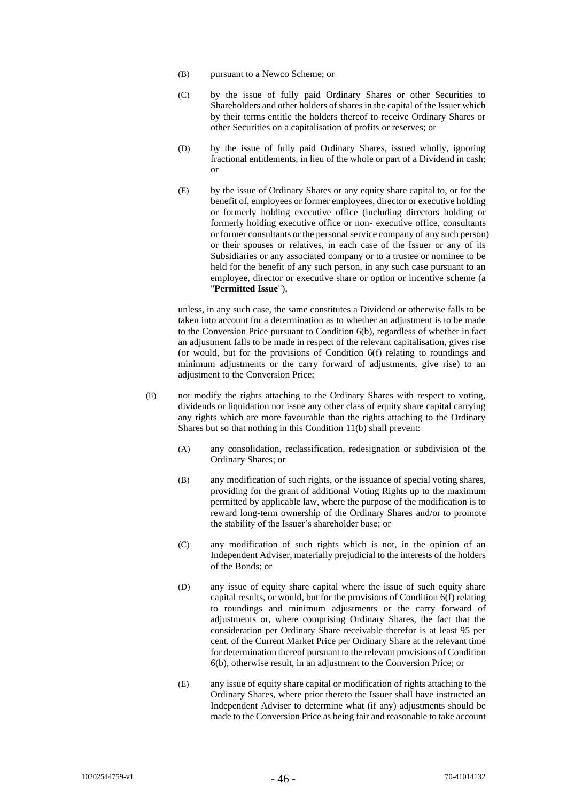- (B) pursuant to a Newco Scheme; or
- (C) by the issue of fully paid Ordinary Shares or other Securities to Shareholders and other holders of shares in the capital of the Issuer which by their terms entitle the holders thereof to receive Ordinary Shares or other Securities on a capitalisation of profits or reserves; or
- (D) by the issue of fully paid Ordinary Shares, issued wholly, ignoring fractional entitlements, in lieu of the whole or part of a Dividend in cash; or
- (E) by the issue of Ordinary Shares or any equity share capital to, or for the benefit of, employees or former employees, director or executive holding or formerly holding executive office (including directors holding or formerly holding executive office or non- executive office, consultants or former consultants or the personal service company of any such person) or their spouses or relatives, in each case of the Issuer or any of its Subsidiaries or any associated company or to a trustee or nominee to be held for the benefit of any such person, in any such case pursuant to an employee, director or executive share or option or incentive scheme (a "**Permitted Issue**"),

unless, in any such case, the same constitutes a Dividend or otherwise falls to be taken into account for a determination as to whether an adjustment is to be made to the Conversion Price pursuant to Condition [6\(b\),](#page-20-1) regardless of whether in fact an adjustment falls to be made in respect of the relevant capitalisation, gives rise (or would, but for the provisions of Condition [6\(f\)](#page-33-1) relating to roundings and minimum adjustments or the carry forward of adjustments, give rise) to an adjustment to the Conversion Price;

- (ii) not modify the rights attaching to the Ordinary Shares with respect to voting, dividends or liquidation nor issue any other class of equity share capital carrying any rights which are more favourable than the rights attaching to the Ordinary Shares but so that nothing in this Condition [11\(b\)](#page-44-1) shall prevent:
	- (A) any consolidation, reclassification, redesignation or subdivision of the Ordinary Shares; or
	- (B) any modification of such rights, or the issuance of special voting shares, providing for the grant of additional Voting Rights up to the maximum permitted by applicable law, where the purpose of the modification is to reward long-term ownership of the Ordinary Shares and/or to promote the stability of the Issuer's shareholder base; or
	- (C) any modification of such rights which is not, in the opinion of an Independent Adviser, materially prejudicial to the interests of the holders of the Bonds; or
	- (D) any issue of equity share capital where the issue of such equity share capital results, or would, but for the provisions of Condition [6\(f\)](#page-33-1) relating to roundings and minimum adjustments or the carry forward of adjustments or, where comprising Ordinary Shares, the fact that the consideration per Ordinary Share receivable therefor is at least 95 per cent. of the Current Market Price per Ordinary Share at the relevant time for determination thereof pursuant to the relevant provisions of Condition [6\(b\),](#page-20-1) otherwise result, in an adjustment to the Conversion Price; or
	- (E) any issue of equity share capital or modification of rights attaching to the Ordinary Shares, where prior thereto the Issuer shall have instructed an Independent Adviser to determine what (if any) adjustments should be made to the Conversion Price as being fair and reasonable to take account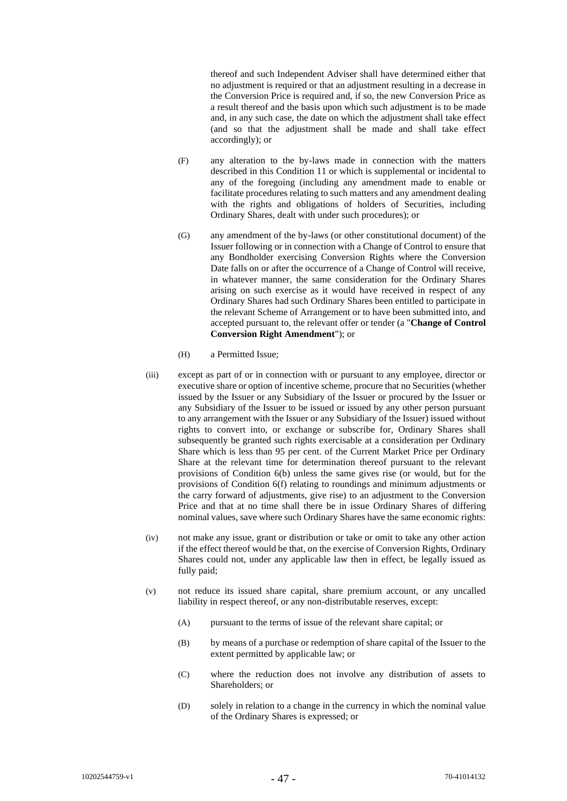thereof and such Independent Adviser shall have determined either that no adjustment is required or that an adjustment resulting in a decrease in the Conversion Price is required and, if so, the new Conversion Price as a result thereof and the basis upon which such adjustment is to be made and, in any such case, the date on which the adjustment shall take effect (and so that the adjustment shall be made and shall take effect accordingly); or

- (F) any alteration to the by-laws made in connection with the matters described in this Conditio[n 11](#page-44-0) or which is supplemental or incidental to any of the foregoing (including any amendment made to enable or facilitate procedures relating to such matters and any amendment dealing with the rights and obligations of holders of Securities, including Ordinary Shares, dealt with under such procedures); or
- <span id="page-46-0"></span>(G) any amendment of the by-laws (or other constitutional document) of the Issuer following or in connection with a Change of Control to ensure that any Bondholder exercising Conversion Rights where the Conversion Date falls on or after the occurrence of a Change of Control will receive, in whatever manner, the same consideration for the Ordinary Shares arising on such exercise as it would have received in respect of any Ordinary Shares had such Ordinary Shares been entitled to participate in the relevant Scheme of Arrangement or to have been submitted into, and accepted pursuant to, the relevant offer or tender (a "**Change of Control Conversion Right Amendment**"); or
- (H) a Permitted Issue;
- (iii) except as part of or in connection with or pursuant to any employee, director or executive share or option of incentive scheme, procure that no Securities (whether issued by the Issuer or any Subsidiary of the Issuer or procured by the Issuer or any Subsidiary of the Issuer to be issued or issued by any other person pursuant to any arrangement with the Issuer or any Subsidiary of the Issuer) issued without rights to convert into, or exchange or subscribe for, Ordinary Shares shall subsequently be granted such rights exercisable at a consideration per Ordinary Share which is less than 95 per cent. of the Current Market Price per Ordinary Share at the relevant time for determination thereof pursuant to the relevant provisions of Condition [6\(b\)](#page-20-1) unless the same gives rise (or would, but for the provisions of Condition [6\(f\)](#page-33-1) relating to roundings and minimum adjustments or the carry forward of adjustments, give rise) to an adjustment to the Conversion Price and that at no time shall there be in issue Ordinary Shares of differing nominal values, save where such Ordinary Shares have the same economic rights:
- (iv) not make any issue, grant or distribution or take or omit to take any other action if the effect thereof would be that, on the exercise of Conversion Rights, Ordinary Shares could not, under any applicable law then in effect, be legally issued as fully paid;
- (v) not reduce its issued share capital, share premium account, or any uncalled liability in respect thereof, or any non-distributable reserves, except:
	- (A) pursuant to the terms of issue of the relevant share capital; or
	- (B) by means of a purchase or redemption of share capital of the Issuer to the extent permitted by applicable law; or
	- (C) where the reduction does not involve any distribution of assets to Shareholders; or
	- (D) solely in relation to a change in the currency in which the nominal value of the Ordinary Shares is expressed; or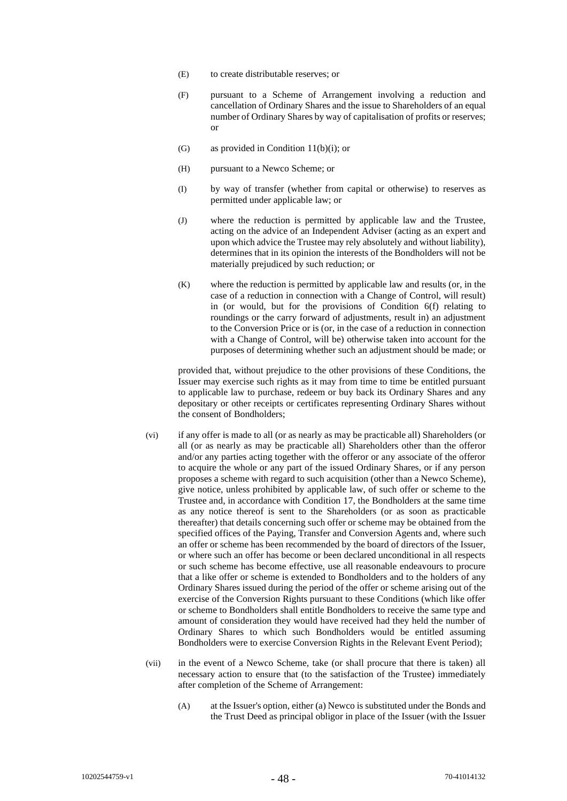- (E) to create distributable reserves; or
- (F) pursuant to a Scheme of Arrangement involving a reduction and cancellation of Ordinary Shares and the issue to Shareholders of an equal number of Ordinary Shares by way of capitalisation of profits or reserves; or
- (G) as provided in Condition [11\(b\)\(i\);](#page-44-2) or
- (H) pursuant to a Newco Scheme; or
- (I) by way of transfer (whether from capital or otherwise) to reserves as permitted under applicable law; or
- (J) where the reduction is permitted by applicable law and the Trustee, acting on the advice of an Independent Adviser (acting as an expert and upon which advice the Trustee may rely absolutely and without liability), determines that in its opinion the interests of the Bondholders will not be materially prejudiced by such reduction; or
- (K) where the reduction is permitted by applicable law and results (or, in the case of a reduction in connection with a Change of Control, will result) in (or would, but for the provisions of Condition [6\(f\)](#page-33-1) relating to roundings or the carry forward of adjustments, result in) an adjustment to the Conversion Price or is (or, in the case of a reduction in connection with a Change of Control, will be) otherwise taken into account for the purposes of determining whether such an adjustment should be made; or

provided that, without prejudice to the other provisions of these Conditions, the Issuer may exercise such rights as it may from time to time be entitled pursuant to applicable law to purchase, redeem or buy back its Ordinary Shares and any depositary or other receipts or certificates representing Ordinary Shares without the consent of Bondholders;

- (vi) if any offer is made to all (or as nearly as may be practicable all) Shareholders (or all (or as nearly as may be practicable all) Shareholders other than the offeror and/or any parties acting together with the offeror or any associate of the offeror to acquire the whole or any part of the issued Ordinary Shares, or if any person proposes a scheme with regard to such acquisition (other than a Newco Scheme), give notice, unless prohibited by applicable law, of such offer or scheme to the Trustee and, in accordance with Condition [17,](#page-53-0) the Bondholders at the same time as any notice thereof is sent to the Shareholders (or as soon as practicable thereafter) that details concerning such offer or scheme may be obtained from the specified offices of the Paying, Transfer and Conversion Agents and, where such an offer or scheme has been recommended by the board of directors of the Issuer, or where such an offer has become or been declared unconditional in all respects or such scheme has become effective, use all reasonable endeavours to procure that a like offer or scheme is extended to Bondholders and to the holders of any Ordinary Shares issued during the period of the offer or scheme arising out of the exercise of the Conversion Rights pursuant to these Conditions (which like offer or scheme to Bondholders shall entitle Bondholders to receive the same type and amount of consideration they would have received had they held the number of Ordinary Shares to which such Bondholders would be entitled assuming Bondholders were to exercise Conversion Rights in the Relevant Event Period);
- <span id="page-47-1"></span><span id="page-47-0"></span>(vii) in the event of a Newco Scheme, take (or shall procure that there is taken) all necessary action to ensure that (to the satisfaction of the Trustee) immediately after completion of the Scheme of Arrangement:
	- (A) at the Issuer's option, either (a) Newco is substituted under the Bonds and the Trust Deed as principal obligor in place of the Issuer (with the Issuer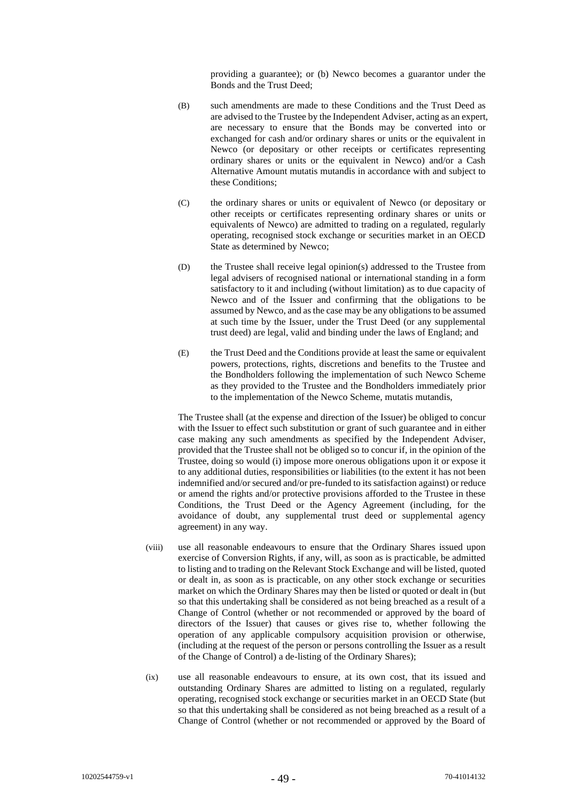providing a guarantee); or (b) Newco becomes a guarantor under the Bonds and the Trust Deed;

- (B) such amendments are made to these Conditions and the Trust Deed as are advised to the Trustee by the Independent Adviser, acting as an expert, are necessary to ensure that the Bonds may be converted into or exchanged for cash and/or ordinary shares or units or the equivalent in Newco (or depositary or other receipts or certificates representing ordinary shares or units or the equivalent in Newco) and/or a Cash Alternative Amount mutatis mutandis in accordance with and subject to these Conditions;
- (C) the ordinary shares or units or equivalent of Newco (or depositary or other receipts or certificates representing ordinary shares or units or equivalents of Newco) are admitted to trading on a regulated, regularly operating, recognised stock exchange or securities market in an OECD State as determined by Newco;
- (D) the Trustee shall receive legal opinion(s) addressed to the Trustee from legal advisers of recognised national or international standing in a form satisfactory to it and including (without limitation) as to due capacity of Newco and of the Issuer and confirming that the obligations to be assumed by Newco, and as the case may be any obligations to be assumed at such time by the Issuer, under the Trust Deed (or any supplemental trust deed) are legal, valid and binding under the laws of England; and
- (E) the Trust Deed and the Conditions provide at least the same or equivalent powers, protections, rights, discretions and benefits to the Trustee and the Bondholders following the implementation of such Newco Scheme as they provided to the Trustee and the Bondholders immediately prior to the implementation of the Newco Scheme, mutatis mutandis,

The Trustee shall (at the expense and direction of the Issuer) be obliged to concur with the Issuer to effect such substitution or grant of such guarantee and in either case making any such amendments as specified by the Independent Adviser, provided that the Trustee shall not be obliged so to concur if, in the opinion of the Trustee, doing so would (i) impose more onerous obligations upon it or expose it to any additional duties, responsibilities or liabilities (to the extent it has not been indemnified and/or secured and/or pre-funded to its satisfaction against) or reduce or amend the rights and/or protective provisions afforded to the Trustee in these Conditions, the Trust Deed or the Agency Agreement (including, for the avoidance of doubt, any supplemental trust deed or supplemental agency agreement) in any way.

- (viii) use all reasonable endeavours to ensure that the Ordinary Shares issued upon exercise of Conversion Rights, if any, will, as soon as is practicable, be admitted to listing and to trading on the Relevant Stock Exchange and will be listed, quoted or dealt in, as soon as is practicable, on any other stock exchange or securities market on which the Ordinary Shares may then be listed or quoted or dealt in (but so that this undertaking shall be considered as not being breached as a result of a Change of Control (whether or not recommended or approved by the board of directors of the Issuer) that causes or gives rise to, whether following the operation of any applicable compulsory acquisition provision or otherwise, (including at the request of the person or persons controlling the Issuer as a result of the Change of Control) a de-listing of the Ordinary Shares);
- (ix) use all reasonable endeavours to ensure, at its own cost, that its issued and outstanding Ordinary Shares are admitted to listing on a regulated, regularly operating, recognised stock exchange or securities market in an OECD State (but so that this undertaking shall be considered as not being breached as a result of a Change of Control (whether or not recommended or approved by the Board of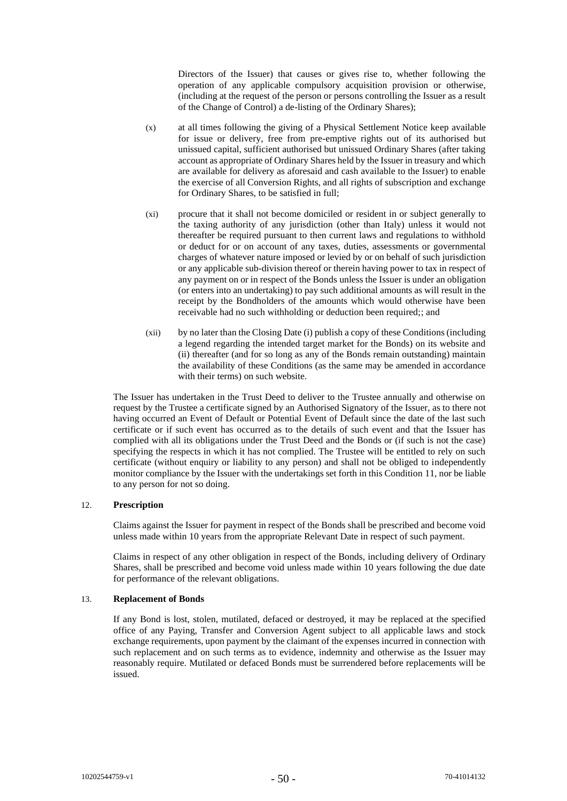Directors of the Issuer) that causes or gives rise to, whether following the operation of any applicable compulsory acquisition provision or otherwise, (including at the request of the person or persons controlling the Issuer as a result of the Change of Control) a de-listing of the Ordinary Shares);

- (x) at all times following the giving of a Physical Settlement Notice keep available for issue or delivery, free from pre-emptive rights out of its authorised but unissued capital, sufficient authorised but unissued Ordinary Shares (after taking account as appropriate of Ordinary Shares held by the Issuer in treasury and which are available for delivery as aforesaid and cash available to the Issuer) to enable the exercise of all Conversion Rights, and all rights of subscription and exchange for Ordinary Shares, to be satisfied in full;
- (xi) procure that it shall not become domiciled or resident in or subject generally to the taxing authority of any jurisdiction (other than Italy) unless it would not thereafter be required pursuant to then current laws and regulations to withhold or deduct for or on account of any taxes, duties, assessments or governmental charges of whatever nature imposed or levied by or on behalf of such jurisdiction or any applicable sub-division thereof or therein having power to tax in respect of any payment on or in respect of the Bonds unless the Issuer is under an obligation (or enters into an undertaking) to pay such additional amounts as will result in the receipt by the Bondholders of the amounts which would otherwise have been receivable had no such withholding or deduction been required;; and
- (xii) by no later than the Closing Date (i) publish a copy of these Conditions (including a legend regarding the intended target market for the Bonds) on its website and (ii) thereafter (and for so long as any of the Bonds remain outstanding) maintain the availability of these Conditions (as the same may be amended in accordance with their terms) on such website.

The Issuer has undertaken in the Trust Deed to deliver to the Trustee annually and otherwise on request by the Trustee a certificate signed by an Authorised Signatory of the Issuer, as to there not having occurred an Event of Default or Potential Event of Default since the date of the last such certificate or if such event has occurred as to the details of such event and that the Issuer has complied with all its obligations under the Trust Deed and the Bonds or (if such is not the case) specifying the respects in which it has not complied. The Trustee will be entitled to rely on such certificate (without enquiry or liability to any person) and shall not be obliged to independently monitor compliance by the Issuer with the undertakings set forth in this Condition [11,](#page-44-0) nor be liable to any person for not so doing.

# 12. **Prescription**

Claims against the Issuer for payment in respect of the Bonds shall be prescribed and become void unless made within 10 years from the appropriate Relevant Date in respect of such payment.

Claims in respect of any other obligation in respect of the Bonds, including delivery of Ordinary Shares, shall be prescribed and become void unless made within 10 years following the due date for performance of the relevant obligations.

# 13. **Replacement of Bonds**

If any Bond is lost, stolen, mutilated, defaced or destroyed, it may be replaced at the specified office of any Paying, Transfer and Conversion Agent subject to all applicable laws and stock exchange requirements, upon payment by the claimant of the expenses incurred in connection with such replacement and on such terms as to evidence, indemnity and otherwise as the Issuer may reasonably require. Mutilated or defaced Bonds must be surrendered before replacements will be issued.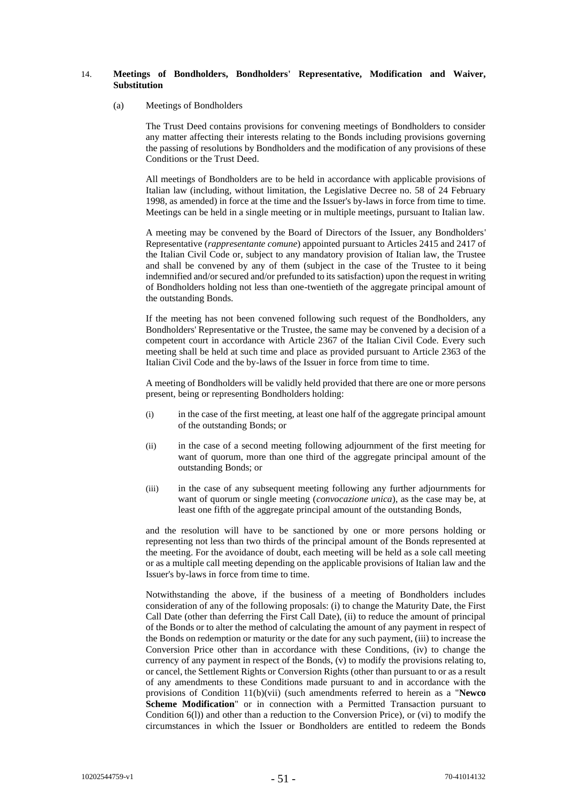# <span id="page-50-1"></span><span id="page-50-0"></span>14. **Meetings of Bondholders, Bondholders' Representative, Modification and Waiver, Substitution**

#### (a) Meetings of Bondholders

The Trust Deed contains provisions for convening meetings of Bondholders to consider any matter affecting their interests relating to the Bonds including provisions governing the passing of resolutions by Bondholders and the modification of any provisions of these Conditions or the Trust Deed.

All meetings of Bondholders are to be held in accordance with applicable provisions of Italian law (including, without limitation, the Legislative Decree no. 58 of 24 February 1998, as amended) in force at the time and the Issuer's by-laws in force from time to time. Meetings can be held in a single meeting or in multiple meetings, pursuant to Italian law.

A meeting may be convened by the Board of Directors of the Issuer, any Bondholders' Representative (*rappresentante comune*) appointed pursuant to Articles 2415 and 2417 of the Italian Civil Code or, subject to any mandatory provision of Italian law, the Trustee and shall be convened by any of them (subject in the case of the Trustee to it being indemnified and/or secured and/or prefunded to its satisfaction) upon the request in writing of Bondholders holding not less than one-twentieth of the aggregate principal amount of the outstanding Bonds.

If the meeting has not been convened following such request of the Bondholders, any Bondholders' Representative or the Trustee, the same may be convened by a decision of a competent court in accordance with Article 2367 of the Italian Civil Code. Every such meeting shall be held at such time and place as provided pursuant to Article 2363 of the Italian Civil Code and the by-laws of the Issuer in force from time to time.

A meeting of Bondholders will be validly held provided that there are one or more persons present, being or representing Bondholders holding:

- (i) in the case of the first meeting, at least one half of the aggregate principal amount of the outstanding Bonds; or
- (ii) in the case of a second meeting following adjournment of the first meeting for want of quorum, more than one third of the aggregate principal amount of the outstanding Bonds; or
- (iii) in the case of any subsequent meeting following any further adjournments for want of quorum or single meeting (*convocazione unica*), as the case may be, at least one fifth of the aggregate principal amount of the outstanding Bonds,

and the resolution will have to be sanctioned by one or more persons holding or representing not less than two thirds of the principal amount of the Bonds represented at the meeting. For the avoidance of doubt, each meeting will be held as a sole call meeting or as a multiple call meeting depending on the applicable provisions of Italian law and the Issuer's by-laws in force from time to time.

Notwithstanding the above, if the business of a meeting of Bondholders includes consideration of any of the following proposals: (i) to change the Maturity Date, the First Call Date (other than deferring the First Call Date), (ii) to reduce the amount of principal of the Bonds or to alter the method of calculating the amount of any payment in respect of the Bonds on redemption or maturity or the date for any such payment, (iii) to increase the Conversion Price other than in accordance with these Conditions, (iv) to change the currency of any payment in respect of the Bonds, (v) to modify the provisions relating to, or cancel, the Settlement Rights or Conversion Rights (other than pursuant to or as a result of any amendments to these Conditions made pursuant to and in accordance with the provisions of Condition [11\(b\)\(vii\)](#page-47-0) (such amendments referred to herein as a "**Newco Scheme Modification**" or in connection with a Permitted Transaction pursuant to Condition [6\(l\)\)](#page-36-0) and other than a reduction to the Conversion Price), or (vi) to modify the circumstances in which the Issuer or Bondholders are entitled to redeem the Bonds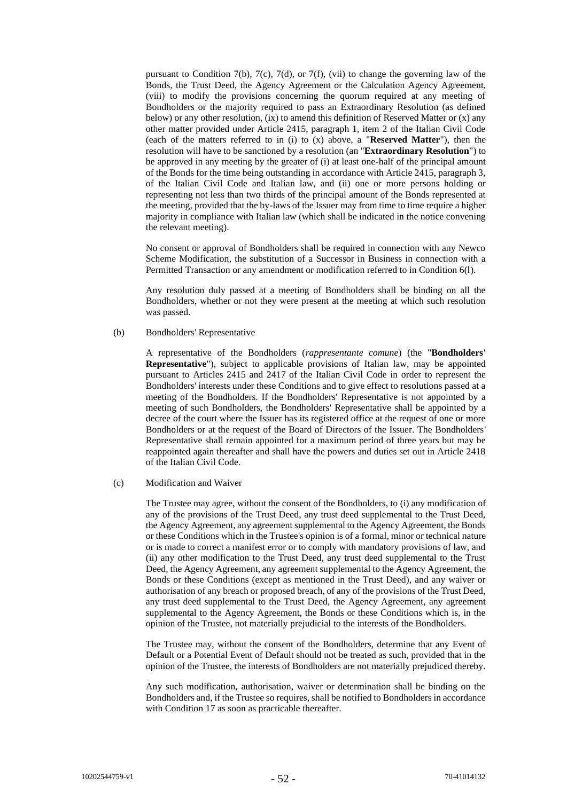pursuant to Condition [7\(b\),](#page-37-1) [7\(c\),](#page-38-0) [7\(d\),](#page-38-1) or [7\(f\),](#page-40-0) (vii) to change the governing law of the Bonds, the Trust Deed, the Agency Agreement or the Calculation Agency Agreement, (viii) to modify the provisions concerning the quorum required at any meeting of Bondholders or the majority required to pass an Extraordinary Resolution (as defined below) or any other resolution, (ix) to amend this definition of Reserved Matter or (x) any other matter provided under Article 2415, paragraph 1, item 2 of the Italian Civil Code (each of the matters referred to in (i) to (x) above, a "**Reserved Matter**"), then the resolution will have to be sanctioned by a resolution (an "**Extraordinary Resolution**") to be approved in any meeting by the greater of (i) at least one-half of the principal amount of the Bonds for the time being outstanding in accordance with Article 2415, paragraph 3, of the Italian Civil Code and Italian law, and (ii) one or more persons holding or representing not less than two thirds of the principal amount of the Bonds represented at the meeting, provided that the by-laws of the Issuer may from time to time require a higher majority in compliance with Italian law (which shall be indicated in the notice convening the relevant meeting).

No consent or approval of Bondholders shall be required in connection with any Newco Scheme Modification, the substitution of a Successor in Business in connection with a Permitted Transaction or any amendment or modification referred to in Condition 6(l).

Any resolution duly passed at a meeting of Bondholders shall be binding on all the Bondholders, whether or not they were present at the meeting at which such resolution was passed.

# <span id="page-51-0"></span>(b) Bondholders' Representative

A representative of the Bondholders (*rappresentante comune*) (the "**Bondholders' Representative**"), subject to applicable provisions of Italian law, may be appointed pursuant to Articles 2415 and 2417 of the Italian Civil Code in order to represent the Bondholders' interests under these Conditions and to give effect to resolutions passed at a meeting of the Bondholders. If the Bondholders' Representative is not appointed by a meeting of such Bondholders, the Bondholders' Representative shall be appointed by a decree of the court where the Issuer has its registered office at the request of one or more Bondholders or at the request of the Board of Directors of the Issuer. The Bondholders' Representative shall remain appointed for a maximum period of three years but may be reappointed again thereafter and shall have the powers and duties set out in Article 2418 of the Italian Civil Code.

# (c) Modification and Waiver

The Trustee may agree, without the consent of the Bondholders, to (i) any modification of any of the provisions of the Trust Deed, any trust deed supplemental to the Trust Deed, the Agency Agreement, any agreement supplemental to the Agency Agreement, the Bonds or these Conditions which in the Trustee's opinion is of a formal, minor or technical nature or is made to correct a manifest error or to comply with mandatory provisions of law, and (ii) any other modification to the Trust Deed, any trust deed supplemental to the Trust Deed, the Agency Agreement, any agreement supplemental to the Agency Agreement, the Bonds or these Conditions (except as mentioned in the Trust Deed), and any waiver or authorisation of any breach or proposed breach, of any of the provisions of the Trust Deed, any trust deed supplemental to the Trust Deed, the Agency Agreement, any agreement supplemental to the Agency Agreement, the Bonds or these Conditions which is, in the opinion of the Trustee, not materially prejudicial to the interests of the Bondholders.

The Trustee may, without the consent of the Bondholders, determine that any Event of Default or a Potential Event of Default should not be treated as such, provided that in the opinion of the Trustee, the interests of Bondholders are not materially prejudiced thereby.

Any such modification, authorisation, waiver or determination shall be binding on the Bondholders and, if the Trustee so requires, shall be notified to Bondholders in accordance with Condition [17](#page-53-0) as soon as practicable thereafter.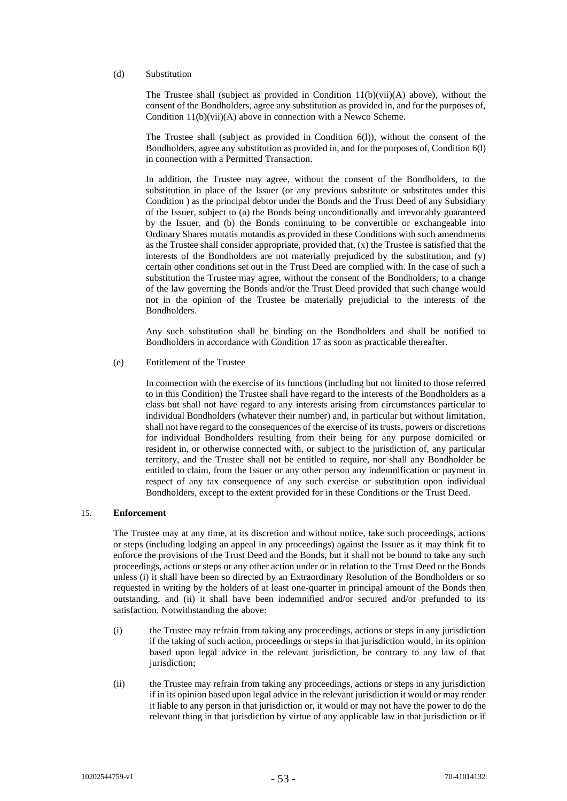# (d) Substitution

The Trustee shall (subject as provided in Condition  $11(b)(vi)(A)$  above), without the consent of the Bondholders, agree any substitution as provided in, and for the purposes of, Conditio[n 11\(b\)\(vii\)\(A\)](#page-47-1) above in connection with a Newco Scheme.

The Trustee shall (subject as provided in Condition [6\(l\)\)](#page-36-0), without the consent of the Bondholders, agree any substitution as provided in, and for the purposes of, Condition [6\(l\)](#page-36-0) in connection with a Permitted Transaction.

In addition, the Trustee may agree, without the consent of the Bondholders, to the substitution in place of the Issuer (or any previous substitute or substitutes under this Condition ) as the principal debtor under the Bonds and the Trust Deed of any Subsidiary of the Issuer, subject to (a) the Bonds being unconditionally and irrevocably guaranteed by the Issuer, and (b) the Bonds continuing to be convertible or exchangeable into Ordinary Shares mutatis mutandis as provided in these Conditions with such amendments as the Trustee shall consider appropriate, provided that, (x) the Trustee is satisfied that the interests of the Bondholders are not materially prejudiced by the substitution, and (y) certain other conditions set out in the Trust Deed are complied with. In the case of such a substitution the Trustee may agree, without the consent of the Bondholders, to a change of the law governing the Bonds and/or the Trust Deed provided that such change would not in the opinion of the Trustee be materially prejudicial to the interests of the **Bondholders** 

Any such substitution shall be binding on the Bondholders and shall be notified to Bondholders in accordance with Condition [17](#page-53-0) as soon as practicable thereafter.

(e) Entitlement of the Trustee

In connection with the exercise of its functions (including but not limited to those referred to in this Condition) the Trustee shall have regard to the interests of the Bondholders as a class but shall not have regard to any interests arising from circumstances particular to individual Bondholders (whatever their number) and, in particular but without limitation, shall not have regard to the consequences of the exercise of its trusts, powers or discretions for individual Bondholders resulting from their being for any purpose domiciled or resident in, or otherwise connected with, or subject to the jurisdiction of, any particular territory, and the Trustee shall not be entitled to require, nor shall any Bondholder be entitled to claim, from the Issuer or any other person any indemnification or payment in respect of any tax consequence of any such exercise or substitution upon individual Bondholders, except to the extent provided for in these Conditions or the Trust Deed.

# 15. **Enforcement**

The Trustee may at any time, at its discretion and without notice, take such proceedings, actions or steps (including lodging an appeal in any proceedings) against the Issuer as it may think fit to enforce the provisions of the Trust Deed and the Bonds, but it shall not be bound to take any such proceedings, actions or steps or any other action under or in relation to the Trust Deed or the Bonds unless (i) it shall have been so directed by an Extraordinary Resolution of the Bondholders or so requested in writing by the holders of at least one-quarter in principal amount of the Bonds then outstanding, and (ii) it shall have been indemnified and/or secured and/or prefunded to its satisfaction. Notwithstanding the above:

- (i) the Trustee may refrain from taking any proceedings, actions or steps in any jurisdiction if the taking of such action, proceedings or steps in that jurisdiction would, in its opinion based upon legal advice in the relevant jurisdiction, be contrary to any law of that jurisdiction:
- (ii) the Trustee may refrain from taking any proceedings, actions or steps in any jurisdiction if in its opinion based upon legal advice in the relevant jurisdiction it would or may render it liable to any person in that jurisdiction or, it would or may not have the power to do the relevant thing in that jurisdiction by virtue of any applicable law in that jurisdiction or if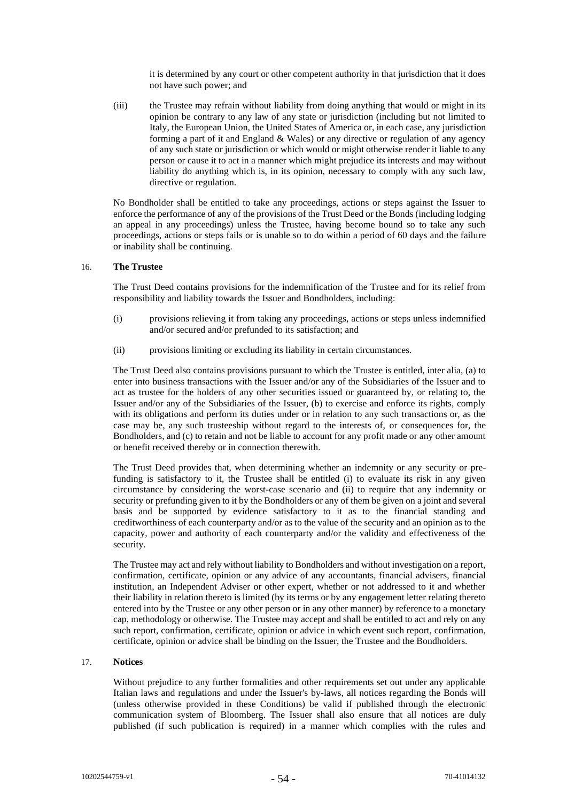it is determined by any court or other competent authority in that jurisdiction that it does not have such power; and

(iii) the Trustee may refrain without liability from doing anything that would or might in its opinion be contrary to any law of any state or jurisdiction (including but not limited to Italy, the European Union, the United States of America or, in each case, any jurisdiction forming a part of it and England  $&$  Wales) or any directive or regulation of any agency of any such state or jurisdiction or which would or might otherwise render it liable to any person or cause it to act in a manner which might prejudice its interests and may without liability do anything which is, in its opinion, necessary to comply with any such law, directive or regulation.

No Bondholder shall be entitled to take any proceedings, actions or steps against the Issuer to enforce the performance of any of the provisions of the Trust Deed or the Bonds (including lodging an appeal in any proceedings) unless the Trustee, having become bound so to take any such proceedings, actions or steps fails or is unable so to do within a period of 60 days and the failure or inability shall be continuing.

# 16. **The Trustee**

The Trust Deed contains provisions for the indemnification of the Trustee and for its relief from responsibility and liability towards the Issuer and Bondholders, including:

- (i) provisions relieving it from taking any proceedings, actions or steps unless indemnified and/or secured and/or prefunded to its satisfaction; and
- (ii) provisions limiting or excluding its liability in certain circumstances.

The Trust Deed also contains provisions pursuant to which the Trustee is entitled, inter alia, (a) to enter into business transactions with the Issuer and/or any of the Subsidiaries of the Issuer and to act as trustee for the holders of any other securities issued or guaranteed by, or relating to, the Issuer and/or any of the Subsidiaries of the Issuer, (b) to exercise and enforce its rights, comply with its obligations and perform its duties under or in relation to any such transactions or, as the case may be, any such trusteeship without regard to the interests of, or consequences for, the Bondholders, and (c) to retain and not be liable to account for any profit made or any other amount or benefit received thereby or in connection therewith.

The Trust Deed provides that, when determining whether an indemnity or any security or prefunding is satisfactory to it, the Trustee shall be entitled (i) to evaluate its risk in any given circumstance by considering the worst-case scenario and (ii) to require that any indemnity or security or prefunding given to it by the Bondholders or any of them be given on a joint and several basis and be supported by evidence satisfactory to it as to the financial standing and creditworthiness of each counterparty and/or as to the value of the security and an opinion as to the capacity, power and authority of each counterparty and/or the validity and effectiveness of the security.

The Trustee may act and rely without liability to Bondholders and without investigation on a report, confirmation, certificate, opinion or any advice of any accountants, financial advisers, financial institution, an Independent Adviser or other expert, whether or not addressed to it and whether their liability in relation thereto is limited (by its terms or by any engagement letter relating thereto entered into by the Trustee or any other person or in any other manner) by reference to a monetary cap, methodology or otherwise. The Trustee may accept and shall be entitled to act and rely on any such report, confirmation, certificate, opinion or advice in which event such report, confirmation, certificate, opinion or advice shall be binding on the Issuer, the Trustee and the Bondholders.

# <span id="page-53-0"></span>17. **Notices**

Without prejudice to any further formalities and other requirements set out under any applicable Italian laws and regulations and under the Issuer's by-laws, all notices regarding the Bonds will (unless otherwise provided in these Conditions) be valid if published through the electronic communication system of Bloomberg. The Issuer shall also ensure that all notices are duly published (if such publication is required) in a manner which complies with the rules and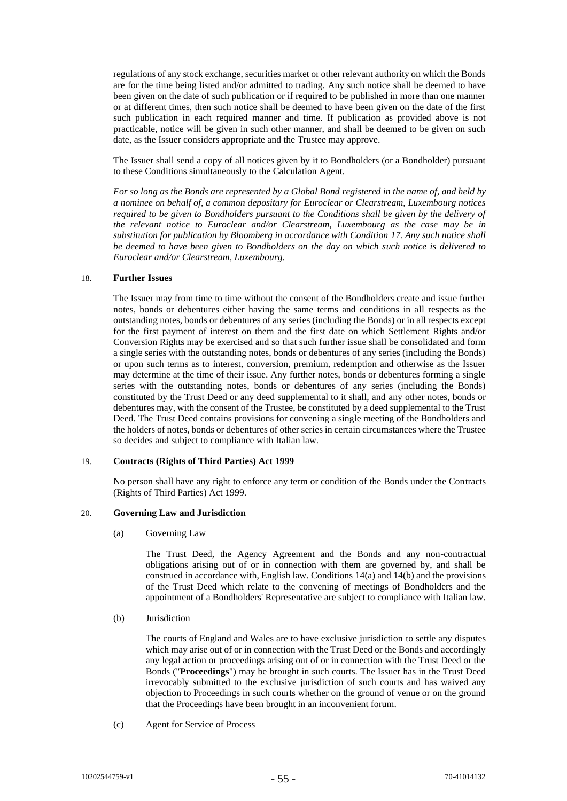regulations of any stock exchange, securities market or other relevant authority on which the Bonds are for the time being listed and/or admitted to trading. Any such notice shall be deemed to have been given on the date of such publication or if required to be published in more than one manner or at different times, then such notice shall be deemed to have been given on the date of the first such publication in each required manner and time. If publication as provided above is not practicable, notice will be given in such other manner, and shall be deemed to be given on such date, as the Issuer considers appropriate and the Trustee may approve.

The Issuer shall send a copy of all notices given by it to Bondholders (or a Bondholder) pursuant to these Conditions simultaneously to the Calculation Agent.

*For so long as the Bonds are represented by a Global Bond registered in the name of, and held by a nominee on behalf of, a common depositary for Euroclear or Clearstream, Luxembourg notices required to be given to Bondholders pursuant to the Conditions shall be given by the delivery of the relevant notice to Euroclear and/or Clearstream, Luxembourg as the case may be in substitution for publication by Bloomberg in accordance with Condition [17.](#page-53-0) Any such notice shall be deemed to have been given to Bondholders on the day on which such notice is delivered to Euroclear and/or Clearstream, Luxembourg.*

# <span id="page-54-0"></span>18. **Further Issues**

The Issuer may from time to time without the consent of the Bondholders create and issue further notes, bonds or debentures either having the same terms and conditions in all respects as the outstanding notes, bonds or debentures of any series (including the Bonds) or in all respects except for the first payment of interest on them and the first date on which Settlement Rights and/or Conversion Rights may be exercised and so that such further issue shall be consolidated and form a single series with the outstanding notes, bonds or debentures of any series (including the Bonds) or upon such terms as to interest, conversion, premium, redemption and otherwise as the Issuer may determine at the time of their issue. Any further notes, bonds or debentures forming a single series with the outstanding notes, bonds or debentures of any series (including the Bonds) constituted by the Trust Deed or any deed supplemental to it shall, and any other notes, bonds or debentures may, with the consent of the Trustee, be constituted by a deed supplemental to the Trust Deed. The Trust Deed contains provisions for convening a single meeting of the Bondholders and the holders of notes, bonds or debentures of other series in certain circumstances where the Trustee so decides and subject to compliance with Italian law.

#### 19. **Contracts (Rights of Third Parties) Act 1999**

No person shall have any right to enforce any term or condition of the Bonds under the Contracts (Rights of Third Parties) Act 1999.

#### 20. **Governing Law and Jurisdiction**

(a) Governing Law

The Trust Deed, the Agency Agreement and the Bonds and any non-contractual obligations arising out of or in connection with them are governed by, and shall be construed in accordance with, English law. Conditions [14\(a\)](#page-50-0) and [14\(b\)](#page-51-0) and the provisions of the Trust Deed which relate to the convening of meetings of Bondholders and the appointment of a Bondholders' Representative are subject to compliance with Italian law.

(b) Jurisdiction

The courts of England and Wales are to have exclusive jurisdiction to settle any disputes which may arise out of or in connection with the Trust Deed or the Bonds and accordingly any legal action or proceedings arising out of or in connection with the Trust Deed or the Bonds ("**Proceedings**") may be brought in such courts. The Issuer has in the Trust Deed irrevocably submitted to the exclusive jurisdiction of such courts and has waived any objection to Proceedings in such courts whether on the ground of venue or on the ground that the Proceedings have been brought in an inconvenient forum.

(c) Agent for Service of Process